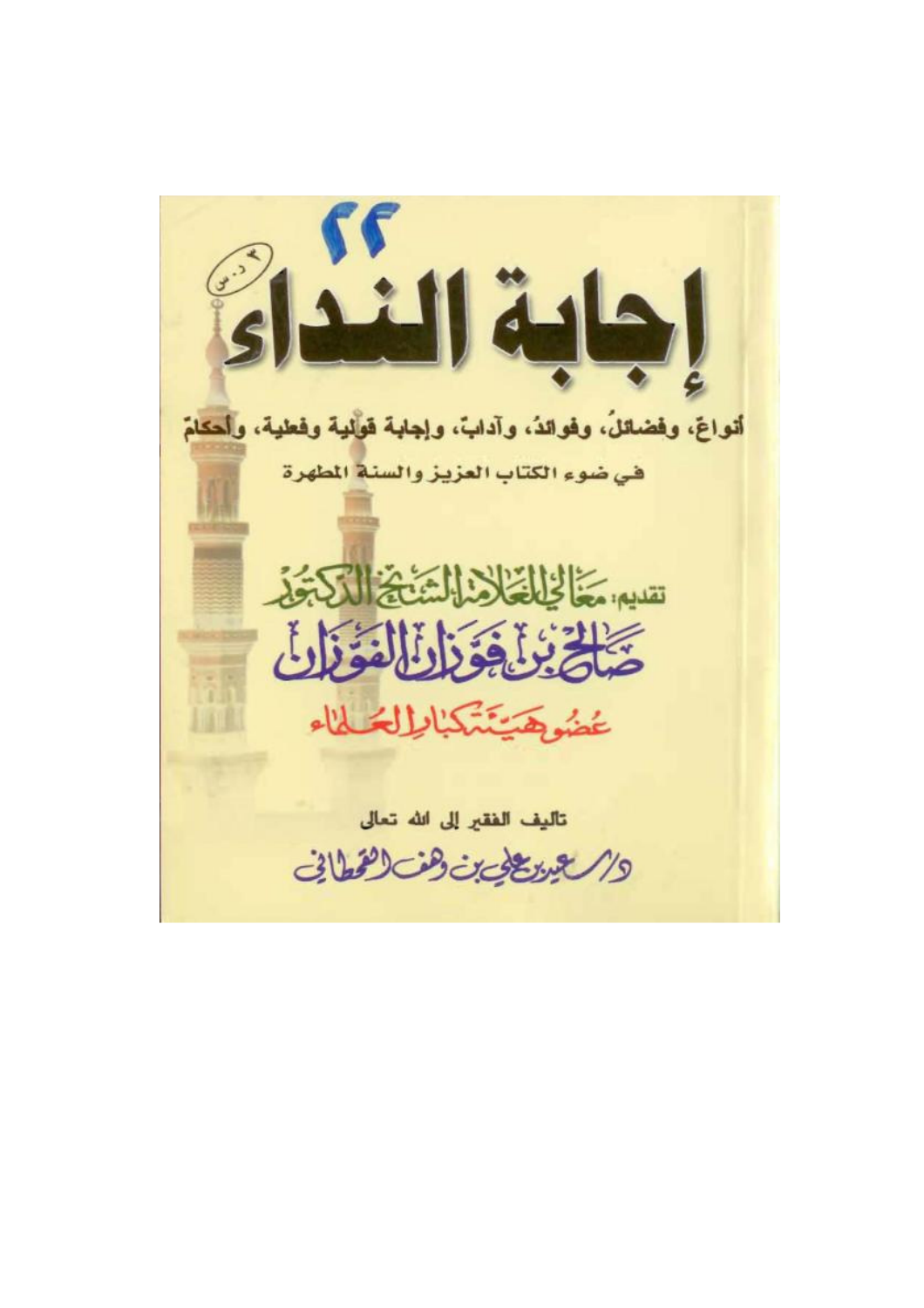أنواعَ، وفضائلُ، وفوائدُ، وآدابٌ، وإجابة فولية وفعلية، وأحكامٌ في ضوء الكتاب العزيز والسنة المطهرة تقديم يخالخا فخال الشنخة الكراجة تَلَخَ يُنَافِقُوْا لِلْمُؤَذَاتِ عُضُوهِ يَنْتَهَكُمُاطِ لِمَحْلَاء تأليف الفقير إلى الله تعالى والاعين عي بن وهن العمانى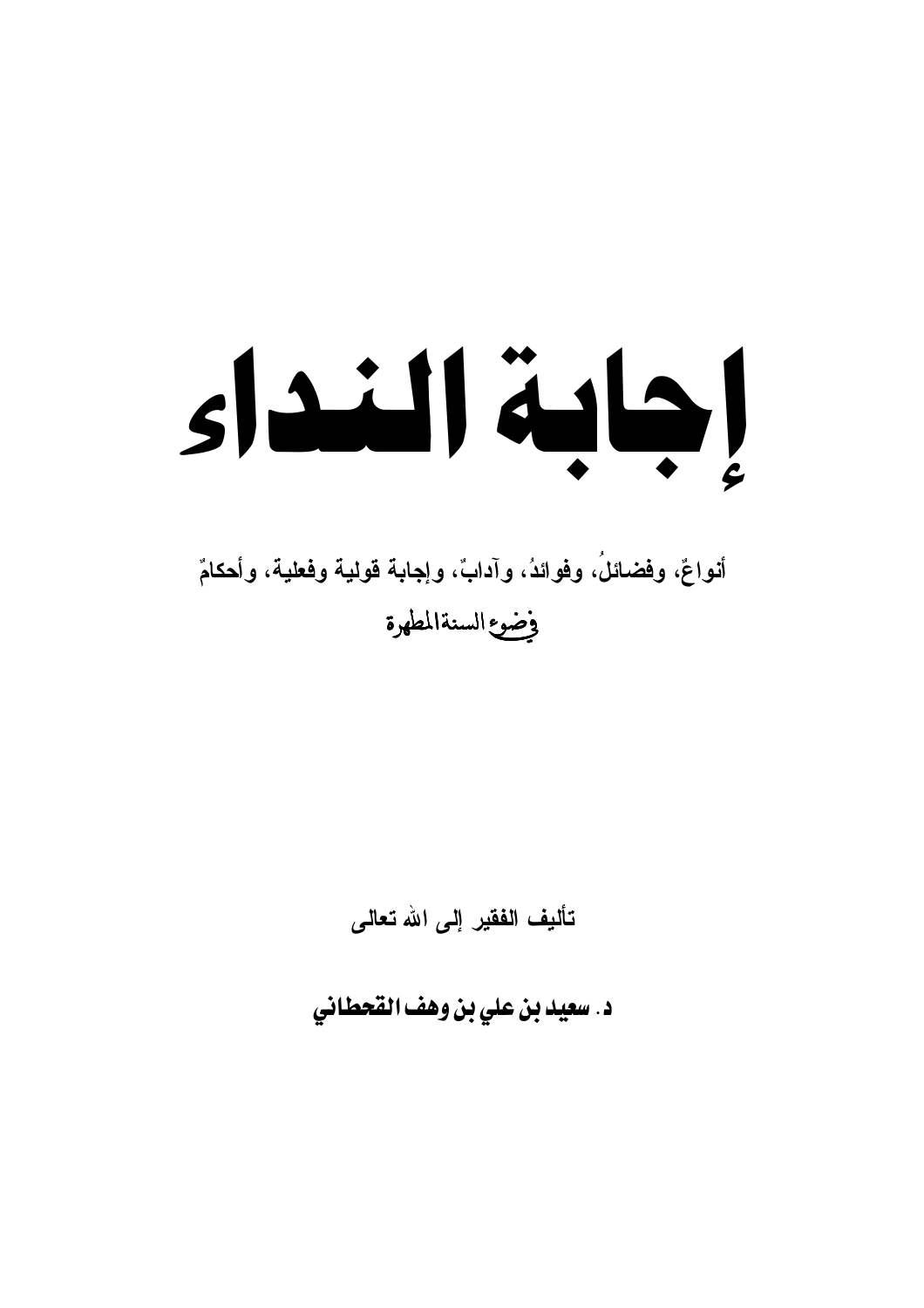# slailläh

# أنواعٌ، وفضائلُ، وفوائدُ، وآدابٌ، وإجابة قولية وفعلية، وأحكامٌ وضوع السنةالمطهرة

تأليف الفقير إلى الله تعالى

د. سعيد بن علي بن وهف القحطاني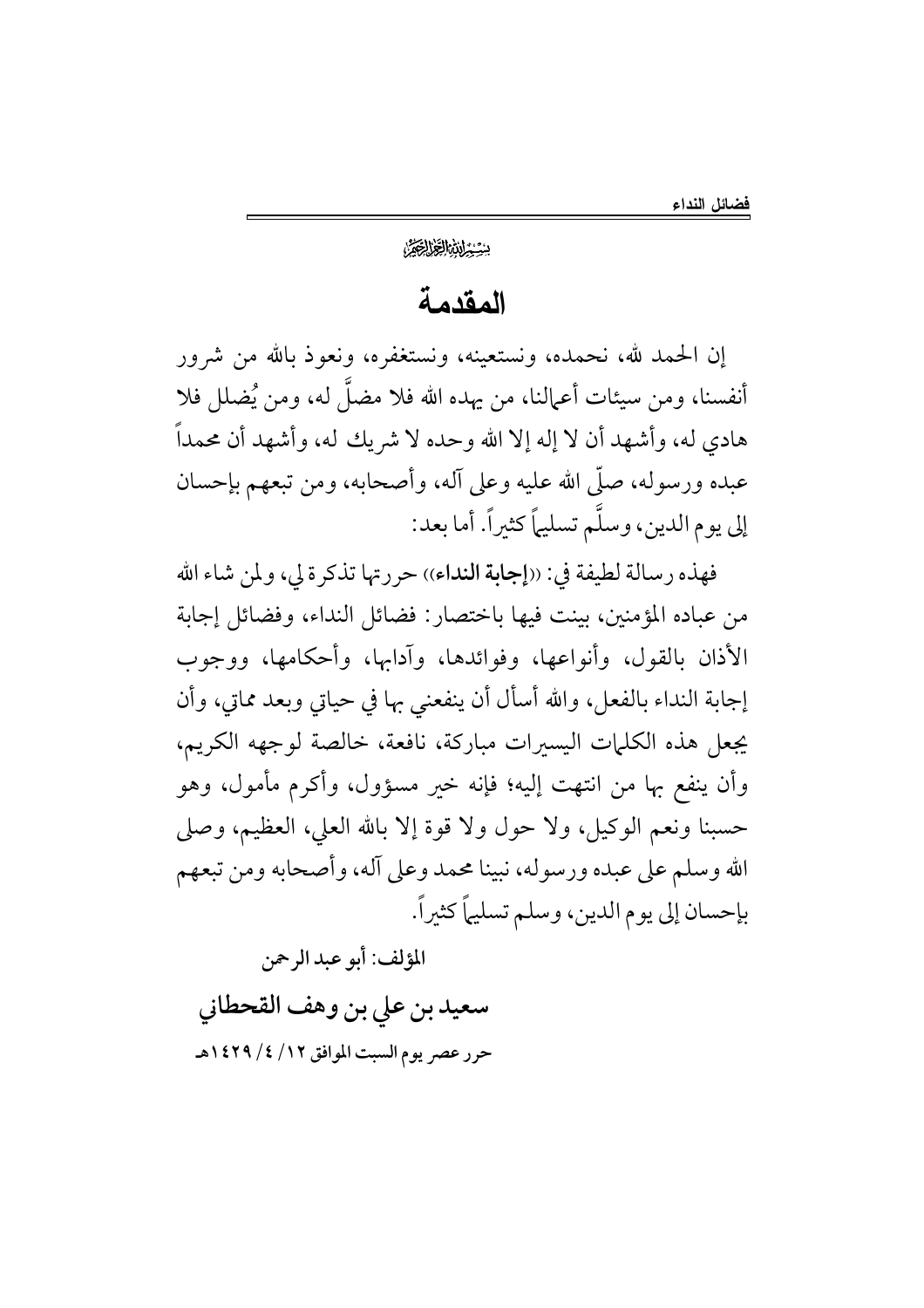#### بِيِّيْتِ لِنَبْرُ الْجَزَالِجَيْرًا

### المقدمة

إن الحمد لله، نحمده، ونستعينه، ونستغفره، ونعوذ بالله من شرور أنفسنا، ومن سيئات أعمالنا، من يهده الله فلا مضلَّ له، ومن يُضلل فلا هادي له، وأشهد أن لا إله إلا الله وحده لا شريك له، وأشهد أن محمداً عبده ورسوله، صلَّى الله عليه وعلى آله، وأصحابه، ومن تبعهم بإحسان إلى يوم الدين، وسلَّم تسليماً كثيراً. أما بعد:

فهذه رسالة لطيفة في: ((إجابة النداء)) حررتها تذكرة لي، ولمن شاء الله من عباده المؤمنين، بينت فيها باختصار: فضائل النداء، وفضائل إجابة الأذان بالقول، وأنواعها، وفوائدها، وآدابها، وأحكامها، ووجوب إجابة النداء بالفعل، والله أسأل أن ينفعني بها في حياتي وبعد مماتي، وأن يجعل هذه الكلمات اليسيرات مباركة، نافعة، خالصة لوجهه الكريم، وأن ينفع بها من انتهت إليه؛ فإنه خير مسؤول، وأكرم مأمول، وهو حسبنا ونعم الوكيل، ولا حول ولا قوة إلا بالله العلي، العظيم، وصلى الله وسلم على عبده ورسوله، نبينا محمد وعلى آله، وأصحابه ومن تبعهم بإحسان إلى يوم الدين، وسلم تسليماً كثيراً.

المؤلف: أبو عبد الرحمن

سعيد بن على بن وهف القحطاني حرر عصر يوم السبت الموافق ١٢/ ٤/ ١٤٢٩هـ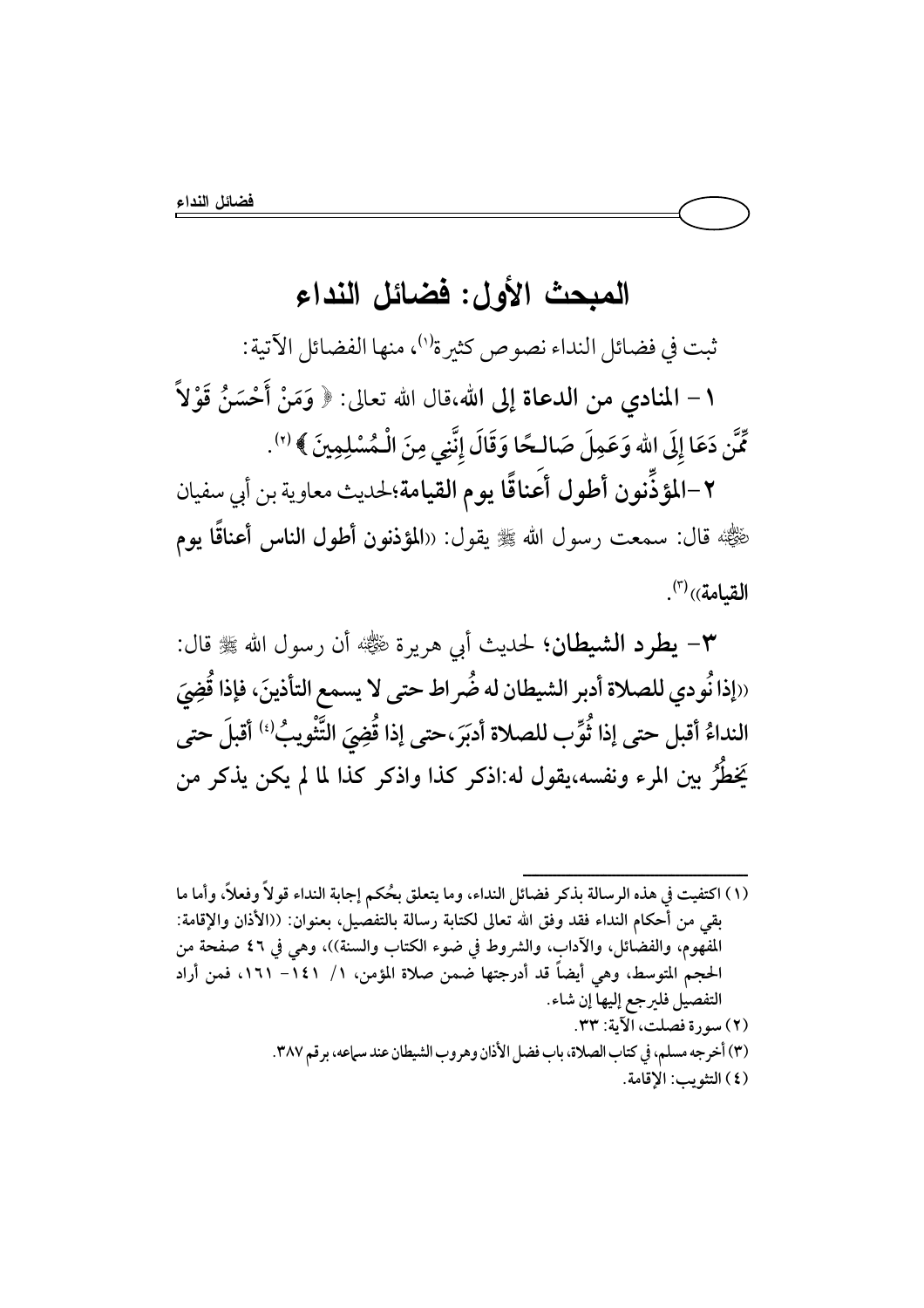## المبحث الأول: فضائل النداء

ثبت في فضائل النداء نصوص كثيرة'')، منها الفضائل الآتية: ١ – المنادي من الدعاة إلى الله،قال الله تعالى: ﴿ وَمَنْ أَحْسَنُ قَوْلاً مِّنَّن دَعَا إِلَى الله وَعَمِلَ صَالحًا وَقَالَ إِنَّنِي مِنَ الْـمُسْلِمِينَ ﴾ (٢).

٢–المؤذِّنون أطول أعناقًا يوم القيامة؛لحديث معاوية بن أبي سفيان رّْضِيًّا؛ قال: سمعت رسول الله ﷺ يقول: «المؤذنون أطول الناس أعناقًا يوم القيامة))(7).

٣- يطرد الشيطان؛ لحديث أبي هريرة ﷺ أن رسول الله ﷺ قال: «إذا نُودي للصلاة أدبر الشيطان له ضُراط حتى لا يسمع التأذينَ، فإذا قُضِيَ النداءُ أقبل حتى إذا ثُوِّب للصلاة أدبَرَ حتى إذا قُضِيَ التَّنْويبُ<sup>(؛)</sup> أقبلَ حتى يَخطُّرُ بين المرء ونفسه،يقول له:اذكر كذا واذكر كذا لما لم يكن يذكر من

- (١) اكتفيت في هذه الرسالة بذكر فضائل النداء، وما يتعلق بحُكم إجابة النداء قولاً وفعلاً، وأما ما بقى من أحكام النداء فقد وفق الله تعالى لكتابة رسالة بالتفصيل، بعنوان: ((الأذان والإقامة: المفْهوم، والفضَّائل، والآداب، والشروط في ضوء الكتاب والسنة))، وهي في ٤٦ صفحة من الحجم المتوسط، وهي أيضاً قد أدرجتها ضمن صلاة المؤمن، ١/ ١٤١- ١٦١، فمن أراد التفصيل فليرجع إليها إن شاء. (٢) سورة فصلت، الآية: ٣٣. (٣) أخرجه مسلم، في كتاب الصلاة، باب فضل الأذان وهروب الشيطان عند سماعه، برقم ٣٨٧.
	- (٤) التثويب: الإقامة.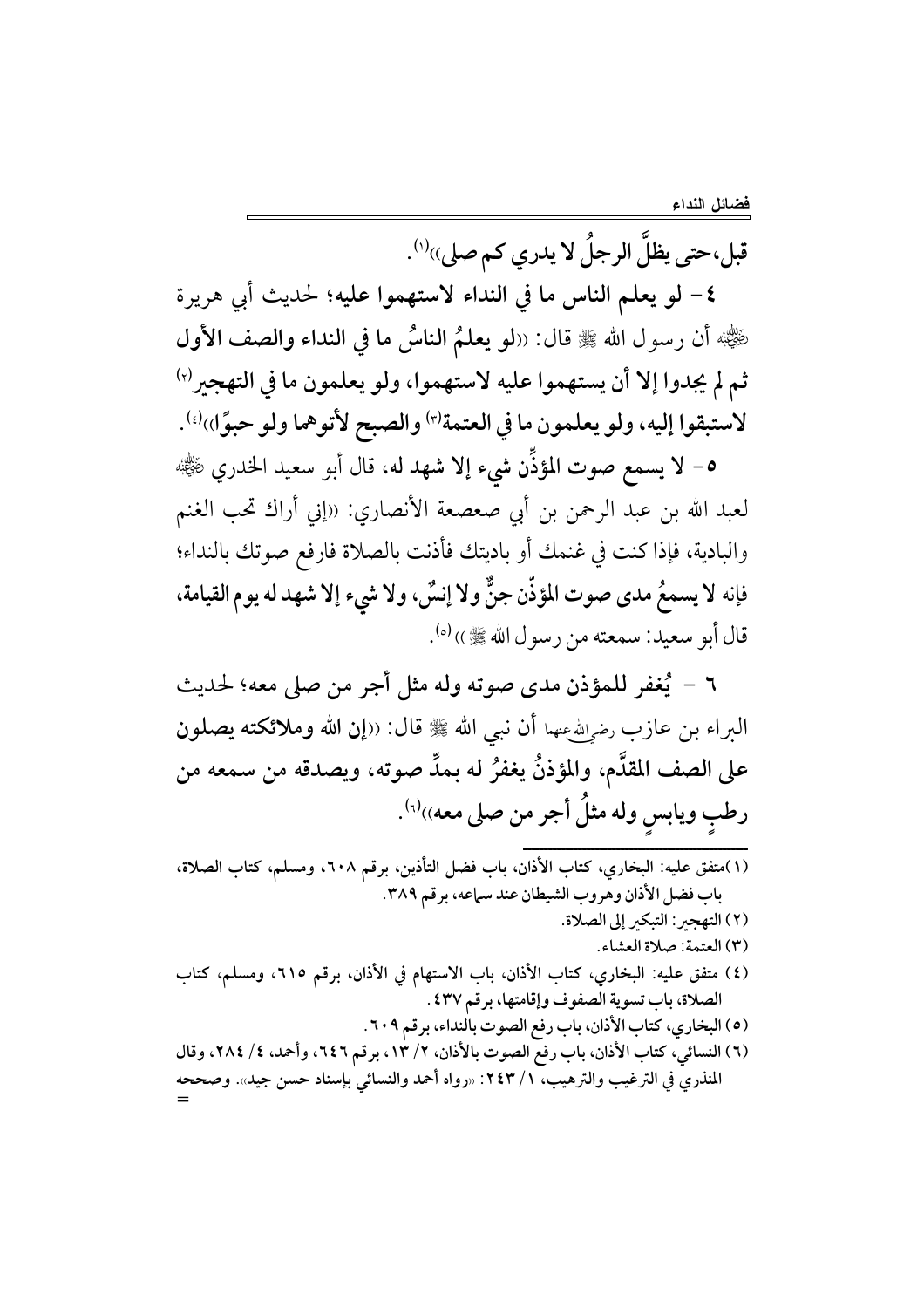قبل،حتى يظلُّ الرجلُ لا يدري كم صلى)الك

٤- لو يعلم الناس ما في النداء لاستهموا عليه؛ لحديث أبي هريرة ضِّيُّهُ أن رسول الله ﷺ قال: ((لو يعلمُ الناسُ ما في النداء والصف الأول ثم لم يجدوا إلا أن يستهموا عليه لاستهموا، ولو يعلمون ما في التهجيرا ا لاستبقوا إليه، ولو يعلمون ما في العتمة'r' والصبح لأتوهما ولو حبوًا))'.

٥- لا يسمع صوت المؤذِّن شيء إلا شهد له، قال أبو سعيد الخدري ﷺ لعبد الله بن عبد الرحمن بن أبي صعصعة الأنصاري: «إني أراك تحب الغنم والبادية، فإذا كنت في غنمك أو باديتك فأذنت بالصلاة فارفع صوتك بالنداء؛ فإنه لا يسمعُ مدى صوت المؤذّن جنٌّ ولا إنسٌ، ولا شيء إلا شهد له يوم القيامة، قال أبو سعيد: سمعته من رسول الله ﷺ ›› (٥).

٦ - يُغفر للمؤذن مدى صوته وله مثل أجر من صلى معه؛ لحديث البراء بن عازب رضوالله عنهما أن نبي الله ﷺ قال: ((إن الله وملائكته يصلون على الصف المقدَّم، والمؤذنُّ يغفرُ له بمدٍّ صوته، ويصدقه من سمعه من رطبِ ويابسِ وله مثلٌ أجر من صلى معه))لاَ .

(١)متفق عليه: البخاري، كتاب الأذان، باب فضل التأذين، برقم ٢٠٨، ومسلم، كتاب الصلاة، باب فضل الأذان وهروب الشيطان عند سباعه، برقم ٣٨٩. (٢) التهجر: التبكر إلى الصلاة. (٣) العتمة: صلاة العشاء. (٤) متفق عليه: البخاري، كتاب الأذان، باب الاستهام في الأذان، برقم ٢١٥، ومسلم، كتاب الصلاة، باب تسوية الصفوف وإقامتها، برقم ٤٣٧ . (٥) البخاري، كتاب الأذان، باب رفع الصوت بالنداء، برقم ٢٠٩. (٦) النسائي، كتاب الأذان، باب رفع الصوت بالأذان، ٢/ ١٣، برقم ٦٤٦، وأحمد، ٤/ ٢٨٤، وقال المنذريّ في الترغيب والترهيب، ١ / ٢٤٣: «رواه أحمد والنسائي بإسناد حسن جيد». وصححه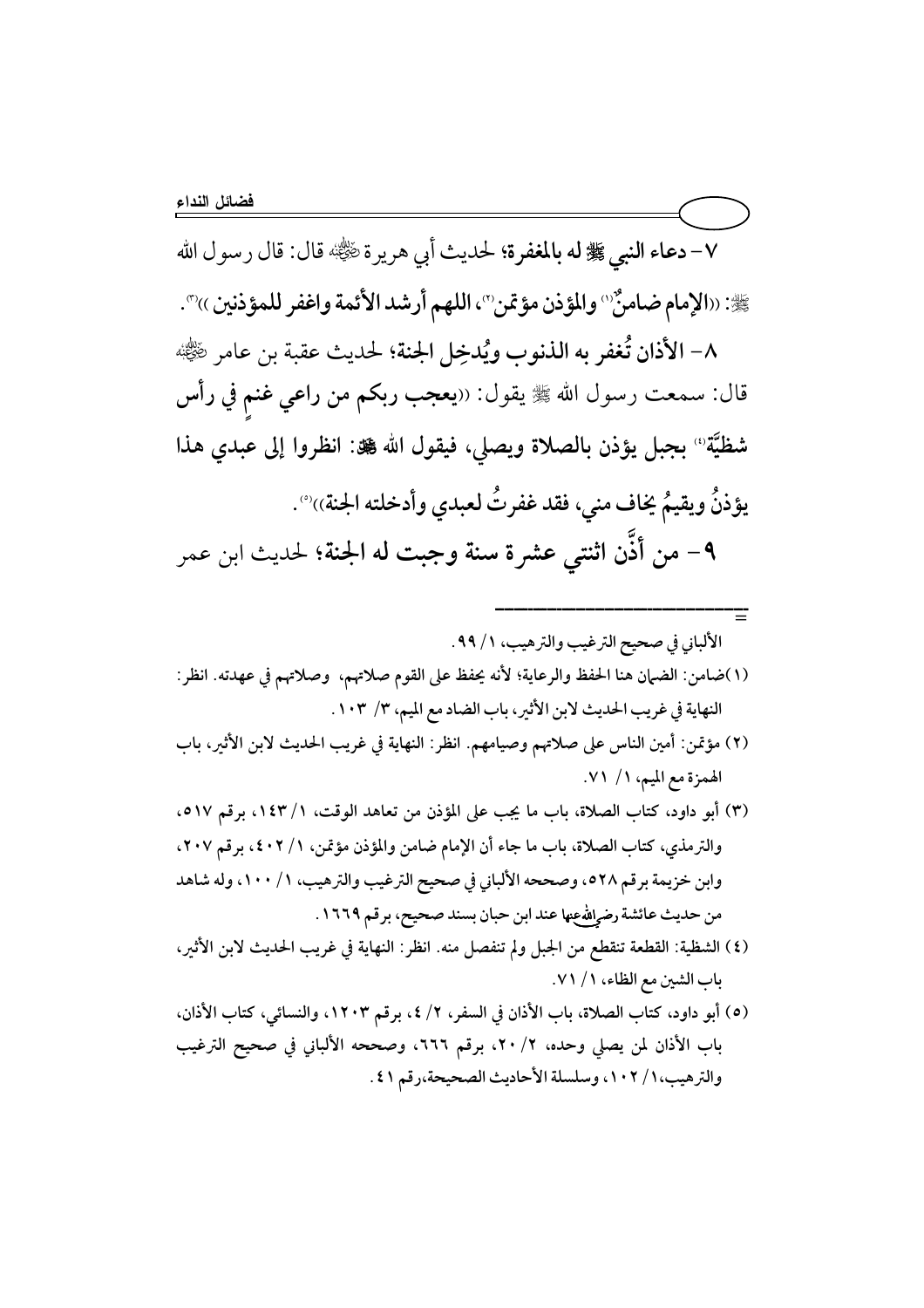٧- دعاء النبي ﷺ له بالمغفرة؛ لحديث أبي هريرة راي الله عليه الله عنه الله ﷺ: ((الإمام ضامنٌ `` والمؤذن مؤتمن ``، اللهم أرشد الأئمة واغفر للمؤذنين )) ``.

٨- الأذان تُغفر به الذنوب ويُدخِل الجنة؛ لحديث عقبة بن عامر رضي الله عنه: قال: سمعت رسول الله ﷺ يقول: «يعجب ربكم من راعي غنم في رأس شظيَّة" بجبل يؤذن بالصلاة ويصلي، فيقول الله ﷺ: انظروا إلى عبدي هذا يؤذنٌ ويقيمٌ يُخاف مني، فقد غفرتٌ لعبدي وأدخلته الجنة)، ۚ . ٩- من أذَّن اثنتي عشرة سنة وجبت له الجنة؛ لحديث ابن عمر

- (٢) مؤتمن: أمين الناس على صلاتهم وصيامهم. انظر: النهاية في غريب الحديث لابن الأثير، باب الهمزة مع الميم، ١/ ٧١.
- (٣) أبو داود، كتاب الصلاة، باب ما يجب على المؤذن من تعاهد الوقت، ١/ ١٤٣، برقم ٥١٧، والترمذي، كتاب الصلاة، باب ما جاء أن الإمام ضامن والمؤذن مؤتمن، ١/ ٤٠٢، برقم ٢٠٧، وابن خزيمة برقم ٥٢٨، وصححه الألباني في صحيح الترغيب والترهيب، ١/ ١٠٠، وله شاهد من حديث عائشة رضوالله عها عند ابن حبان بسند صحيح، برقم ١٦٦٩.
- (٤) الشظية: القطعة تنقطع من الجبل ولم تنفصل منه. انظر: النهاية في غريب الحديث لابن الأثير، باب الشين مع الظاء، ١ / ٧١.
- (٥) أبو داود، كتاب الصلاة، باب الأذان في السفر، ٢/ ٤، برقم ١٢٠٣، والنسائي، كتاب الأذان، باب الأذان لمن يصلى وحده، ٢/ ٢٠، برقم ٦٦٦، وصححه الألباني في صحيح الترغيب والترهيب، ١ / ١٠٢، وسلسلة الأحاديث الصحيحة،رقم ٤١.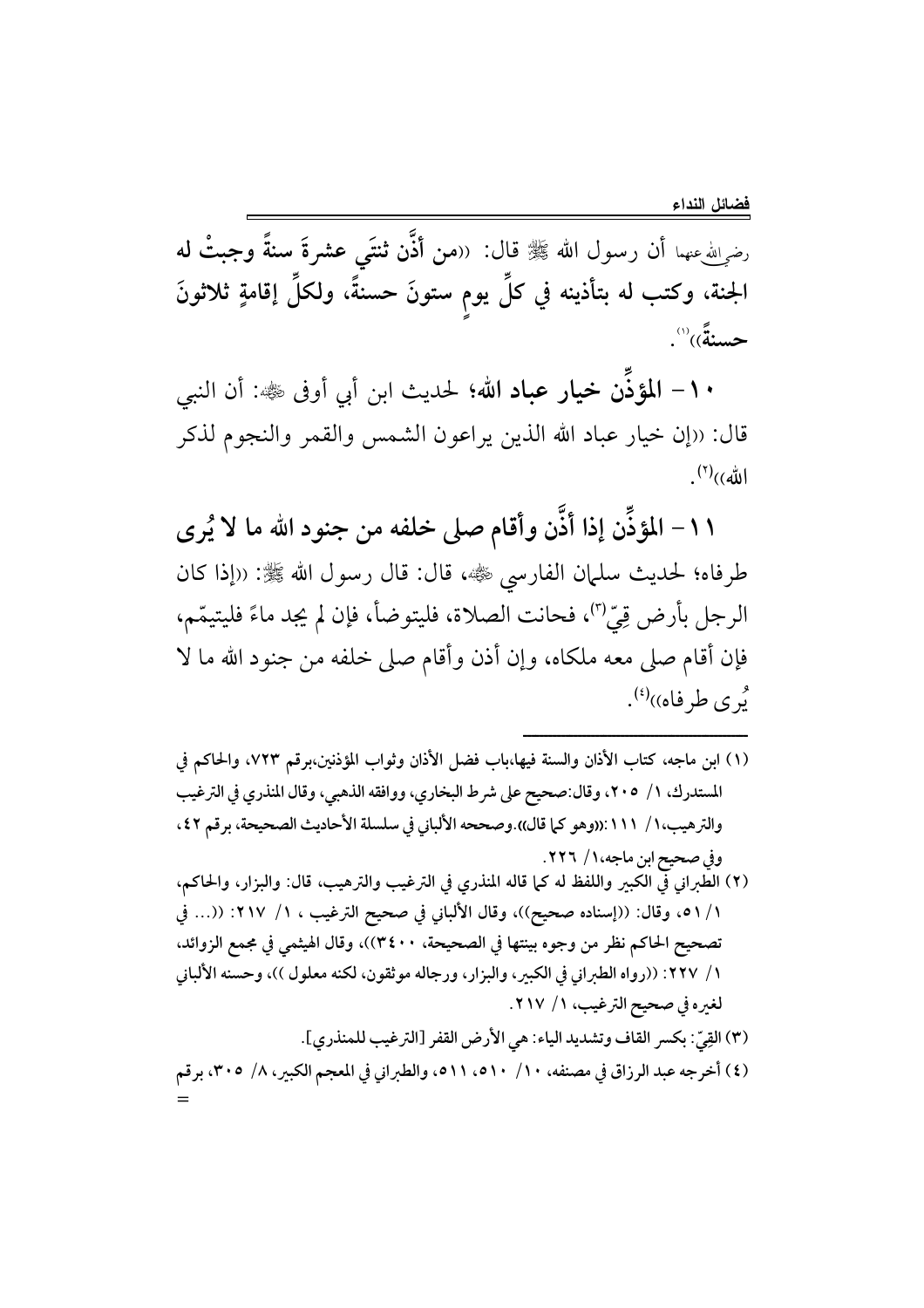رضرالله عنهما أن رسول الله ﷺ قال: ((من أُذَّن ثنتَى عشرةَ سنةً وجبتْ له الجنة، وكتب له بتأذينه في كلِّ يوم ستونَ حسنةً، ولكلِّ إقامةٍ ثلاثونَ حسنةً)) ``.

١٠ - المؤذَّن خيار عباد الله؛ لحديث ابن أبي أوفى ﷺ: أن النبي قال: «إن خيار عباد الله الذين يراعون الشمس والقمر والنجوم لذكر  $\ket{(\check{\mathbb{A}})}^{(7)}$ .

١١– المؤذِّن إذا أذَّن وأقام صلى خلفه من جنود الله ما لا يُرى طرفاه؛ لحديث سلمان الفارسي ﷺ، قال: قال رسول الله ﷺ: ((إذا كان الرجل بأرض قِيٌّ<sup>(٣)</sup>، فحانت الصلاة، فليتوضأ، فإن لم يجد ماءً فليتيمّم، فإن أقام صلى معه ملكاه، وإن أذن وأقام صلى خلفه من جنود الله ما لا <sup>و</sup> ی طرفاه))<sup>(؛)</sup>.

- (١) ابن ماجه، كتاب الأذان والسنة فيها،باب فضل الأذان وثواب المؤذنين،برقم ٧٢٣، والحاكم في المستدرك، ١/ ٢٠٥، وقال:صحيح على شرط البخاري، ووافقه الذهبي، وقال المنذري في الترغيب والترهيب،١/ ١١١١:((وهو كما قال)).وصححه الألباني في سلسلة الأحاديث الصحيحة، برقم ٤٢، وفي صحيح ابن ماجه،١/ ٢٢٦.
- (٢) الطَّبراني في الكبير واللفظ له كما قاله المنذري في الترغيب والترهيب، قال: والبزار، والحاكم، ١/ ٥١، وقال: ((إسناده صحيح))، وقال الألباني في صحيح الترغيب ، ١/ ٢١٧: ((... في تصحيح الحاكم نظر من وجوه بينتها في الصحيحة، ٣٤٠٠))، وقال الهيثمي في مجمع الزوائد، ١/ ٢٢٧: ((رواه الطبراني في الكبير، والبزار، ورجاله موثقون، لكنه معلول ))، وحسنه الألباني لغيره في صحيح الترغيب، ١/ ٢١٧.
- (٣) القِيّ: بكسر القاف وتشديد الياء: هي الأرض القفر [الترغيب للمنذري]. (٤) أخرجه عبد الرزاق في مصنفه، ١٠/ ٥١٠ه، ٥١١م، والطبراني في المعجم الكبير، ٨/ ٣٠٥، برقم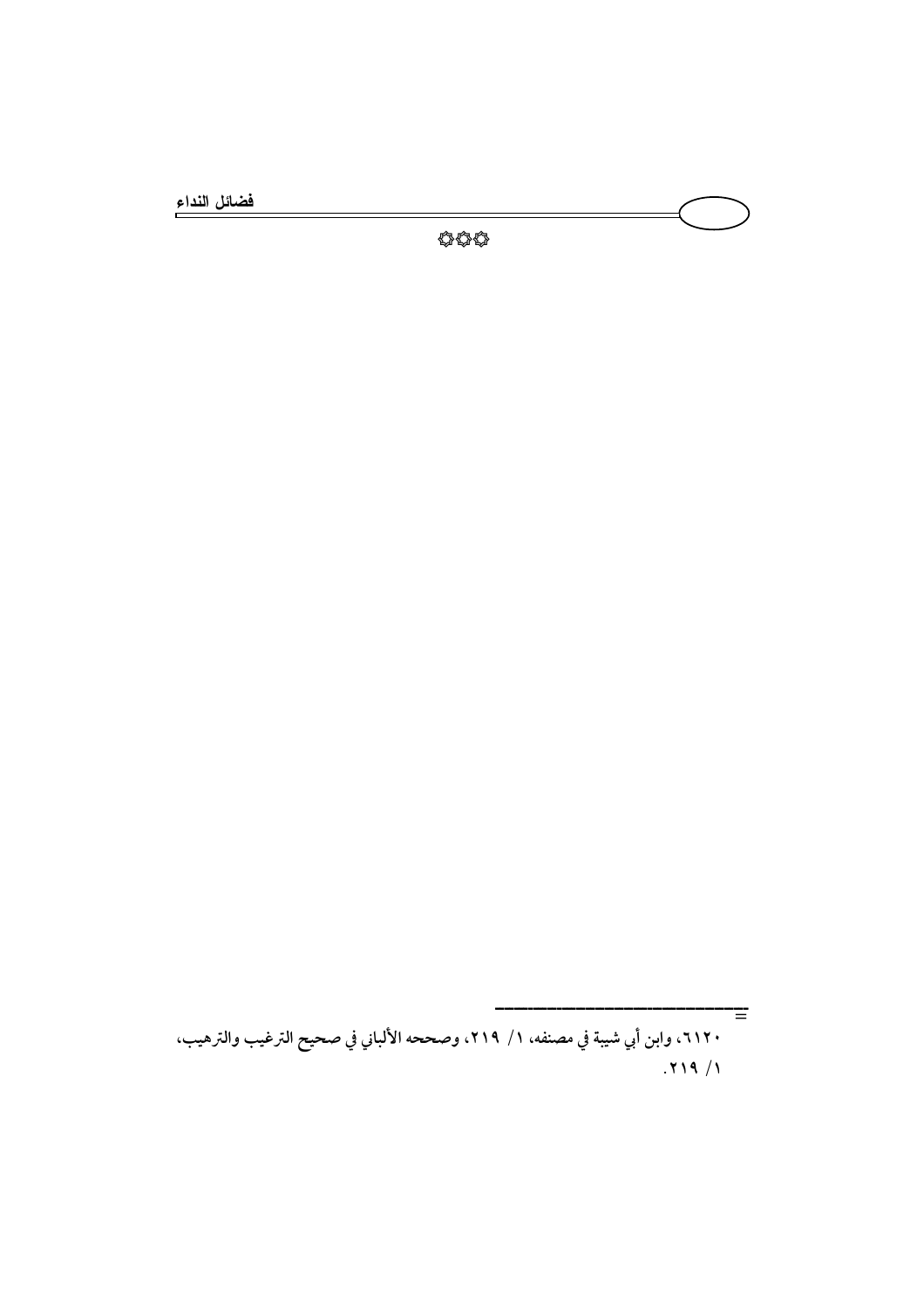فضائل النداء

Ξ

٢١٢٠، وابن أبي شيبة في مصنفه، ١/ ٢١٩، وصححه الألباني في صحيح الترغيب والترهيب،  $.719/1$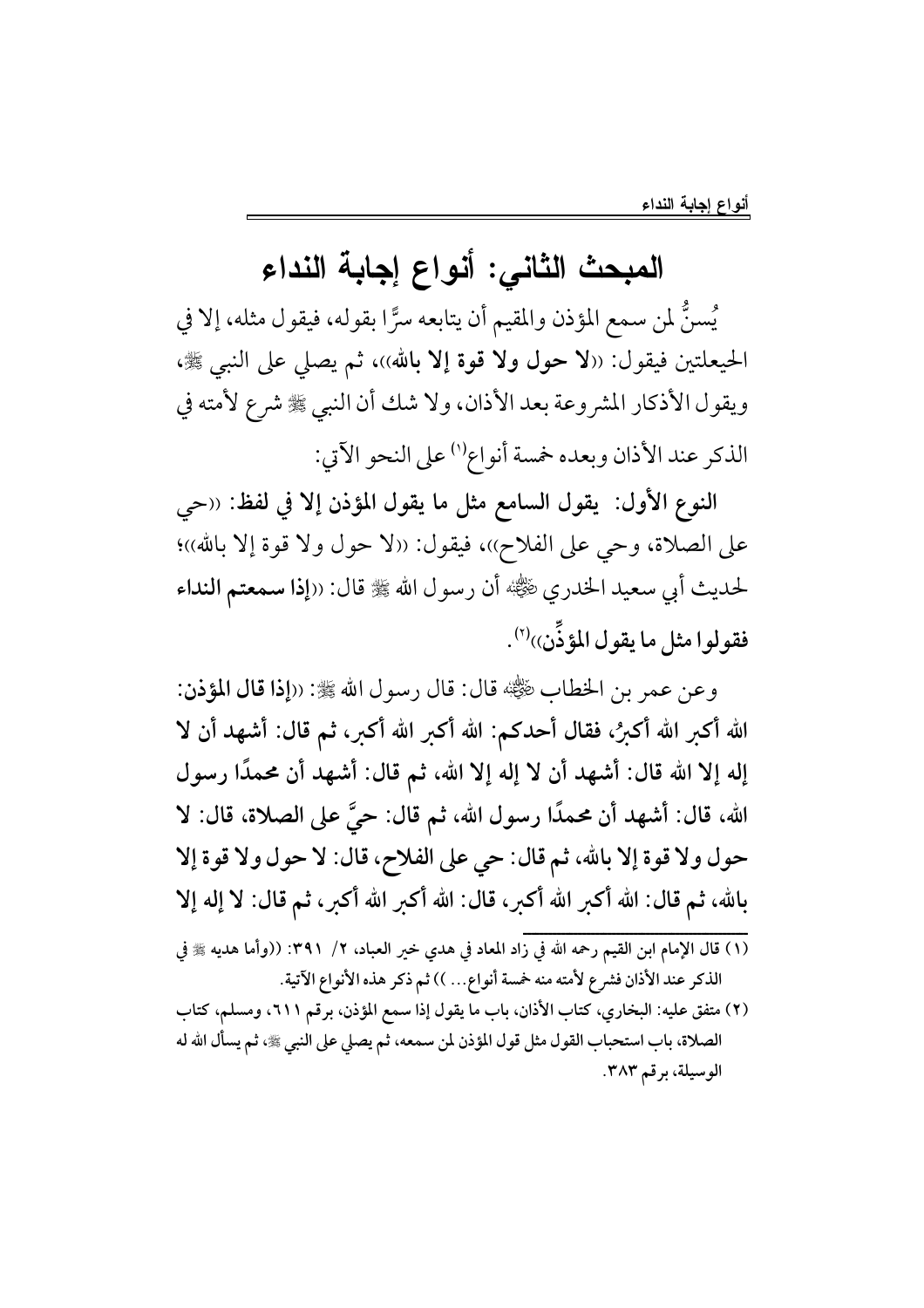## المبحث الثاني: أنواع إجابة النداء

يُسنُّ لمن سمع المؤذن والمقيم أن يتابعه سرًّا بقوله، فيقول مثله، إلا في الحيعلتين فيقول: ((لا حول ولا قوة إلا بالله))، ثم يصلي على النبي ﷺ، ويقول الأذكار المشروعة بعد الأذان، ولا شك أن النبي ﷺ شرع لأمته في الذكر عند الأذان وبعده خمسة أنواع'' على النحو الآتي:

النوع الأول: يقول السامع مثل ما يقول المؤذن إلا في لفظ: ((حي على الصلاة، وحي على الفلاح))، فيقول: ((لا حول ولا قوة إلا بالله))؛ لحديث أبي سعيد الخدري رضي الله عنه عنه عليه عنه الله عليه عنه النداء فقولوا مثل ما يقول المؤذَّن))<sup>(٢)</sup>.

وعن عمر بن الخطابِ ﷺ قال: قال رسو ل الله ﷺ: ((إذا قال المؤذن: الله أكبر الله أكبرُ، فقال أحدكم: الله أكبر الله أكبر، ثم قال: أشهد أن لا إله إلا الله قال: أشهد أن لا إله إلا الله، ثم قال: أشهد أن محمدًا رسول الله، قال: أشهد أن محمدًا رسول الله، ثم قال: حيَّ على الصلاة، قال: لا حول ولا قوة إلا بالله، ثم قال: حي على الفلاح، قال: لا حول ولا قوة إلا بالله، ثم قال: الله أكبر الله أكبر، قال: الله أكبر الله أكبر، ثم قال: لا إله إلا

- الذكر عند الأذان فشرع لأمته منه خمسة أنواع... )) ثم ذكر هذه الأنواع الآتية.
- (٢) متفق عليه: البخاري، كتاب الأذان، باب ما يقول إذا سمع المؤذن، برقم ٢١١، ومسلم، كتاب الصلاة، باب استحباب القول مثل قول المؤذن لمن سمعه، ثم يصلي على النبي ﷺ، ثم يسأل الله له الوسيلة، برقم ٣٨٣.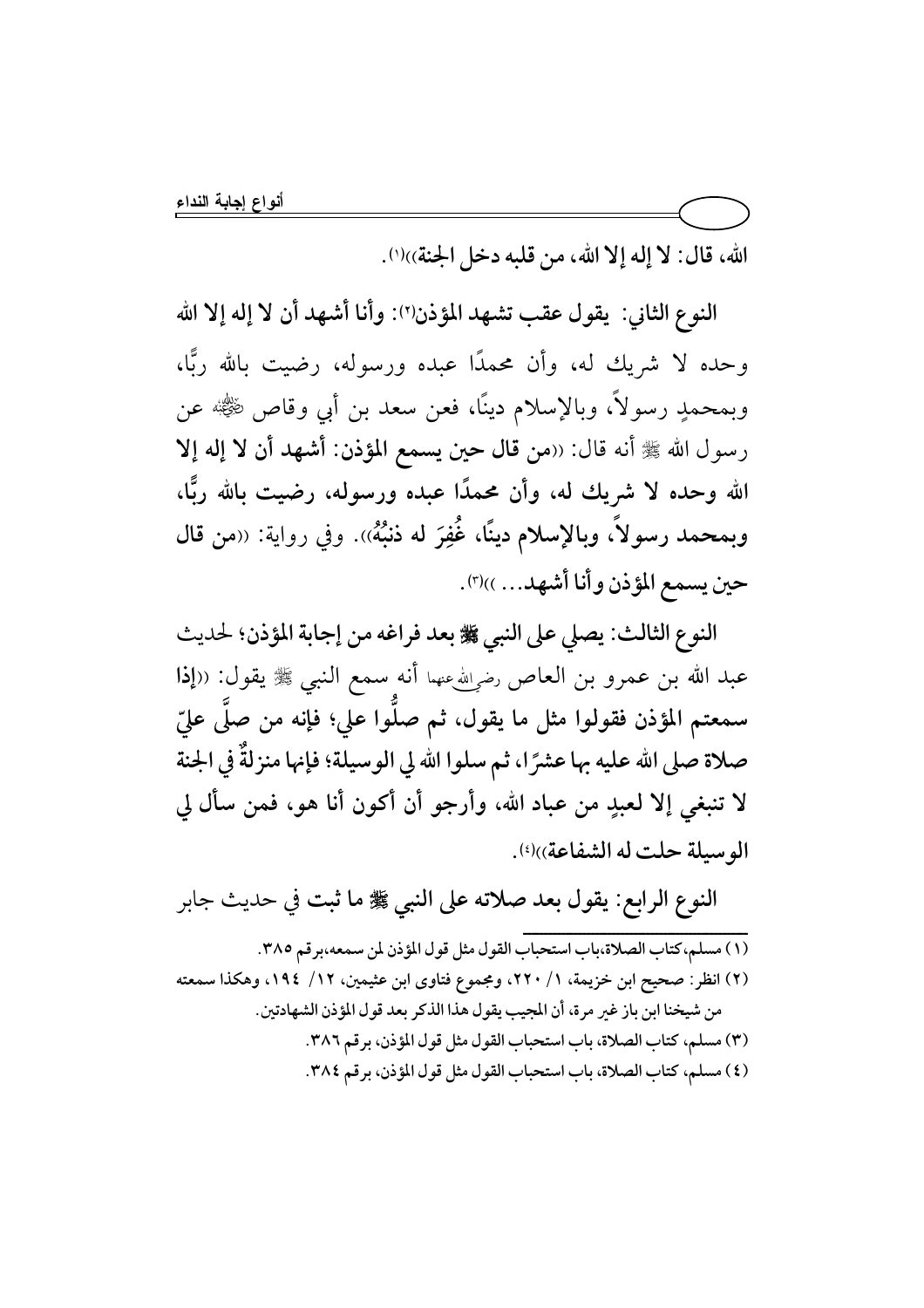الله، قال: لا إله إلا الله، من قلبه دخل الجنة))(').

النوع الثاني: يقول عقب تشهد المؤذن(٢): وأنا أشهد أن لا إله إلا الله وحده لا شريك له، وأن محمدًا عبده ورسوله، رضيت بالله ربًّا، وبمحمدٍ رسولاً، وبالإسلام دينًا، فعن سعد بن أبي وقاص ﷺ عن رسول الله ﷺ أنه قال: ((من قال حين يسمع المؤذن: أشهد أن لا إله إلا الله وحده لا شريك له، وأن محمدًا عبده ورسوله، رضيت بالله ربًّا، وبمحمد رسولاً، وبالإسلام دينًا، غُفِرَ له ذنبُهُ». وفي رواية: «من قال حين يسمع المؤذن وأنا أشهد... ))ا").

النوع الثالث: يصلى على النبي ﷺ بعد فراغه من إجابة المؤذن؛ لحديث عبد الله بن عمرو بن العاص رضٍالله عنهما أنه سمع النبي ﷺ يقول: ((إذا سمعتم المؤذن فقولوا مثل ما يقول، ثم صلُّوا على؛ فإنه من صلَّى عليّ صلاة صلى الله عليه بها عشرًا، ثم سلوا الله لي الوسيلة؛ فإنها منزلةٌ في الجنة لا تنبغي إلا لعبدٍ من عباد الله، وأرجو أن أكون أنا هو، فمن سأل لى الوسيلة حلت له الشفاعة))(2).

النوع الرابع: يقول بعد صلاته على النبي ﷺ ما ثبت في حديث جابر (١) مسلم،كتاب الصلاة،باب استحباب القول مثل قول المؤذن لمن سمعه،برقم ٣٨٥. (٢) انظر: صحيح ابن خزيمة، ١/ ٢٢٠، ومجموع فتاوى ابن عثيمين، ١٢/ ١٩٤، وهكذا سمعته من شيخنا ابن باز غير مرة، أن المجيب يقول هذا الذكر بعد قول المؤذن الشهادتين. (٣) مسلم، كتاب الصلاة، باب استحباب القول مثل قول المؤذن، برقم ٣٨٦. (٤) مسلم، كتاب الصلاة، باب استحباب القول مثل قول المؤذن، برقم ٣٨٤.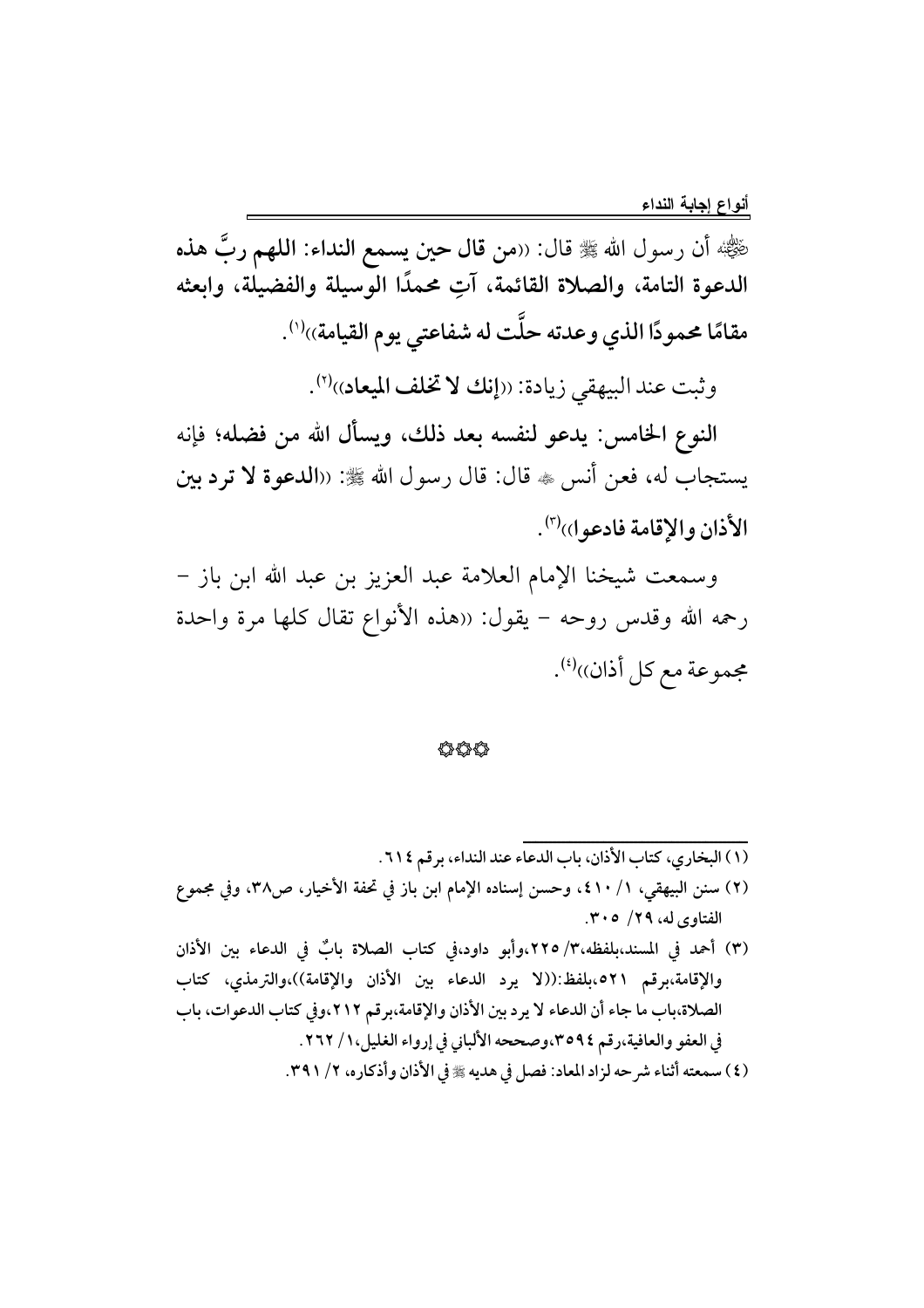هْيُّجْهُ أن رسول الله ﷺ قال: ((من قال حين يسمع النداء: اللهم ربَّ هذه الدعوة التامة، والصلاة القائمة، آتِ محمدًا الوسيلة والفضيلة، وابعثه مقامًا محمودًا الذي وعدته حلَّت له شفاعتى يوم القيامة))''.

وثبت عند البيهقي زيادة: ((إنك لا تخلف الميعاد))(٢).

النوع الخامس: يدعو لنفسه بعد ذلك، ويسأل الله من فضله؛ فإنه يستجاب له، فعن أنس ، قال: قال رسول الله ﷺ: ((الدعوة لا ترد بين الأذان والإقامة فادعو ١) (٣).

وسمعت شيخنا الإمام العلامة عبد العزيز بن عبد الله ابن باز – رحمه الله وقدس روحه – يقول: «هذه الأنواع تقال كلها مرة واحدة مجموعة مع كل أذان))(؛).

#### 44

(١) البخاري، كتاب الأذان، باب الدعاء عند النداء، برقم ٦١٤. (٢) سنن البيهقي، ١/ ٤١٠)، وحسن إسناده الإمام ابن باز في تحفة الأخيار، ص٣٨، وفي مجموع الفتاوي له، ٢٩/ ٣٠٥. (٣) أحمد في المسند،بلفظه،٣/ ٢٢٥،وأبو داود،في كتاب الصلاة بابٌ في الدعاء بين الأذان والإقامة،برقم ٥٢١،بلفظ:((لا يرد الدعاء بين الأذان والإقامة))،والترمذي، كتاب الصلاة،باب ما جاء أن الدعاء لا يرد بين الأذان والإقامة،برقم ٢١٢،وفي كتاب الدعوات، باب

في العفو والعافية،رقم ٣٥٩٤،وصححه الألباني في إرواء الغليل،١/ ٢٦٢.

(٤) سمعته أثناء شرحه لزاد المعاد: فصل في هديه ﷺ في الأذان وأذكاره، ٢/ ٣٩١.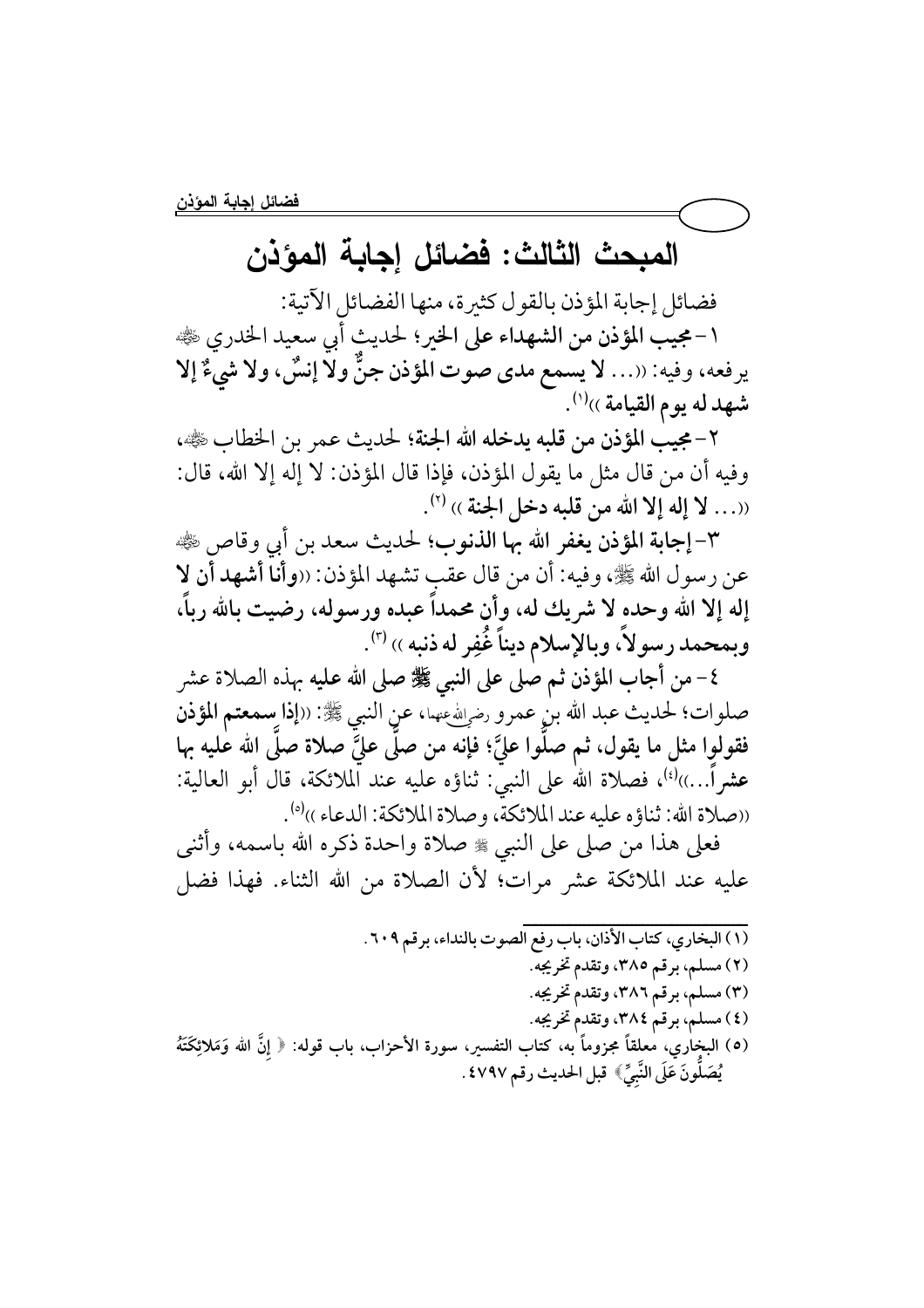## المبحث الثالث: فضائل إجابة المؤذن

فضائل إجابة المؤذن بالقول كثيرة، منها الفضائل الآتية:

١-مجيب المؤذن من الشهداء على الخير؛ لحديث أبي سعيد الخدري ﷺ يرفعه، وفيه: ((... لا يسمع مدى صوت المؤذن جنٌّ ولا إنسٌ، ولا شيءٌ إلا شهد له يوم القيامة ...(').

٢-مجيب المؤذن من قلبه يدخله الله الجنة؛ لحديث عمر بن الخطاب ﷺ، وفيه أن من قال مثل ما يقول المؤذن، فإذا قال المؤذن: لا إله إلا الله، قال: ((... لا إله إلا الله من قلبه دخل الجنة )) (٢).

٣-إجابة المؤذن يغفر الله بها الذنوب؛ لحديث سعد بن أبي وقاص ﷺ عن رسول الله ﷺ، وفيه: أن من قال عقب تشهد المؤذن: ‹‹وأناً أشهد أن لا إله إلا الله وحده لا شريك له، وأن محمداً عبده ورسوله، رضيت بالله رباً، وبمحمد رسولاً، وبالإسلام ديناً غُفِر له ذنبه ›› (٣).

٤- من أجاب المؤذن ثم صلى على النبي ﷺ صلى الله عليه بهذه الصلاة عشر صلوات؛ لحديث عبد الله بنِ عمرو رضالله عنها، عنِ النبي ﷺ: ((إذا ِسمعتم المؤذن فقولوا مثل ما يقول، ثم صلُّوا عليَّ؛ فإنه من صلَّى عليَّ صلاة صلَّى الله عٰليه بها عشراً…))<sup>(؛)</sup>، فصلاة الله على النبيّ: ثناؤه عليه عند الملائكة، قال أبو العالية: ((صلاة الله: ثناؤه عليه عند الملائكة، وصلاة الملائكة: الدعاء ))<sup>(ه)</sup>.

فعلى هذا من صلى على النبي ﷺ صلاة واحدة ذكره الله باسمه، وأثنى عليه عند الملائكة عشر مرات؛ لأن الصلاة من الله الثناء. فهذا فضل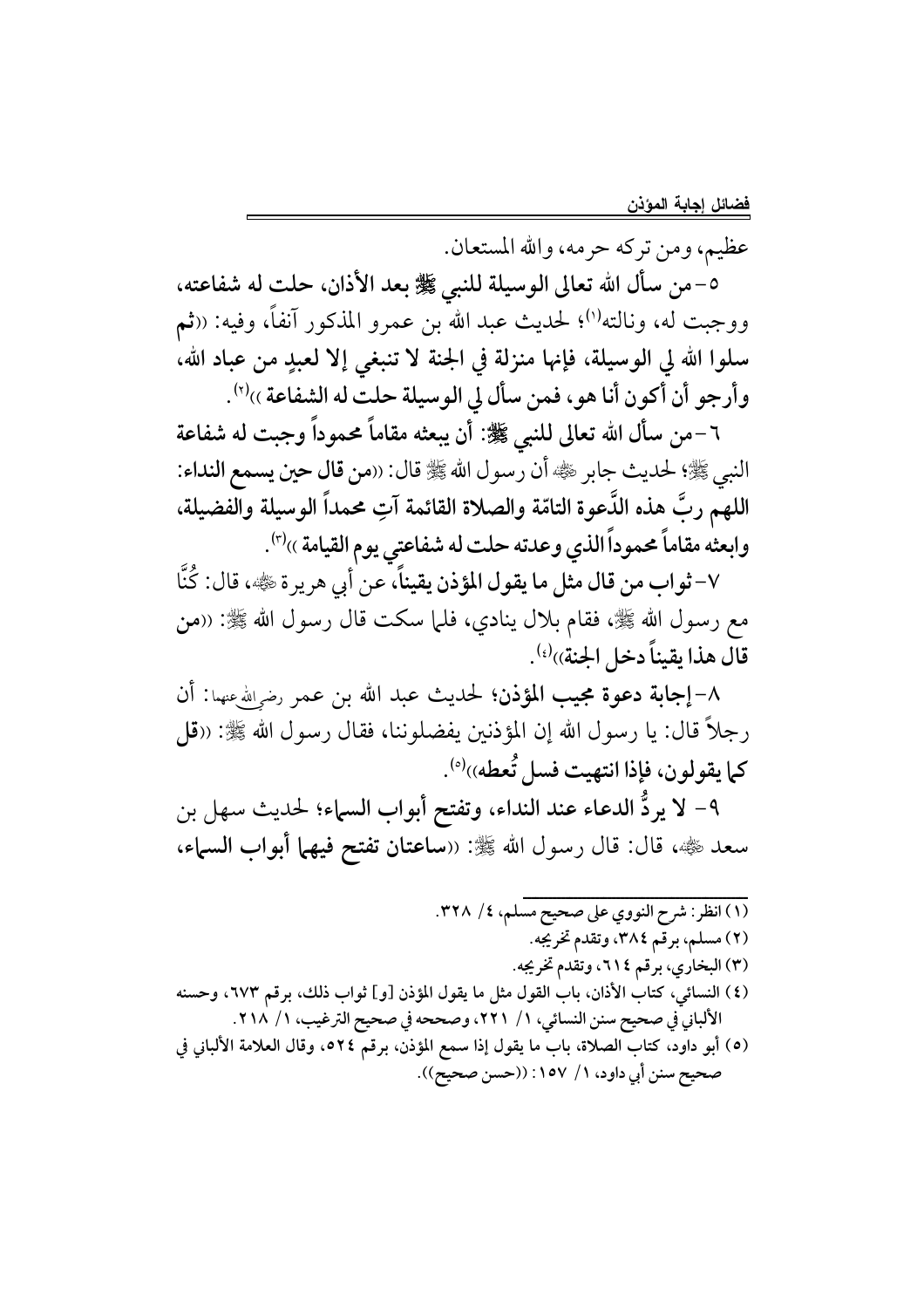عظيم، ومن تركه حرمه، والله المستعان.

٥-من سأل الله تعالى الوسيلة للنبي ﷺ بعد الأذان، حلت له شفاعته، ووجبت له، ونالته<sup>(١)</sup>؛ لحديث عبد الله بن عمرو المذكور آنفاً، وفيه: «ثم سلوا الله لي الوسيلة، فإنها منزلة في الجنة لا تنبغي إلا لعبدٍ من عباد الله، وأرجو أن أكون أنا هو، فمن سأل لي الوسيلة حلتٌ له الشفاعة ››(٢).

٦ –من سأل الله تعالى للنبي ﷺ: أن يبعثه مقاماً محموداً وجبت له شفاعة النبي ﷺ؛ لحديث جابر ﷺ أن رسول الله ﷺ قال: ((من قال حين يسمع النداء: اللهم ربَّ هذه الدَّعوة التامّة والصلاة القائمة آتِ محمداً الوسيلة والفضيلة، وابعثه مقاماً محموداً الذي وعدته حلت له شفاعتى يوم القيامة ››''.

٧–ثواب من قال مثل ما يقول المؤذن يقيناً، عن أبي هريرة ﷺ، قال: كُنَّا مع رسول الله ﷺ، فقام بلال ينادي، فلما سكت قال رسول الله ﷺ: «من قال هذا يقيناً دخل الجنة))<sup>(؛)</sup>.

٨-إجابة دعوة مجيب المؤذن؛ لحديث عبد الله بن عمر رضرالله عنها: أن رجلاً قال: يا رسول الله إن المؤذنين يفضلوننا، فقال رسول الله ﷺ: «قل كما يقولون، فإذا انتهيت فسل تُعطه))(°).

٩- لا يردُّ الدعاء عند النداء، وتفتح أبواب السماء؛ لحديث سهل بن سعد ﷺ، قال: قال رسول الله ﷺ: ((ساعتان تفتح فيهما أبواب السماء،

(١) انظر: شرح النووي على صحيح مسلم، ٤/ ٣٢٨. (٢) مسلم، برقم ٣٨٤، وتقدم تخريجه. (٣) البخاري، برقم ٢١٤، وتقدم تخريجه. (٤) النسائي، كتاب الأذان، باب القول مثل ما يقول المؤذن [و] ثواب ذلك، برقم ٦٧٣، وحسنه الألباني في صحيح سنن النسائي، ١/ ٢٢١، وصححه في صحيح الترغيب، ١/ ٢١٨. (٥) أبو داود، كتاب الصلاة، باب ما يقول إذا سمع المؤذن، برقم ٥٢٤ه، وقال العلامة الألباني في صحيح سنن أبي داود، ١/ ١٥٧: ((حسن صحيح)).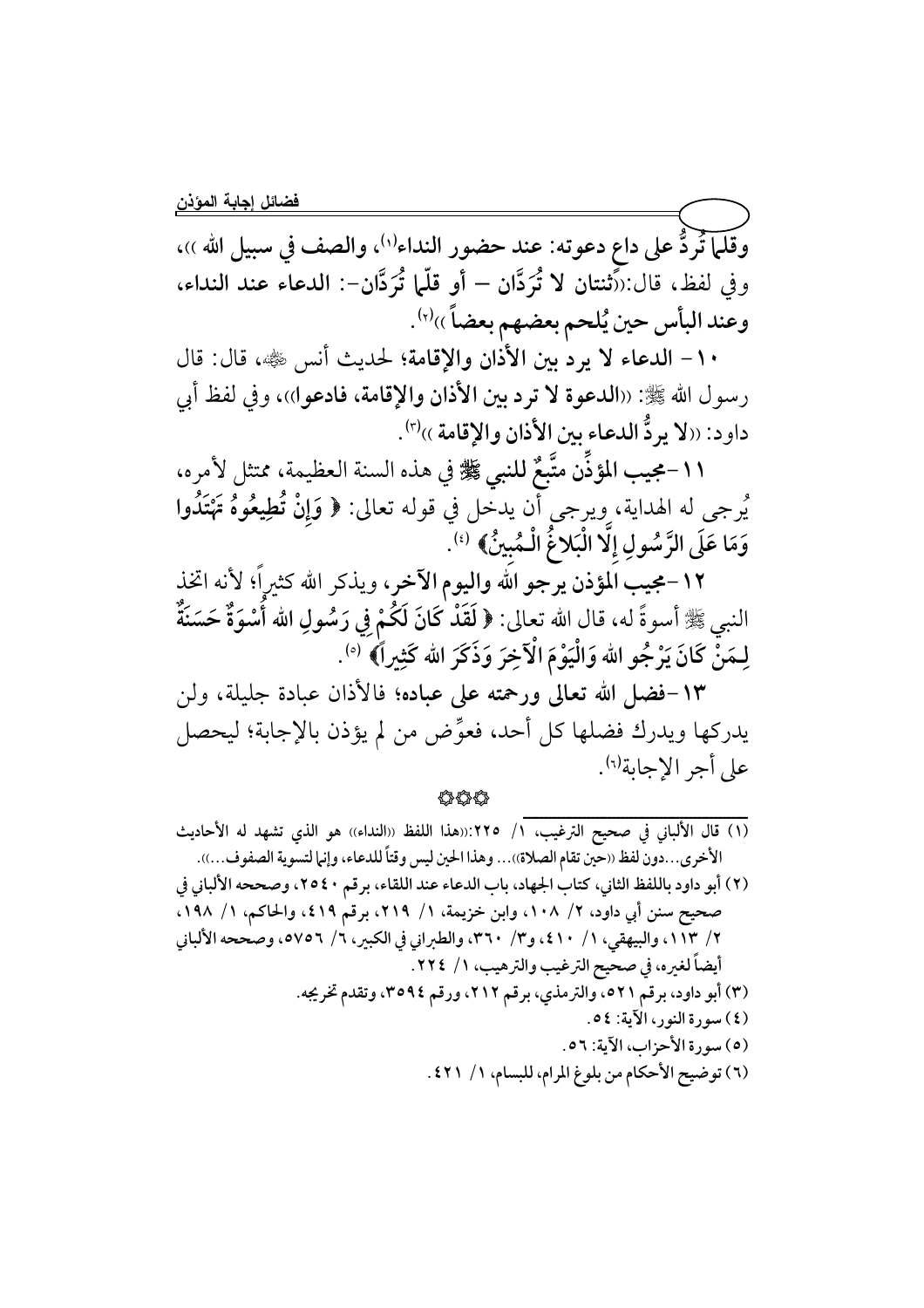وقلَّها تُردُّ على داع دعوته: عند حضور النداء'''، والصف في سبيل الله ))، وفي لفظ، قال:(أَثنتان لا تُرَدَّان – أو قلَّما تُرَدَّان-: الدعاء عند النداء، وعند البأس حين يُلحم بعضهم بعضاً ››''.

١٠- الدعاء لا يردُّ بين الأذان والإقامة؛ لحديث أنس ﷺ، قال: قال رسول الله ﷺ: «الدعوة لا ترد بين الأذان والإقامة، فادعوا)،، وفي لفظ أبي داود: ((لا يردُّ الدعاء بين الأذان والإقامة ))(٣).

١١-مجيب المؤذِّن متَّبِعٌ للنبي ﷺ في هذه السنة العظيمة، ممتثل لأمره، يُرجى له الهداية، ويرجى أن يدخل في قوله تعالى: ﴿ وَإِنْ تُطِيعُوهُ تَهْتَدُوا وَمَا عَلَى الرَّسُولِ إِلَّا الْبَلاغُ الْمُبينُ﴾ (''.

١٢-مجيب المؤذن يرجو الله واليوم الآخر، ويذكر الله كثيرٍاً؛ لأنه اتخذ النبي ﷺ أسوةً له، قال الله تعالى: ﴿ لَقَدْ كَانَ لَكُمْ فِي رَسُولِ الله أَسْوَةٌ حَسَنَةٌ ۚ لِـمَنَّ كَانَ يَرْجُو الله وَالْيَوْمَ الْآخِرَ وَذَكَرَ الله كَثِيراً﴾ [°).

١٣-فضل الله تعالى ورحمته على عباده؛ فالأذان عبادة جليلة، ولن يدركها ويدرك فضلها كل أحد، فعوِّض من لم يؤذن بالإجابة؛ ليحصل على أجر الإجابة<sup>(٦)</sup>.

你你你

- (١) قال الألباني في صحيح الترغيب، ١/ ٢٢٥:((هذا اللفظ ((النداء)) هو الذي تشهد له الأحاديث الأخرى...دون لفظ ((حين تقام الصلاة))... وهذا الحين ليس وقتاً للدعاء، وإنها لتسوية الصفوف...)).
- (٢) أبو داود باللفظ الثاني، كتاب الجهاد، باب الدعاء عند اللقاء، برقم ٢٥٤٠، وصححه الألباني في صحيح سنن أبي داود، ٢/ ١٠٨، وابن خزيمة، ١/ ٢١٩، برقم ٤١٩، والحاكم، ١/ ١٩٨، ٢/ ١٣]، والبيهقي، ١/ ٤١٠، و٣/ ٣٦٠، والطبراني في الكبير، ٦/ ٥٧٥٦، وصححه الألباني أيضاً لغيره، في صحيح الترغيب والترهيب، ١/ ٢٢٤. (٣) أبو داود، برقم ٥٢١، والترمذي، برقم ٢١٢، ورقم ٣٥٩٤، وتقدم تخريجه. (٤) سورة النور، الآية: ٥٤. (٥) سورة الأحزاب، الآية: ٥٦. (٦) توضيح الأحكام من بلوغ المرام، للبسام، ١/ ٤٢١.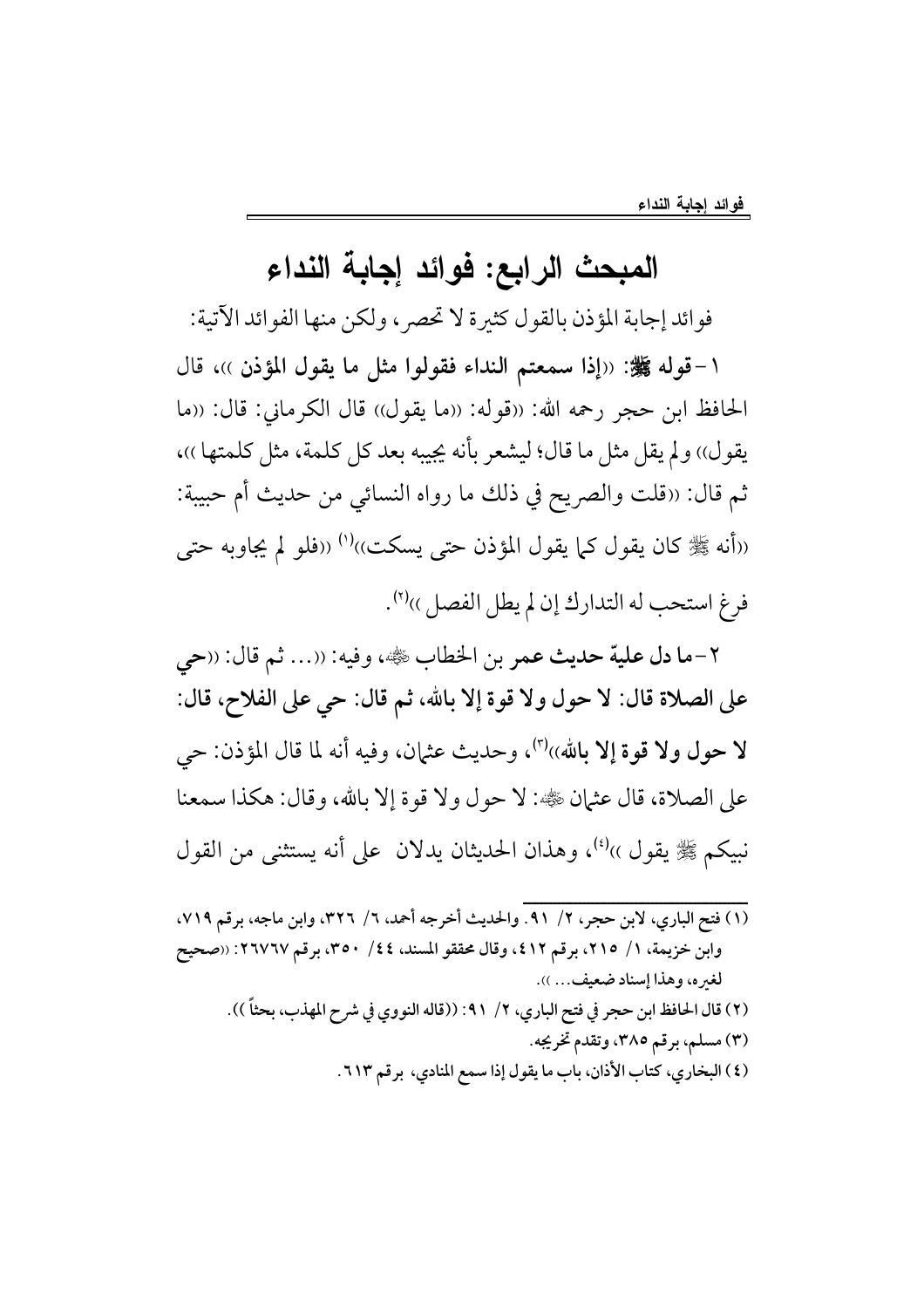## المبحث الرابع: فوائد إجابة النداء

فوائد إجابة المؤذن بالقول كثيرة لا تحصر، ولكن منها الفوائد الآتية:

١-قوله ﷺ: «إذا سمعتم النداء فقولوا مثل ما يقول المؤذن ))، قال الحافظ ابن حجر رحمه الله: «قوله: «ما يقول)) قال الكرماني: قال: «ما يقول)) ولم يقل مثل ما قال؛ ليشعر بأنه يجيبه بعد كل كلمة، مثل كلمتها ))، ثم قال: «قلت والصريح في ذلك ما رواه النسائي من حديث أم حبيبة: «أنه ﷺ كان يقول كما يقول المؤذن حتى يسكت»<sup>(١)</sup> «فلو لم يجاوبه حتى فرغ استحب له التدارك إن لم يطل الفصل ))(٢).

٢-ما دل علية حديث عمر بن الخطاب ﷺ، وفيه: ((... ثم قال: ((حي على الصلاة قال: لا حول ولا قوة إلا بالله، ثم قال: حي على الفلاح، قال: لا حول ولا قوة إلا بالله))'')، وحديث عثمان، وفيه أنه لما قال المؤذن: حي على الصلاة، قال عثمان ﷺ: لا حول ولا قوة إلا بالله، وقال: هكذا سمعنا نبيكم ﷺ يقول ))<sup>(٤)</sup>، وهذان الحديثان يدلان على أنه يستثنى من القول

(١) فتح الباري، لابن حجر، ٢/ ٩١. والحديث أخرجه أحمد، ٦/ ٣٢٦، وابن ماجه، برقم ٧١٩، وابن خزيمة، ١/ ٢١٥، برقم ٤١٢، وقال محققو المسند، ٤٤/ ٣٥٠، برقم ٢٦٧٦٧: ((صحيح لغيره، وهذا إسناد ضعيف... )). (٢) قال الحافظ ابن حجر في فتح الباري، ٢/ ٩١: ((قاله النووي في شرح المهذب، بحثاً )). (۳) مسلم، برقم ۳۸۰، وتقدم تخريجه. (٤) البخاري، كتاب الأذان، باب ما يقول إذا سمع المنادي، برقم ٦١٣.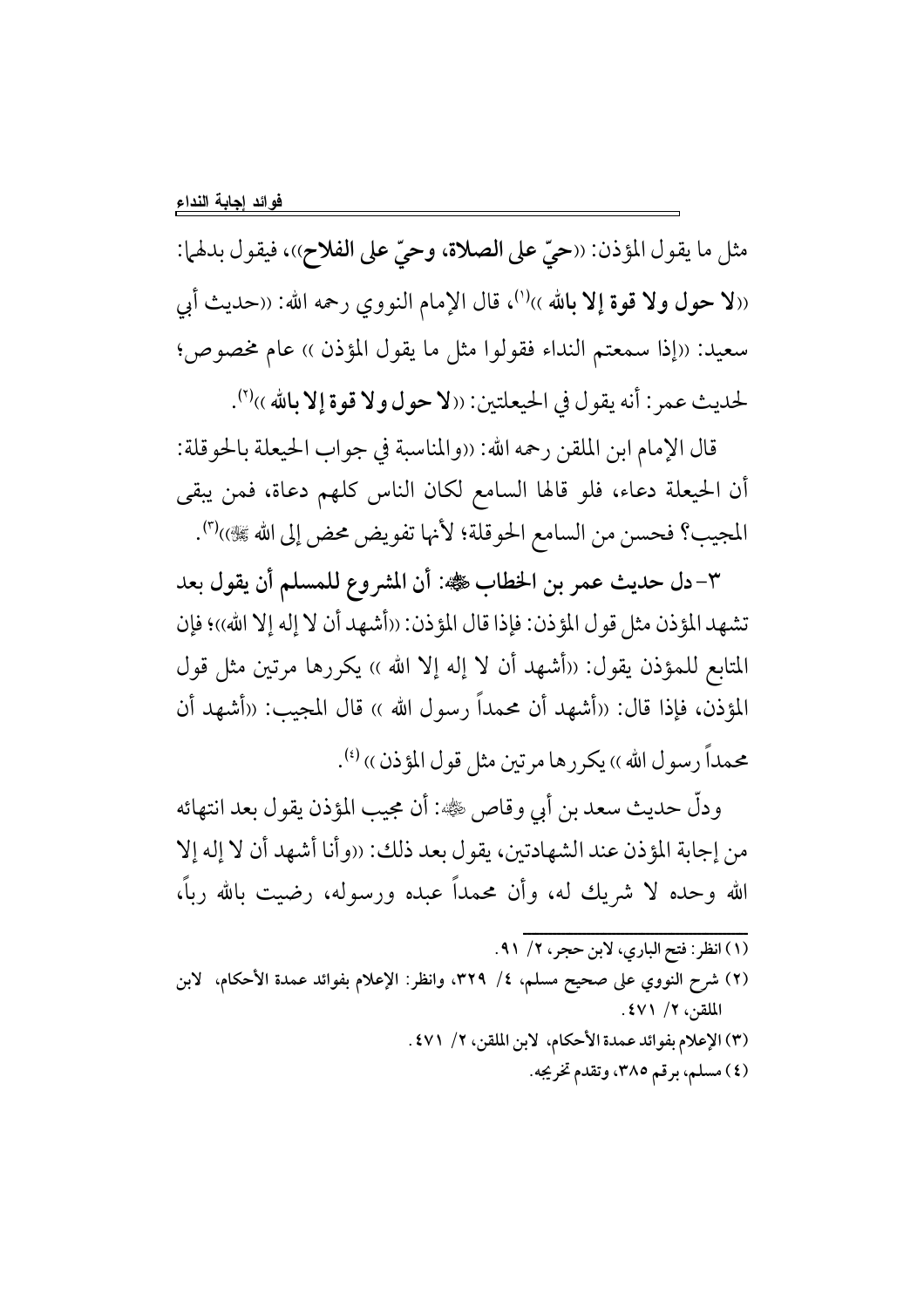مثل ما يقول المؤذن: ‹‹حيّ على الصلاة، وحيّ على الفلاح››، فيقول بدلها: ((لا حول ولا قوة إلا بالله ))(')، قال الإمام النووي رحمه الله: ((حديث أبي سعيد: «إذا سمعتم النداء فقولوا مثل ما يقول المؤذن » عام مخصوص؛ لحديث عمر: أنه يقول في الحيعلتين: ((لا حول ولا قوة إلا بالله ))(٢).

قال الإمام ابن الملقن رحمه الله: ((والمناسبة في جواب الحيعلة بالحوقلة: أن الحيعلة دعاء، فلو قالها السامع لكان الناس كلهم دعاة، فمن يبقى المجيب؟ فحسن من السامع الحوقلة؛ لأنها تفويض محض إلى الله ﷺ))'".

٣-دل حديث عمر بن الخطاب ﷺ: أن المشروع للمسلم أن يقول بعد تشهد المؤذن مثل قول المؤذن: فإذا قال المؤذن: ((أشهد أن لا إله إلا الله))؛ فإن المتابع للمؤذن يقول: «أشهد أن لا إله إلا الله » يكررها مرتين مثل قول المؤذن، فإذا قال: «أشهد أن محمداً رسول الله » قال المجيب: «أشهد أن محمداً رسول الله )) يكررها مرتين مثل قول المؤذن )) (4).

ودلٌّ حديث سعد بن أبي وقاص ﷺ: أن مجيب المؤذن يقول بعد انتهائه من إجابة المؤذن عند الشهادتين، يقول بعد ذلك: ((وأنا أشهد أن لا إله إلا الله وحده لا شريك له، وأن محمداً عبده ورسوله، رضيت بالله رباً،

- (١) انظر: فتح الباري، لابن حجر، ٢/ ٩١.
- (٢) شرح النووي على صحيح مسلم، ٤/ ٣٢٩، وانظر: الإعلام بفوائد عمدة الأحكام، لابن الملقن، ٢/ ٤٧١.
	- (٣) الإعلام بفوائد عمدة الأحكام، لابن الملقن، ٢/ ٤٧١. (٤) مسلم، برقم ٣٨٥، وتقدم تخريجه.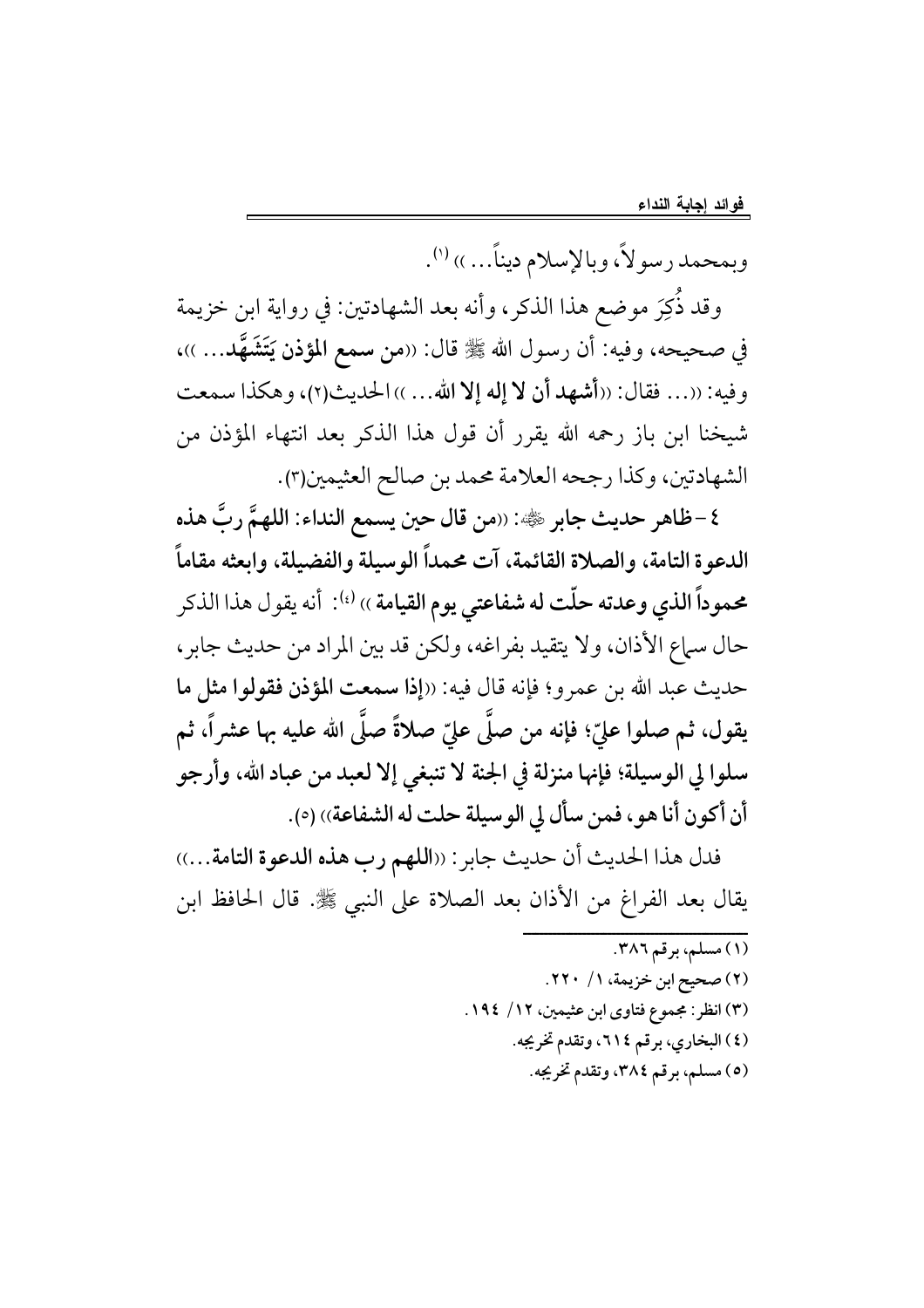وبمحمد رسولاً، وبالإسلام ديناً….)) (').

وقد ذُكِرَ موضعٍ هذا الذكر، وأنه بعد الشهادتين: في رواية ابن خزيمة في صحيحه، وفيه: أن رسول الله ﷺ قال: ((من سمع المؤذن يَتَشَهَّد... ))، وفيه: ((... فقال: ((أشهد أن لا إله إلا الله... )) الحديث(٢)، وهكذا سمعت شيخنا ابن باز رحمه الله يقرر أن قول هذا الذكر بعد انتهاء المؤذن من الشهادتين، وكذا رجحه العلامة محمد بن صالح العثيمين(٣).

٤ – ظاهر حديث جابر ﷺ: ((من قال حين يسمع النداء: اللهمَّ ربَّ هذه الدعوة التامة، والصلاة القائمة، آت محمداً الوسيلة والفضيلة، وابعثه مقاماً محموداً الذي وعدته حلّت له شفاعتي يوم القيامة ›› <sup>(؛)</sup>: أنه يقول هذا الذكر حال سماع الأذان، ولا يتقيد بفراغه، ولكن قد بين المراد من حديث جابر، حديث عبد الله بن عمرو؛ فإنه قال فيه: ((إذا سمعت المؤذن فقولوا مثل ما يقول، ثم صلوا عليّ؛ فإنه من صلَّى عليّ صلاةً صلَّى الله عليه بها عشراً، ثم سلوا لي الوسيلة؛ فإنها منزلة في الجنة لا تنبغي إلا لعبد من عباد الله، وأرجو أن أكون أنا هو، فمن سأل لي الوسيلة حلت له الشفاعة)) (٥).

فدل هذا الحديث أن حديث جابر: ((اللهم رب هذه الدعوة التامة...)) يقال بعد الفراغ من الأذان بعد الصلاة على النبي ﷺ. قال الحافظ ابن

> (١) مسلم، برقم ٣٨٦. (٢) صحيح ابن خزيمة، ١/ ٢٢٠. (٣) انظر: مجموع فتاوى ابن عثيمين، ١٢/ ١٩٤. (٤) البخاري، برقم ٢١٤، وتقدم تخريجه. (٥) مسلم، برقم ٣٨٤، وتقدم تخريجه.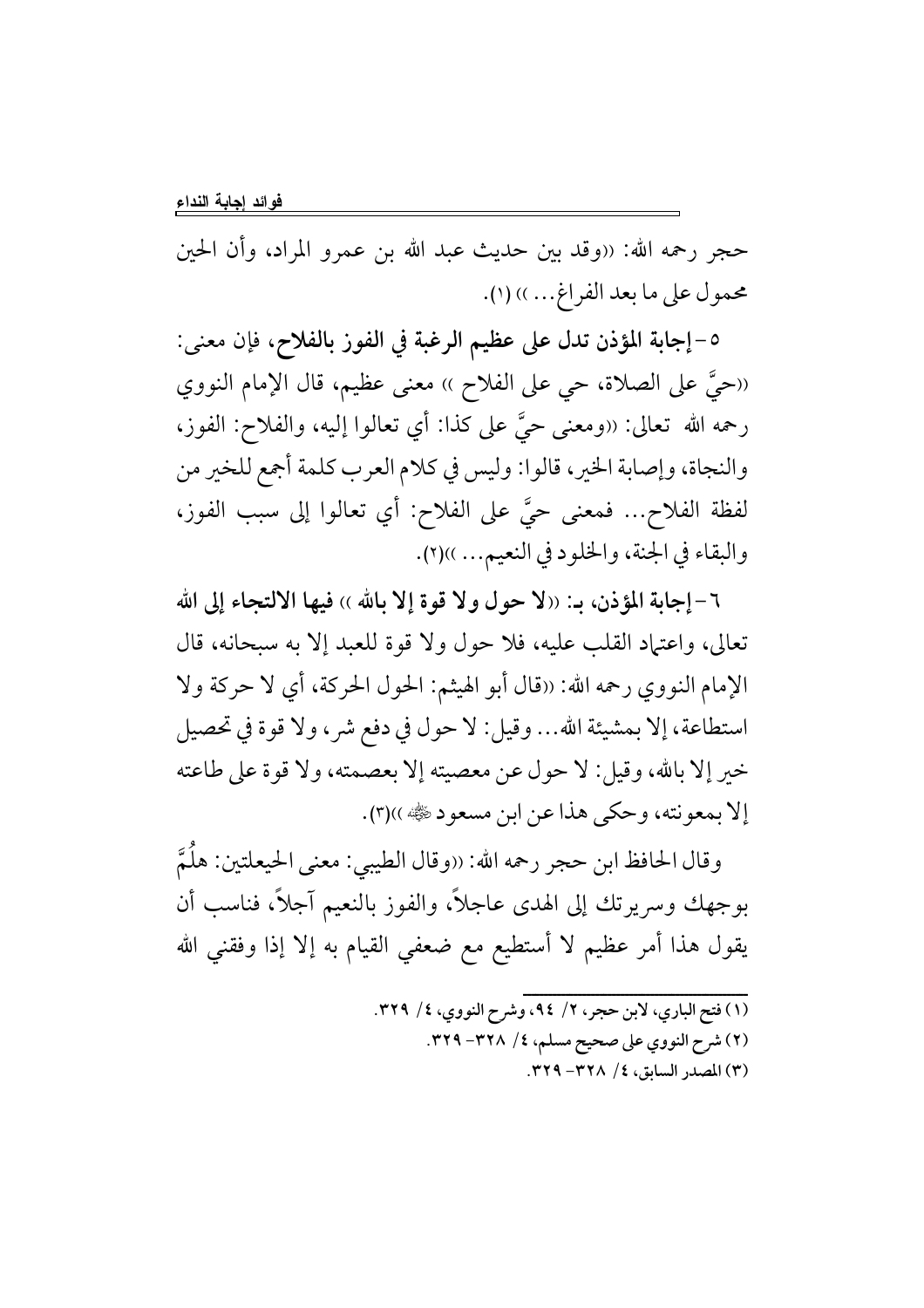حجرٍ رحمه الله: «وقد بين حديث عبد الله بن عمرو المراد، وأن الحين محمول على ما بعد الفراغ... )) (١).

٥-إجابة المؤذن تدل على عظيم الرغبة في الفوز بالفلاح، فإن معنى: ((حيَّ على الصلاة، حي على الفلاح )) معنى عظيم، قال الإمام النووي رحمه الله تعالى: «ومعنى حيَّ على كذا: أي تعالوا إليه، والفلاح: الفوز، والنجاة، وإصابة الخير، قالوا: وليس في كلام العرب كلمة أجمع للخير من لفظة الفلاح... فمعنى حيَّ على الفلاح: أي تعالوا إلى سبب الفوز، والبقاء في الجنة، والخلود في النعيم... ))(٢).

٦-إجابة المؤذن، بـ: «لا حول ولا قوة إلا بالله ›› فيها الالتجاء إلى الله تعالى، واعتياد القلب عليه، فلا حول ولا قوة للعبد إلا به سبحانه، قال الإمام النووي رحمه الله: «قال أبو الهيثم: الحول الحركة، أي لا حركة ولا استطاعة، إلا بمشيئة الله... وقيل: لا حول في دفع شر ، ولا قوة في تحصيل خير إلا بالله، وقيل: لا حول عن معصيته إلا بعصمته، ولا قوة على طاعته إلا بمعونته، وحكى هذا عن ابن مسعود ١٤٠٠).

وقال الحافظ ابن حجر رحمه الله: «وقال الطيبي: معنى الحيعلتين: هلُمَّ بوجهك وسريرتك إلى الهدى عاجلاً، والفوز بالنعيم آجلاً، فناسب أن يقول هذا أمر عظيم لا أستطيع مع ضعفي القيام به إلا إذا وفقني الله

- (١) فتح الباري، لابن حجر، ٢/ ٩٤، وشرح النووي، ٤/ ٣٢٩.
	- (٢) شرح النووي على صحيح مسلم، ٤/ ٣٢٨- ٣٢٩.
		- (٣) المصدر السابق، ٤/ ٣٢٨- ٣٢٩.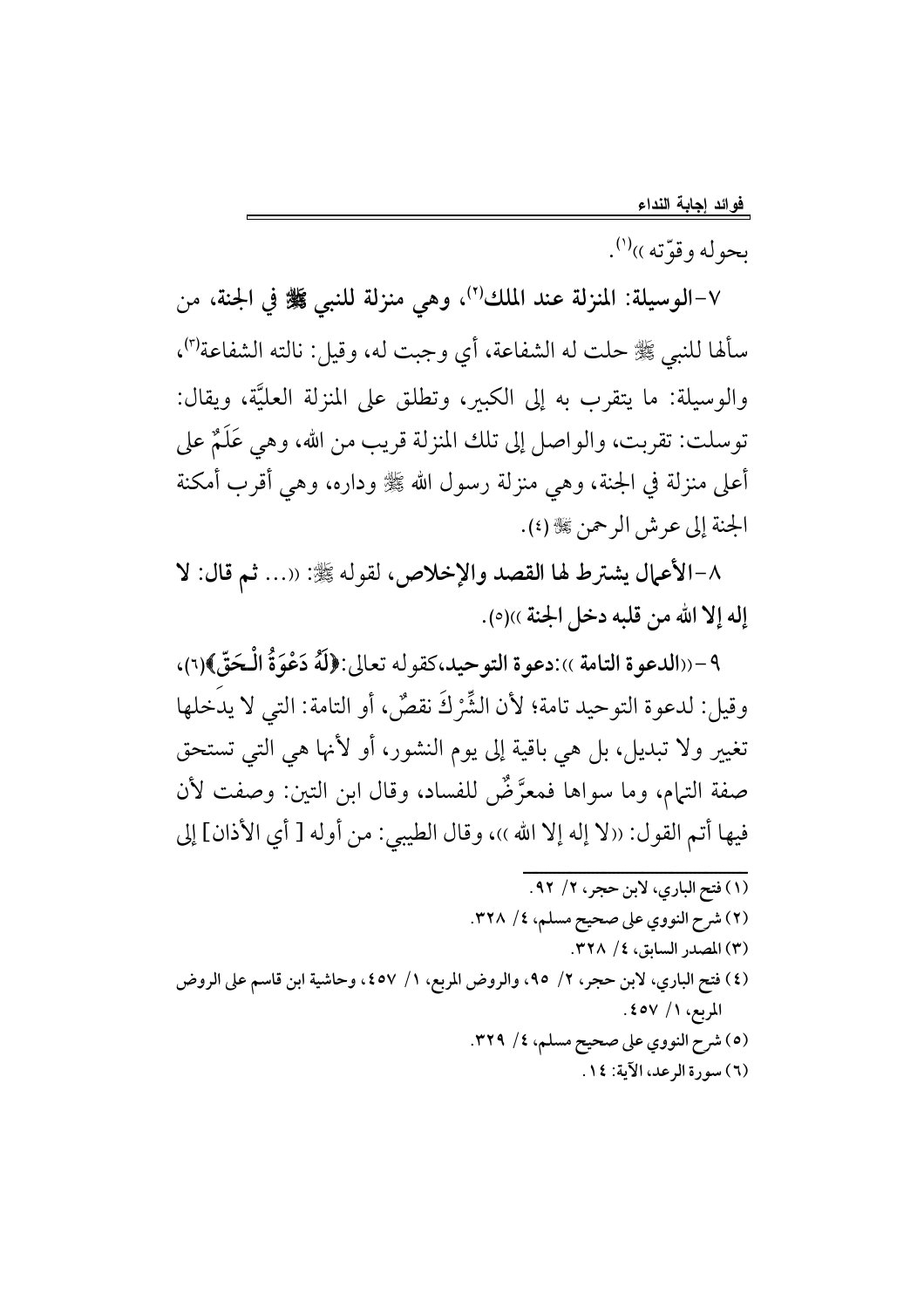بحوله و قوَّته ))<sup>(۱</sup>).

٧-الوسيلة: المنزلة عند الملك'')، وهي منزلة للنبي ﷺ في الجنة، من سألها للنبي ﷺ حلت له الشفاعة، أي وجبت له، وقيل: نالته الشفاعة'")، والوسيلة: ما يتقرب به إلى الكبير، وتطلق على المنزلة العليَّة، ويقال: توسلت: تقربت، والواصل إلى تلك المنزلة قريب من الله، وهي عَلَمٌ على أعلى منزلة في الجنة، وهي منزلة رسول الله ﷺ وداره، وهي أقرب أمكنة الجنة إلى عرش الرحمن ﷺ (٤).

٨-الأعمال يشترط لها القصد والإخلاص، لقوله ﷺ: ((... ثم قال: لا إله إلا الله من قلبه دخل الجنة »(٥).

٩-«الدعوة التامة »:دعوة التوحيد،كقوله تعالى:﴿لَهُ دَعْوَةُ الْحَقَّ﴾(٦)، وقيل: لدعوة التوحيد تامة؛ لأن الشِّرْكَ نقصٌ، أو التامة: التي لا يدخلها تغيير ولا تبديل، بل هي باقية إلى يوم النشور، أو لأنها هي التي تستحق صفة التيام، وما سواها فمعرَّضٌ للفساد، وقال ابن التين: وصفت لأن فيها أتم القول: «لا إله إلا الله ))، وقال الطيبي: من أوله [ أي الأذان] إلى

(١) فتح الباري، لابن حجر، ٢/ ٩٢. (٢) شرح النووي على صحيح مسلم، ٤/ ٣٢٨. (٣) المصدر السابق، ٤/ ٣٢٨. (٤) فتح الباري، لابن حجر، ٢/ ٩٥، والروض المربع، ١/ ٤٥٧، وحاشية ابن قاسم على الروض المربع، ١/ ٤٥٧. (٥) شرح النووي على صحيح مسلم، ٤/ ٣٢٩. (٦) سورة الرعد، الآية: ١٤.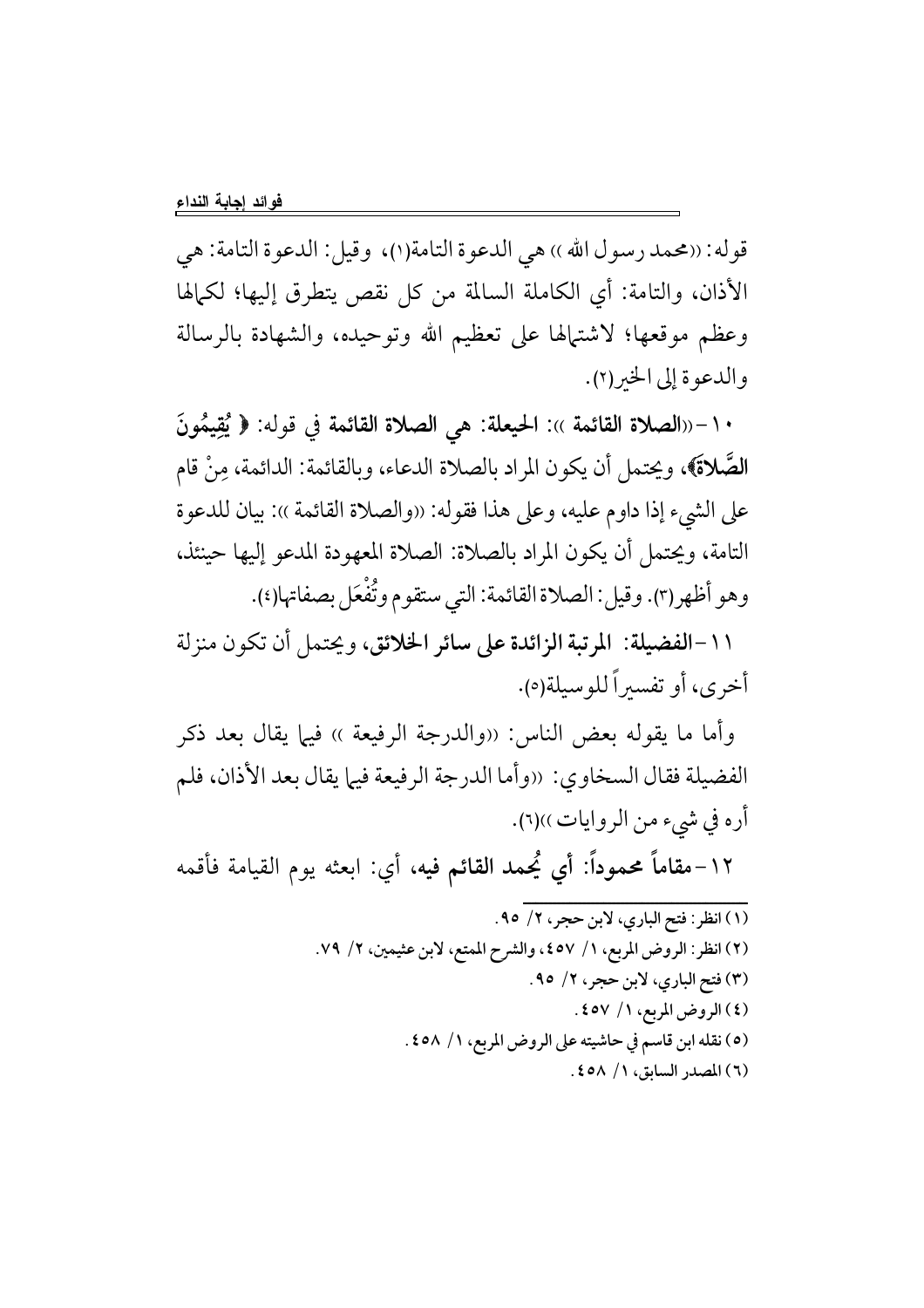قوله: «محمد رسول الله ›› هي الدعوة التامة(١)، وقيل: الدعوة التامة: هي الأذان، والتامة: أي الكاملة السالمة من كل نقص يتطرق إليها؛ لكمالها وعظم موقعها؛ لاشتهالها على تعظيم الله وتوحيده، والشهادة بالرسالة والدعوة إلى الخير(٢).

١٠-((الصلاة القائمة )): الحيعلة: هي الصلاة القائمة في قوله: ﴿ يُقِيمُونَ الصَّلاةَ)، ويحتمل أن يكون المراد بالصلاة الدعاء، وبالقائمة: الدائمة، مِنْ قام على الشيء إذا داوم عليه، وعلى هذا فقوله: «والصلاة القائمة »: بيان للدعوة التامة، ويحتمل أن يكون المراد بالصلاة: الصلاة المعهودة المدعو إليها حينئذ، وهو أظهر(٣). وقيل: الصلاة القائمة: التي ستقوم وتُفْعَل بصفاتها(٤).

١١-الفضيلة: المرتبة الزائدة على سائر الخلائق، ويحتمل أن تكون منزلة أخرى، أو تفسيراً للوسيلة(٥).

وأما ما يقوله بعض الناس: «والدرجة الرفيعة » فيها يقال بعد ذكر الفضيلة فقال السخاوي: «وأما الدرجة الرفيعة فيها يقال بعد الأذان، فلم أره في شيء من الروايات))(٦).

١٢–مقاماً محموداً: أي يُحمد القائم فيه، أي: ابعثه يوم القيامة فأقمه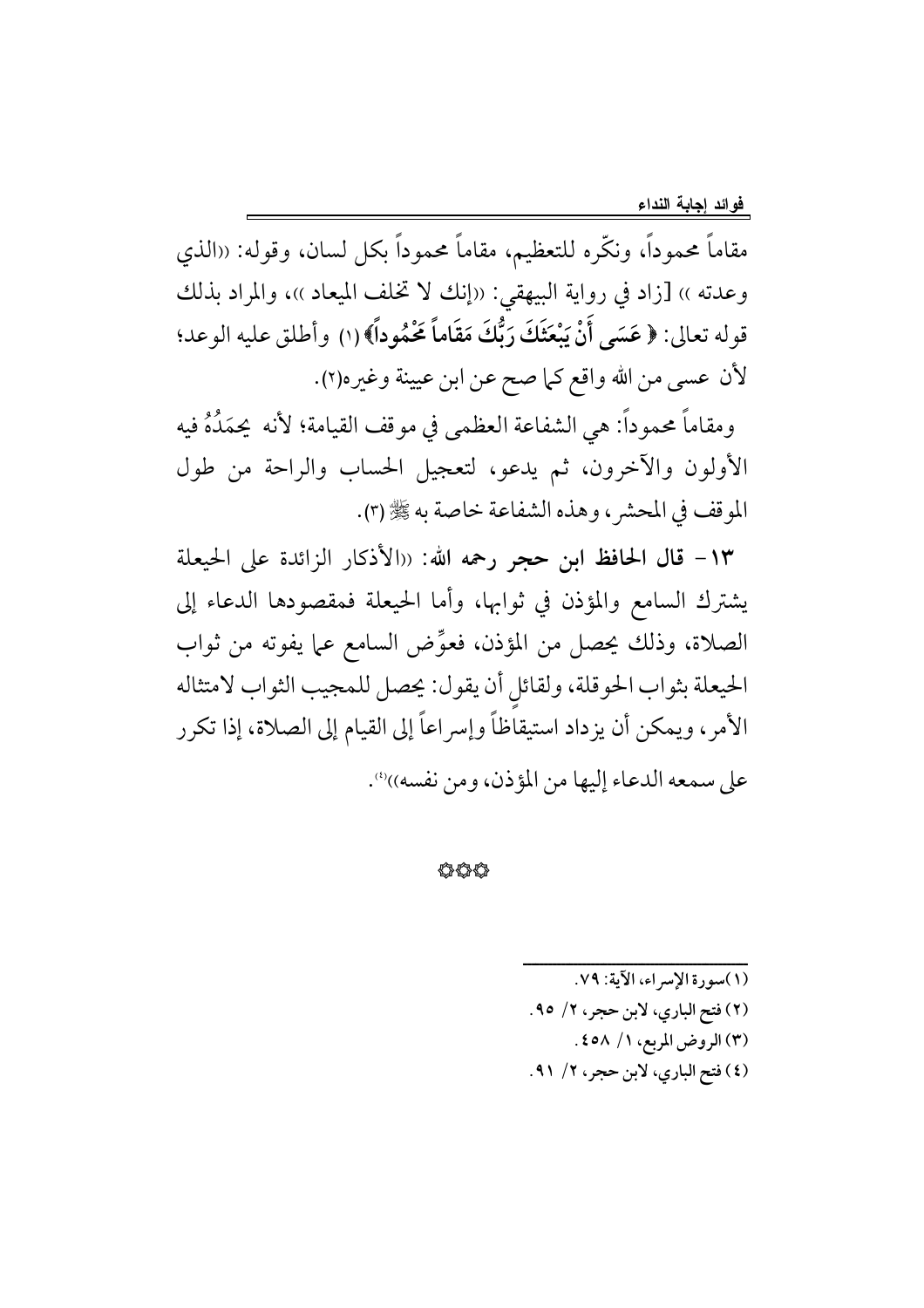مقاماً محموداً، ونكَّره للتعظيم، مقاماً محموداً بكل لسان، وقوله: «الذي وعدته ›› [زاد في رواية البيهقي: «إنك لا تخلف الميعاد ››، والمراد بذلك قوله تعالى: ﴿ عَسَى أَنْ يَبْعَثَكَ رَبُّكَ مَقَاماً مَحْمُوداً﴾ (١) وأطلق عليه الوعد؛ لأن عسى من الله واقع كما صح عن ابن عيينة وغيره(٢).

ومقاماً محموداً: هي الشفاعة العظمى في موقف القيامة؛ لأنه يحمَدُهُ فيه الأولون والآخرون، ثم يدعو، لتعجيل الحساب والراحة من طول الموقف في المحشر ، وهذه الشفاعة خاصة به ﷺ (٣).

١٣- قال الحافظ ابن حجر رحمه الله: «الأذكار الزائدة على الحيعلة يشترك السامع والمؤذن في ثوابها، وأما الحيعلة فمقصودها الدعاء إلى الصلاة، وذلك يحصل من المؤذن، فعوِّض السامع عما يفوته من ثواب الحيعلة بثواب الحوقلة، ولقائل أن يقول: يحصل للمجيب الثواب لامتثاله الأمر، ويمكن أن يزداد استيقاظاً وإسراعاً إلى القيام إلى الصلاة، إذا تكرر على سمعه الدعاء إليها من المؤذن، ومن نفسه))".

44

(١) سورة الإسراء، الآية: ٧٩. (٢) فتح الباري، لابن حجر، ٢/ ٩٥. (٣) الروض المربع، ١/ ٤٥٨. (٤) فتح الباري، لابن حجر، ٢/ ٩١.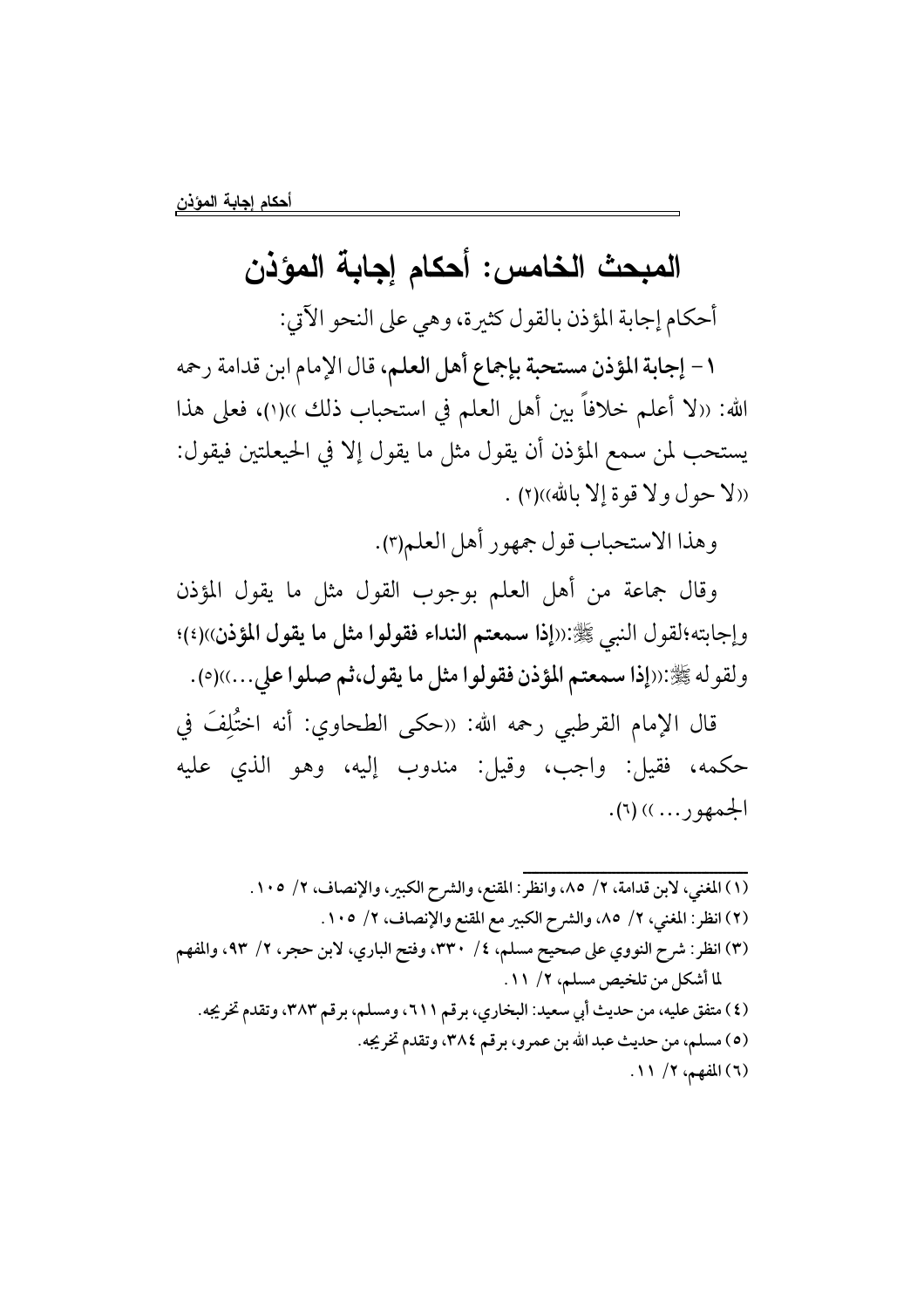# المبحث الخامس: أحكام إجابة المؤذن

أحكام إجابة المؤذن بالقول كثيرة، وهي على النحو الآتي:

١ – إجابة المؤذن مستحبة بإجماع أهل العلم، قال الإمام ابن قدامة رحمه الله: ((لا أعلم خلافاً بين أهل العلم في استحباب ذلك ))(١)، فعلى هذا يستحب لمن سمع المؤذن أن يقول مثل ما يقول إلا في الحيعلتين فيقول: ((لا حول ولا قوة إلا بالله))(٢).

وهذا الاستحباب قول جمهور أهل العلم(٣).

وقال جماعة من أهل العلم بوجوب القول مثل ما يقول المؤذن وإجابته؛لقول النبي ﷺ:((إذا سمعتم النداء فقولوا مثل ما يقول المؤذن))(٤)؛ ولقوله ﷺ:((إذا سمعتم المؤذن فقولوا مثل ما يقول،ثم صلوا على...))(٥).

قال الإمام القرطبي رحمه الله: «حكى الطحاوي: أنه اختُلِفَ في حكمه، فقيل: واجب، وقيل: مندوب إليه، وهو الذي عليه  $\pm 1)$  ( ... )) ( ...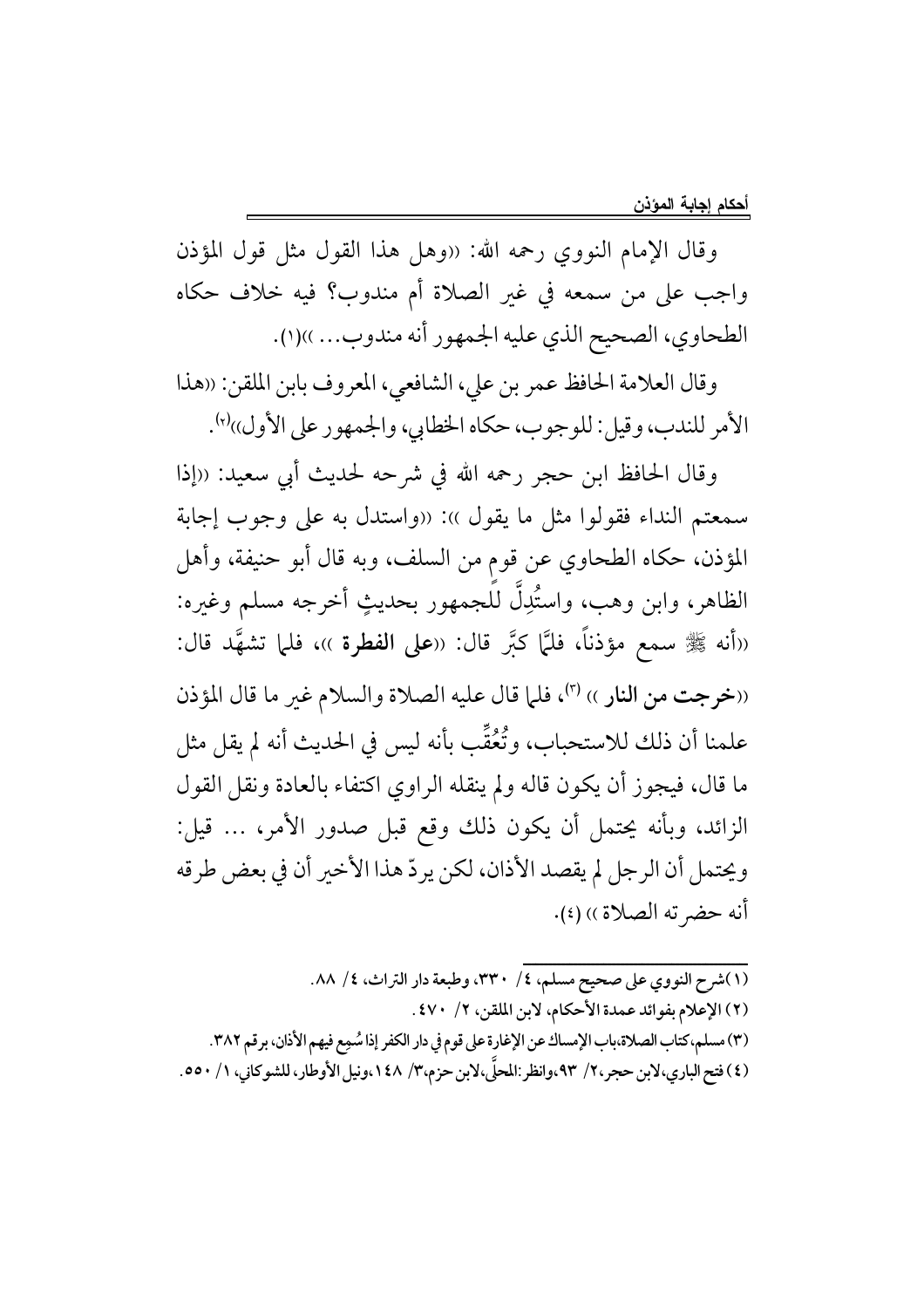وقال الإمام النووي رحمه الله: «وهل هذا القول مثل قول المؤذن واجب على من سمعه في غير الصلاة أم مندوب؟ فيه خلاف حكاه الطحاوي، الصحيح الذي عليه الجمهور أنه مندوب... ))(١).

وقال العلامة الحافظ عمر بن على، الشافعي، المعروف بابن الملقن: ((هذا الأمر للندب، وقيل: للوجوب، حكاه الخطابي، والجمهور على الأول))'۰٪.

وقال الحافظ ابن حجرٍ رحمه الله في شرحه لحديث أبي سعيد: ((إذا سمعتم النداء فقولوا مثل ما يقول )): «واستدل به على وجوب إجابة المؤذن، حكاه الطحاوي عن قوم من السلف، وبه قال أبو حنيفة، وأهل الظاهر، وابن وهب، واستُدِلُّ للجمهور بحديثٍ أخرجه مسلم وغيره: ((أنه ﷺ سمع مؤذناً، فليَّا كبَّر قال: ((على الفطرة ))، فلما تشهَّد قال: ((خرجت من النار )) (٣)، فلما قال عليه الصلاة والسلام غير ما قال المؤذن علمنا أن ذلك للاستحباب، وتُعُقُّب بأنه ليس في الحديث أنه لم يقل مثل ما قال، فيجوز أن يكون قاله ولم ينقله الراوي اكتفاء بالعادة ونقل القول الزائد، وبأنه يحتمل أن يكون ذلك وقع قبل صدور الأمر، … قيل: ويحتمل أن الرجل لم يقصد الأذان، لكن يردّ هذا الأخير أن في بعض طرقه أنه حضر ته الصلاة )) (٤).

(١)شرح النووي على صحيح مسلم، ٤/ ٣٣٠، وطبعة دار التراث، ٤/ ٨٨. (٢) الإعلام بفوائد عمدة الأحكام، لابن الملقن، ٢/ ٤٧٠. (٣) مسلم،كتاب الصلاة،باب الإمساك عن الإغارة على قوم في دار الكفر إذا سُمِع فيهم الأذان، برقم ٣٨٢. (٤) فتح الباري،لابن حجر،٢/ ٩٣،وانظر :المحلَّى،لابن حزم،٣/ ١٤٨،ونيل الأوطار، للشوكاني، ١/ ٥٥٠.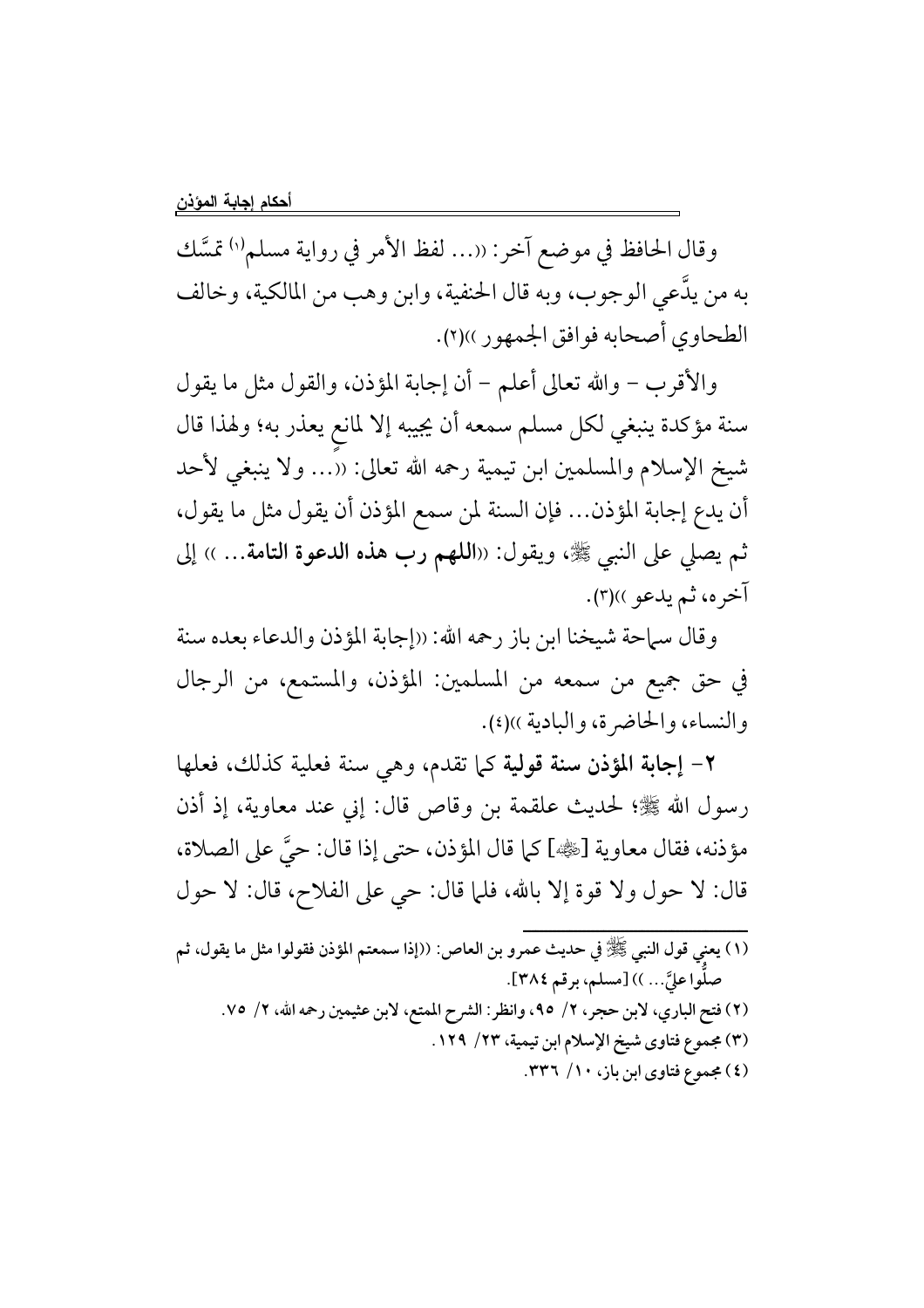وقال الحافظ في موضع آخر: «... لفظ الأمر في رواية مسلم'') تمسَّك به من يدَّعي الوجوب، وبه قال الحنفية، وابن وهب من المالكية، وخالف الطحاوي أصحابه فوافق الجمهور ))(٢).

والأقرب – والله تعالى أعلم – أن إجابة المؤذن، والقول مثل ما يقول سنة مؤكدة ينبغي لكل مسلم سمعه أن يجيبه إلا لمانع يعذر به؛ ولهذا قال شيخ الإسلام والمسلمين ابن تيمية رحمه الله تعالى: ((… ولا ينبغي لأحد أن يدع إجابة المؤذن... فإن السنة لمن سمع المؤذن أن يقول مثل ما يقول، ثم يصلى على النبي ﷺ، ويقول: ((**اللهم رب هذه الدعوة التامة.**.. )) إلى آخره، ثم يدعو ))(٣).

وقال سماحة شيخنا ابن باز رحمه الله: «إجابة المؤذن والدعاء بعده سنة في حق جميع من سمعه من المسلمين: المؤذن، والمستمع، من الرجال والنساء، والحاضرة، والبادية ))(٤).

٢- إجابة المؤذن سنة قولية كما تقدم، وهي سنة فعلية كذلك، فعلها رسول الله ﷺ؛ لحديث علقمة بن وقاص قال: إني عند معاوية، إذ أذن مؤذنه، فقال معاوية [ﷺ] كما قال المؤذن، حتى إذا قال: حيَّ على الصلاة، قال: لا حول ولا قوة إلا بالله، فلما قال: حي على الفلاح، قال: لا حول

(١) يعني قول النبي ﷺ في حديث عمرو بن العاص: ((إذا سمعتم المؤذن فقولوا مثل ما يقول، ثم صلُّوا عليَّ… )) [مسلم، برقم ٣٨٤]. (٢) فتح الباري، لابن حجر، ٢/ ٩٥، وانظر: الشرح الممتع، لابن عثيمين رحمه الله، ٢/ ٧٥. (٣) مجموع فتاوى شيخ الإسلام ابن تيمية، ٢٣/ ١٢٩. (٤) مجموع فتاوى ابن باز، ١٠/ ٣٣٦.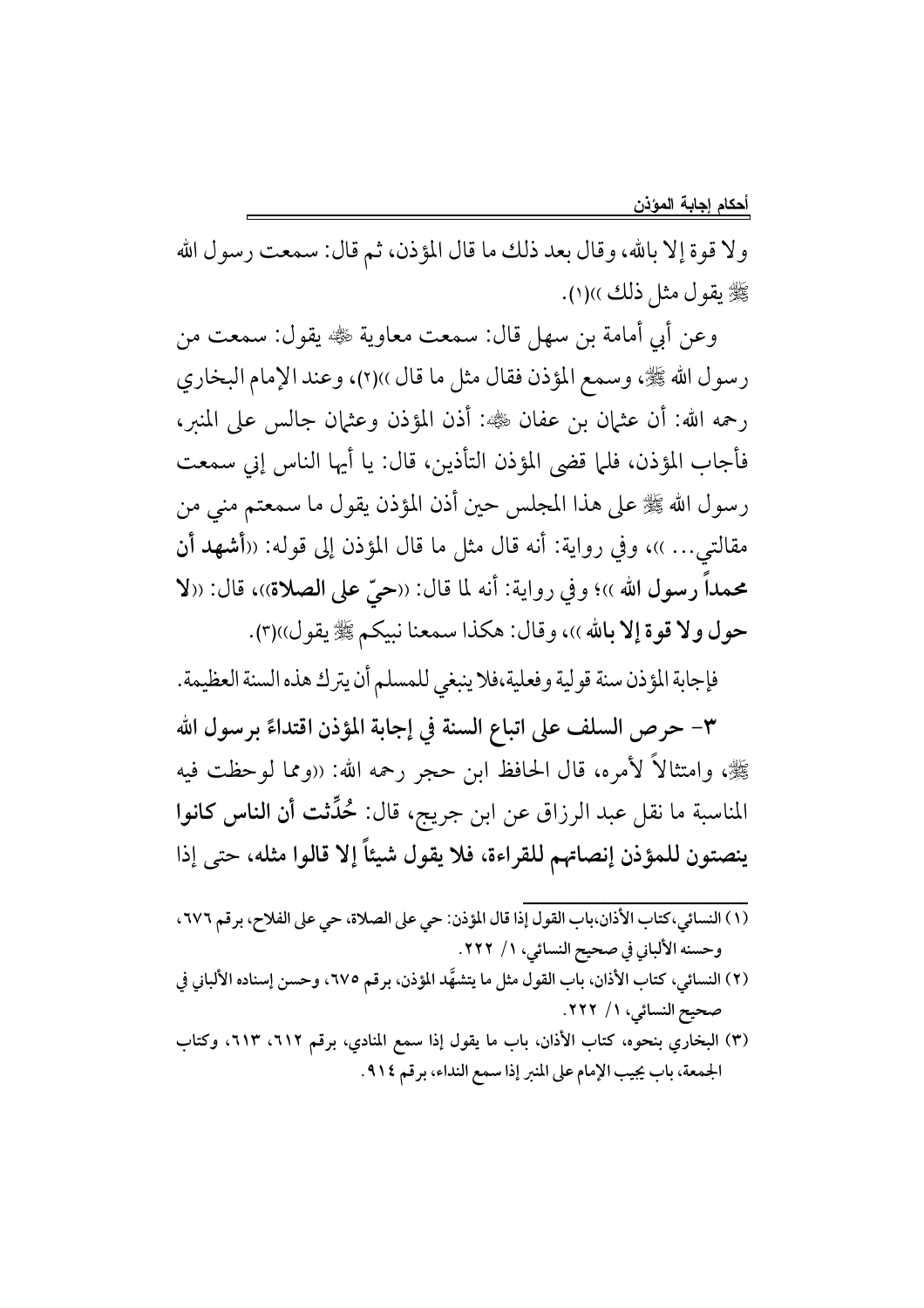ولا قوة إلا بالله، وقال بعد ذلك ما قال المؤذن، ثم قال: سمعت رسول الله ﷺ يقول مثل ذلك ))(١).

وعن أبي أمامة بن سهل قال: سمعت معاوية ﷺ يقول: سمعت من رسول الله ﷺ، وسمع المؤذن فقال مثل ما قال ))(٢)، وعند الإمام البخاري رحمه الله: أن عثمان بن عفان ﷺ: أذن المؤذن وعثمان جالس على المنبر، فأجاب المؤذن، فلما قضى المؤذن التأذين، قال: يا أيها الناس إني سمعت رسول الله ﷺ على هذا المجلس حين أذن المؤذن يقول ما سمعتم منى من مقالتي... ))، وفي رواية: أنه قال مثل ما قال المؤذن إلى قوله: «أشهد أن محمداً رسول الله ››؛ وفي رواية: أنه لما قال: «حيٌّ على الصلاة››، قال: «لا حول ولا قوة إلا بالله ))، وقال: هكذا سمعنا نبيكم ﷺ يقول))(٣).

فإجابة المؤذن سنة قولية وفعلية،فلا ينبغي للمسلم أن يترك هذه السنة العظيمة.

٣- حرص السلف على اتباع السنة في إجابة المؤذن اقتداءً برسول الله ﷺ، وامتثالاً لأمره، قال الحافظ ابن حجر رحمه الله: «ومما لوحظت فيه المناسبة ما نقل عبد الرزاق عن ابن جريج، قال: حُمِّثت أن الناس كانوا ينصتون للمؤذن إنصاتهم للقراءة، فلا يقول شيئاً إلا قالوا مثله، حتى إذا

- وحسنه الألباني في صحيح النسائي، ١/ ٢٢٢.
- (٢) النسائي، كتاب الأذان، باب القول مثل ما يتشهَّد المؤذن، برقم ٦٧٥، وحسن إسناده الألباني في صحيح النسائي، ١/ ٢٢٢.
- (٣) البخاري بنحوه، كتاب الأذان، باب ما يقول إذا سمع المنادي، برقم ٦١٢، ٦١٣، وكتاب الجمعة، باب يجيب الإمام على المنبر إذا سمع النداء، برقم ٩١٤.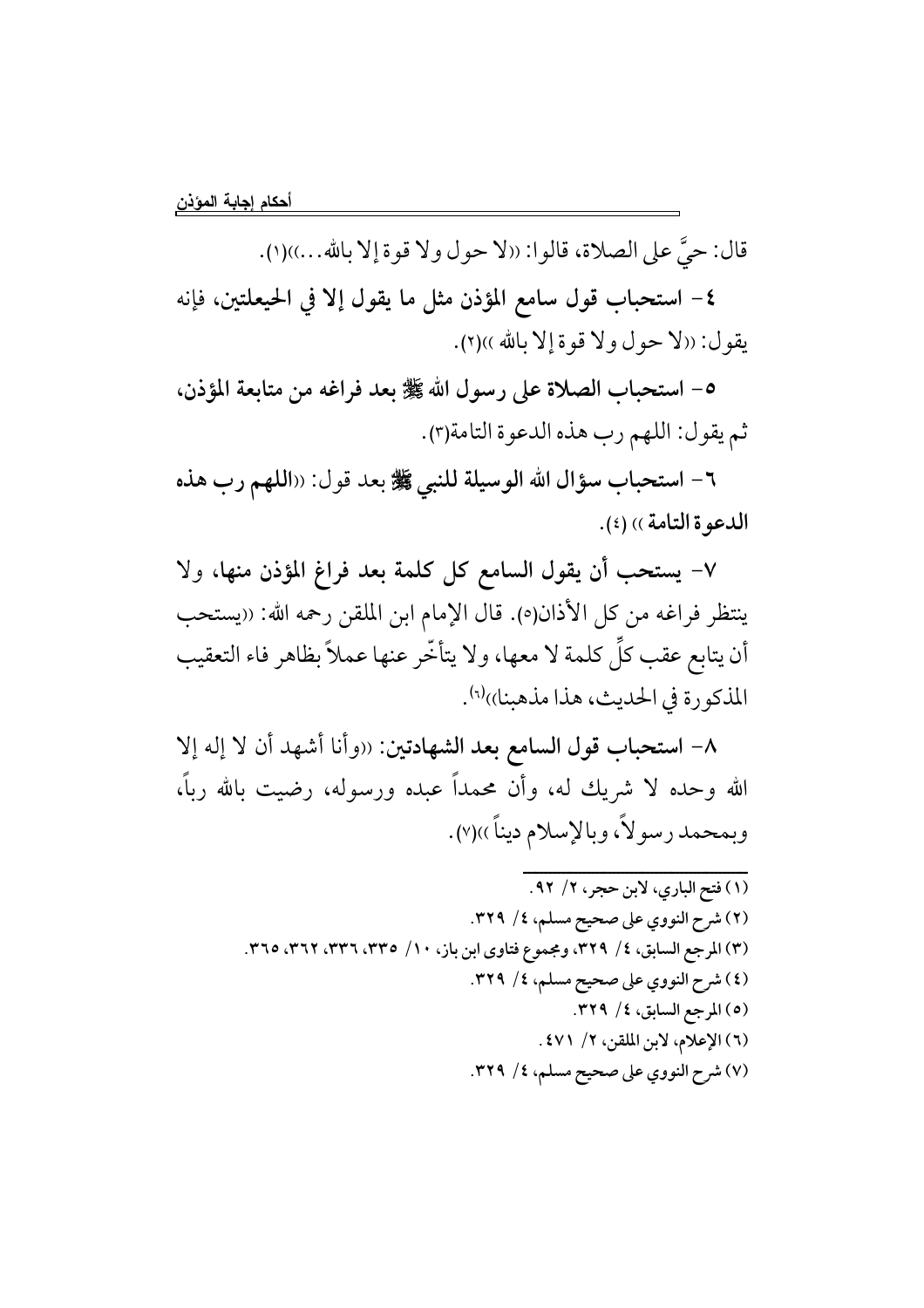قال: حيَّ على الصلاة، قالوا: ((لا حول ولا قوة إلا بالله...))(١).

٤- استحباب قول سامع المؤذن مثل ما يقول إلا في الحيعلتين، فإنه يقول: ((لا حول ولا قوة إلا بالله ))(٢).

٥- استحباب الصلاة على رسول الله ﷺ بعد فراغه من متابعة المؤذن، ثم يقول: اللهم رب هذه الدعوة التامة(٣).

٦- استحباب سؤال الله الوسيلة للنبي ﷺ بعد قول: ((اللهم رب هذه الدعوة التامة)) (٤).

٧- يستحب أن يقول السامع كل كلمة بعد فراغ المؤذن منها، ولا ينتظر فراغه من كل الأذان(٥). قال الإمام ابن الملقن رحمه الله: ((يستحب أن يتابع عقب كلِّ كلمة لا معها، ولا يتأخَّر عنها عملاً بظاهر فاء التعقيب المذكورة في الحديث، هذا مذهبنا))<sup>(٦)</sup>.

٨- استحباب قول السامع بعد الشهادتين: «وأنا أشهد أن لا إله إلا الله وحده لا شريك له، وأن محمداً عبده ورسوله، رضيت بالله رباً، وبمحمد رسولاً، وبالإسلام ديناً ))(٧).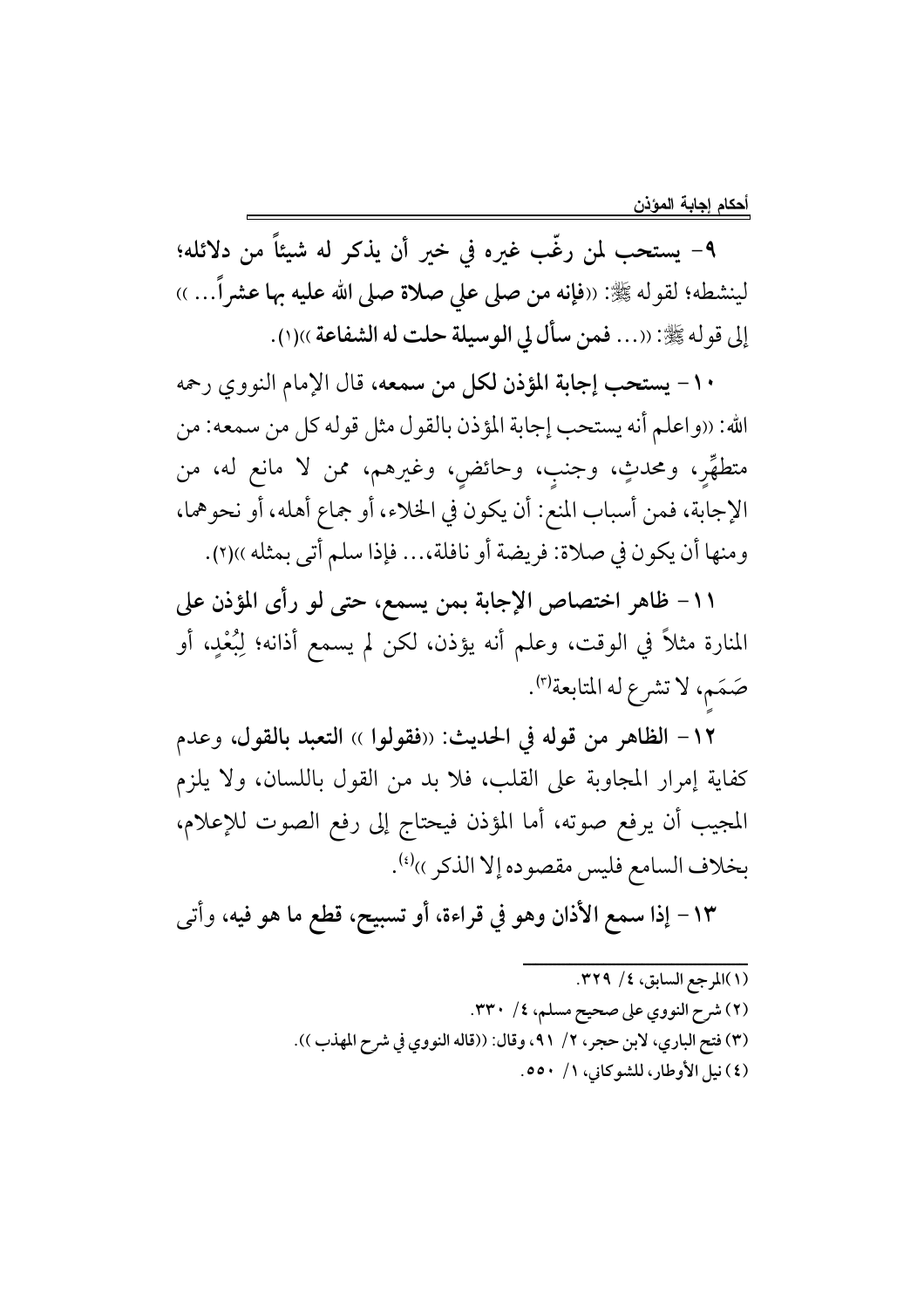٩- يستحب لمن رغَّب غيره في خير أن يذكر له شيئاً من دلائله؛ لينشطه؛ لقوله ﷺ: «فإنه من صلى على صلاة صلى الله عليه بها عشراً… » إلى قوله ﷺ: ((... فمن سأل لي الوسيلة حلت له الشفاعة ))(١).

١٠- يستحب إجابة المؤذن لكل من سمعه، قال الإمام النووي رحمه الله: «واعلم أنه يستحب إجابة المؤذن بالقول مثل قوله كل من سمعه: من متطهِّر، ومحدثٍ، وجنب، وحائض، وغيرهم، ممن لا مانع له، من الإجابة، فمن أسباب المنع: أن يكون في الخلاء، أو جماع أهله، أو نحوهما، ومنها أن يكون في صلاة: فريضة أو نافلة،... فإذا سلم أتى بمثله ))(٢).

١١- ظاهر اختصاص الإجابة بمن يسمع، حتى لو رأى المؤذن على المنارة مثلاً في الوقت، وعلم أنه يؤذن، لكن لم يسمع أذانه؛ لِبُعْدٍ، أو صَمَم، لا تشرع له المتابعة'".

١٢- الظاهر من قوله في الحديث: «فقولوا » التعبد بالقول، وعدم كفاية إمرار المجاوبة على القلب، فلا بد من القول باللسان، ولا يلزم المجيب أن يرفع صوته، أما المؤذن فيحتاج إلى رفع الصوت للإعلام، بخلاف السامع فليس مقصوده إلا الذكر ))(؛).

١٣- إذا سمع الأذان وهو في قراءة، أو تسبيح، قطع ما هو فيه، وأتى

(١)المرجع السابق، ٤/ ٣٢٩. (٢) شرح النووي على صحيح مسلم، ٤/ ٣٣٠. (٣) فتح الباري، لابن حجر، ٢/ ٩١، وقال: ((قاله النووي في شرح المهذب )). (٤) نيل الأوطار، للشوكاني، ١/ ٥٥٠.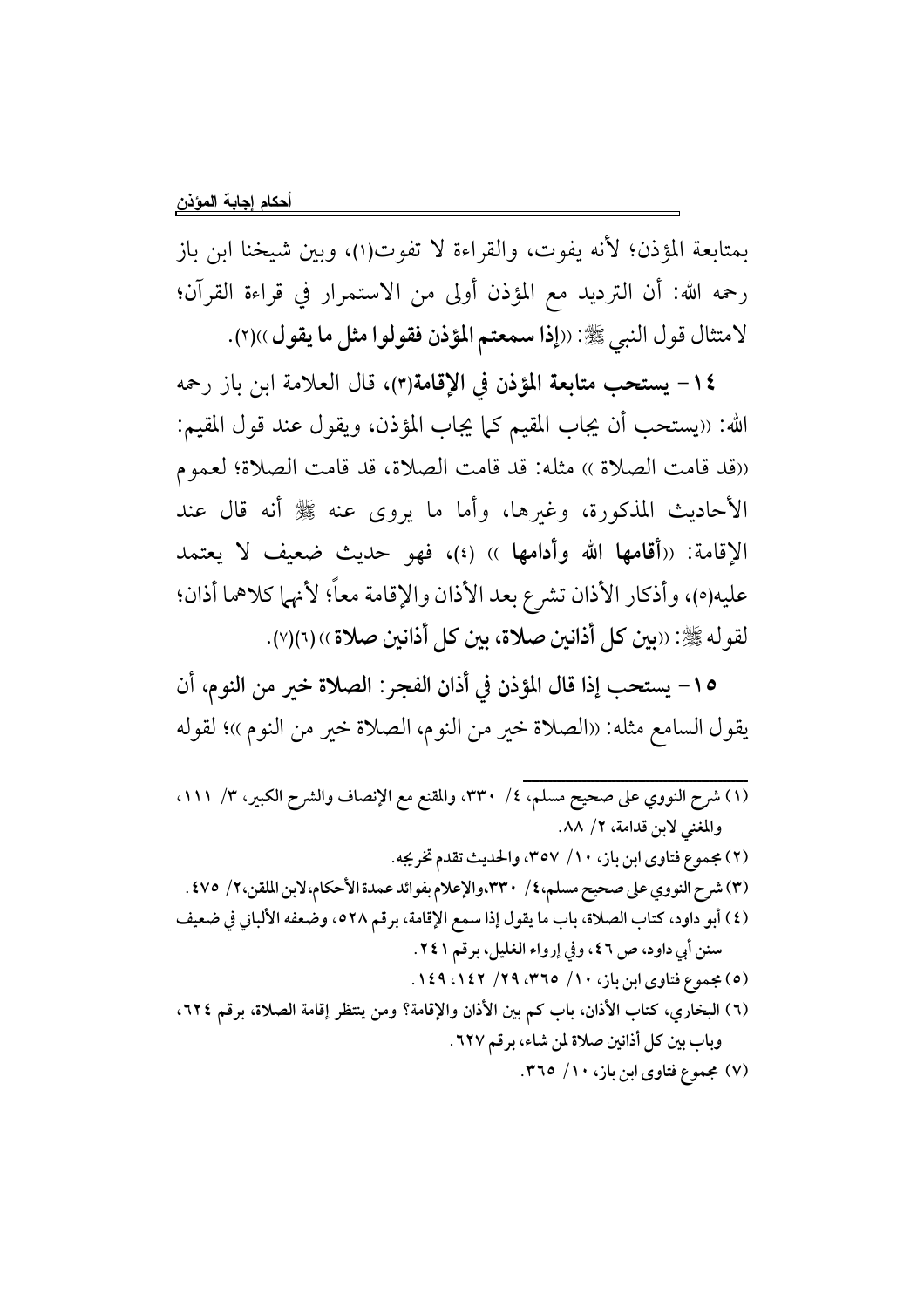بمتابعة المؤذن؛ لأنه يفوت، والقراءة لا تفوت(١)، وبين شيخنا ابن باز رحمه الله: أن الترديد مع المؤذن أولى من الاستمرار في قراءة القرآن؛ لامتثال قول النبي ﷺ: ((إذا سمعتم المؤذن فقولوا مثل ما يقول ))(٢).

١٤- يستحب متابعة المؤذن في الإقامة(٣)، قال العلامة ابن باز رحمه الله: «يستحب أن يجاب المقيم كما يجاب المؤذن، ويقول عند قول المقيم: ((قد قامت الصلاة )) مثله: قد قامت الصلاة، قد قامت الصلاة؛ لعموم الأحاديث المذكورة، وغيرها، وأما ما يروى عنه ﷺ أنه قال عند الإقامة: ((أقامها الله وأدامها )) (٤)، فهو حديث ضعيف لا يعتمد عليه(٥)، وأذكار الأذان تشرع بعد الأذان والإقامة معاً؛ لأنهما كلاهما أذان؛ لقو له ﷺ: ((بين كل أذانين صلاة، بين كل أذانين صلاة )) (٦)(٧).

١٥ – يستحب إذا قال المؤذن في أذان الفجر : الصلاة خير من النوم، أن يقول السامع مثله: ((الصلاة خير من النوم، الصلاة خير من النوم ))؛ لقوله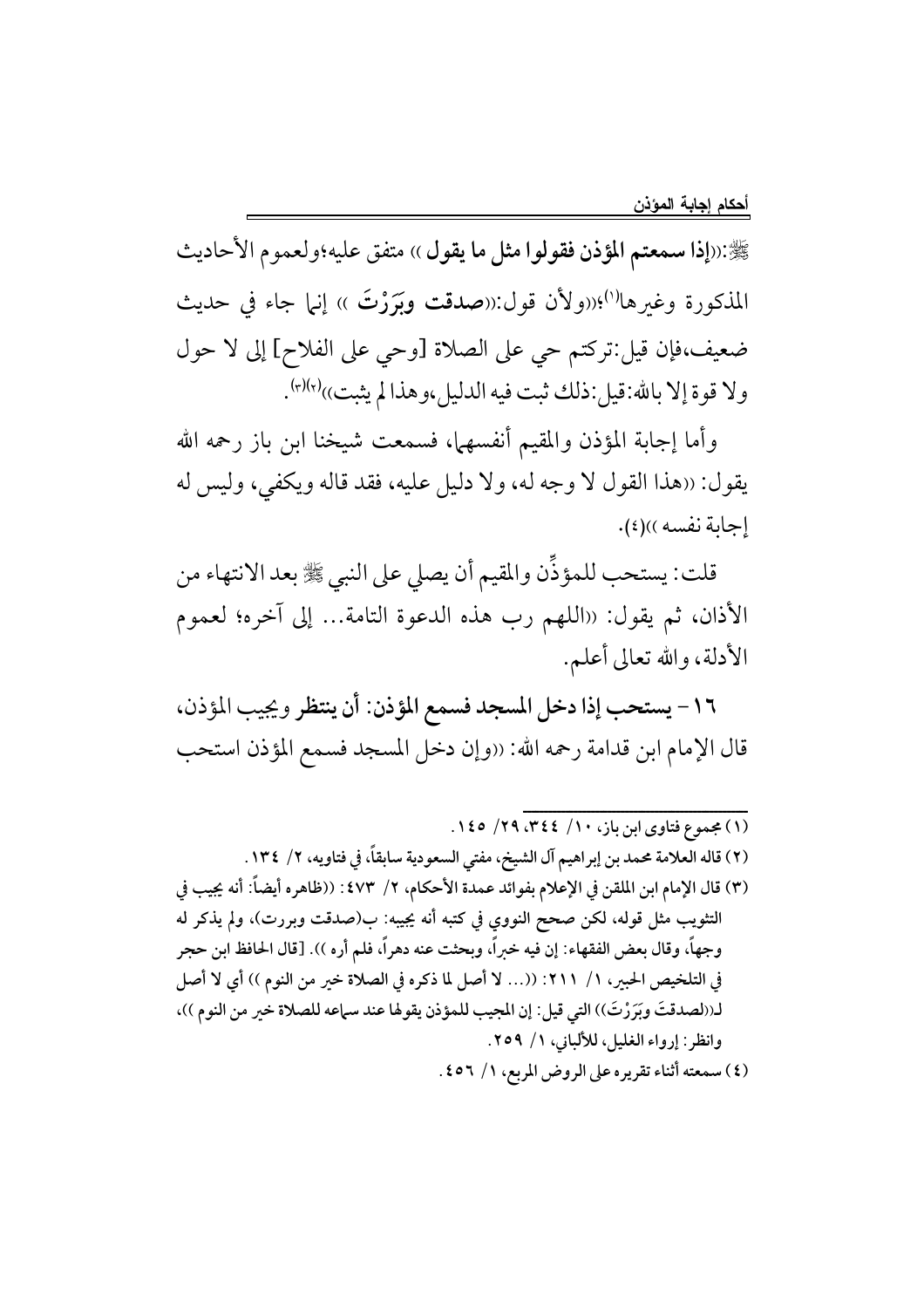ﷺ:((إذا سمعتم المؤذن فقولوا مثل ما يقول )) متفق عليه؛ولعموم الأحاديث المذكورة وغيرها<sup>(١)</sup>؛((ولأن قول:((صدقت وبَرَرْتَ )) إنها جاء في حديث ضعيف،فإن قيل:تركتم حي على الصلاة [وحي على الفلاح] إلى لا حول ولا قوة إلا بالله:قيل:ذلك ثبت فيه الدليل،وهذا لم يثبت))(٢)(٣).

وأما إجابة المؤذن والمقيم أنفسهما، فسمعت شيخنا ابن باز رحمه الله يقول: «هذا القول لا وجه له، ولا دليل عليه، فقد قاله ويكفي، وليس له إجابة نفسه))(٤).

قلت: يستحب للمؤذِّن والمقيم أن يصلى على النبي ﷺ بعد الانتهاء من الأذان، ثم يقول: «اللهم رب هذه الدعوة التامة... إلى آخره؛ لعموم الأدلة، والله تعالى أعلم.

١٦ - يستحب إذا دخل المسجد فسمع المؤذن: أن ينتظر ويجيب المؤذن، قال الإمام ابن قدامة رحمه الله: «وإن دخل المسجد فسمع المؤذن استحب

- (٢) قاله العلامة محمد بن إبراهيم آل الشيخ، مفتى السعودية سابقاً، في فتاويه، ٢/ ١٣٤.
- (٣) قال الإمام ابن الملقن في الإعلام بفوائد عمدة الأحكام، ٢/ ٤٧٣ : ((ظاهره أيضاً: أنه يجيب في التثويب مثل قوله، لكن صحح النووي في كتبه أنه يجيبه: ب(صدقت وبررت)، ولم يذكر له وجهاً، وقال بعض الفقهاء: إن فيه خبراً، وبحثت عنه دهراً، فلم أره )). [قال الحافظ ابن حجر في التلخيص الحبير، ١/ ٢١١: ((... لا أصل لما ذكره في الصلاة خير من النوم )) أي لا أصل لـ((لصدقتَ وبَرَرْتَ)) التي قيل: إن المجيب للمؤذن يقوها عند سماعه للصلاة خير من النوم ))، وانظر : إرواء الغليل، للألباني، ١/ ٢٥٩.
	- (٤) سمعته أثناء تقريره على الروض المربع، ١/ ٤٥٦.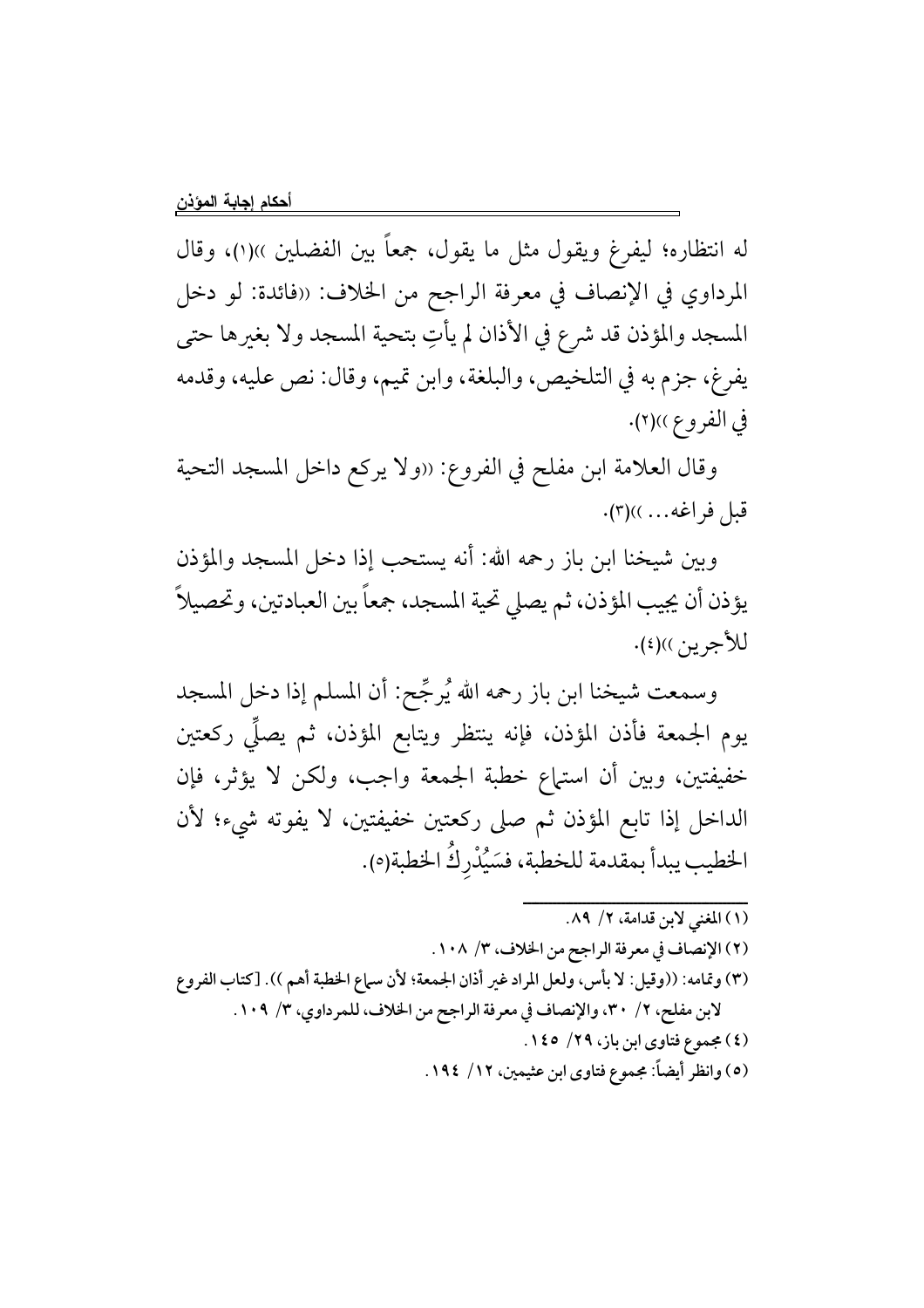له انتظاره؛ ليفرغ ويقول مثل ما يقول، جمعاً بين الفضلين ››(١)، وقال المرداوي في الإنصاف في معرفة الراجح من الخلاف: ((فائدة: لو دخل المسجد والمؤذن قد شرع في الأذان لم يأتِ بتحية المسجد ولا بغيرها حتى يفرغ، جزم به في التلخيص، والبلغة، وابن تميم، وقال: نص عليه، وقدمه في الفروع ))(٢).

وقال العلامة ابن مفلح في الفروع: «ولا يركع داخل المسجد التحية قبل فراغه... .)(٣).

وبين شيخنا ابن باز رحمه الله: أنه يستحب إذا دخل المسجد والمؤذن يؤذن أن يجيب المؤذن، ثم يصلي تحية المسجد، جمعاً بين العبادتين، وتحصيلاً للأجرين))(٤).

وسمعت شيخنا ابن باز رحمه الله يُرجِّح: أن المسلم إذا دخل المسجد يوم الجمعة فأذن المؤذن، فإنه ينتظر ويتابع المؤذن، ثم يصلِّي ركعتين خفيفتين، وبين أن استهاع خطبة الجمعة واجب، ولكن لا يؤثر، فإن الداخل إذا تابع المؤذن ثم صلى ركعتين خفيفتين، لا يفوته شيء؛ لأن الخطيب يبدأ بمقدمة للخطبة، فسَيُدْرِكُ الخطبة(٥).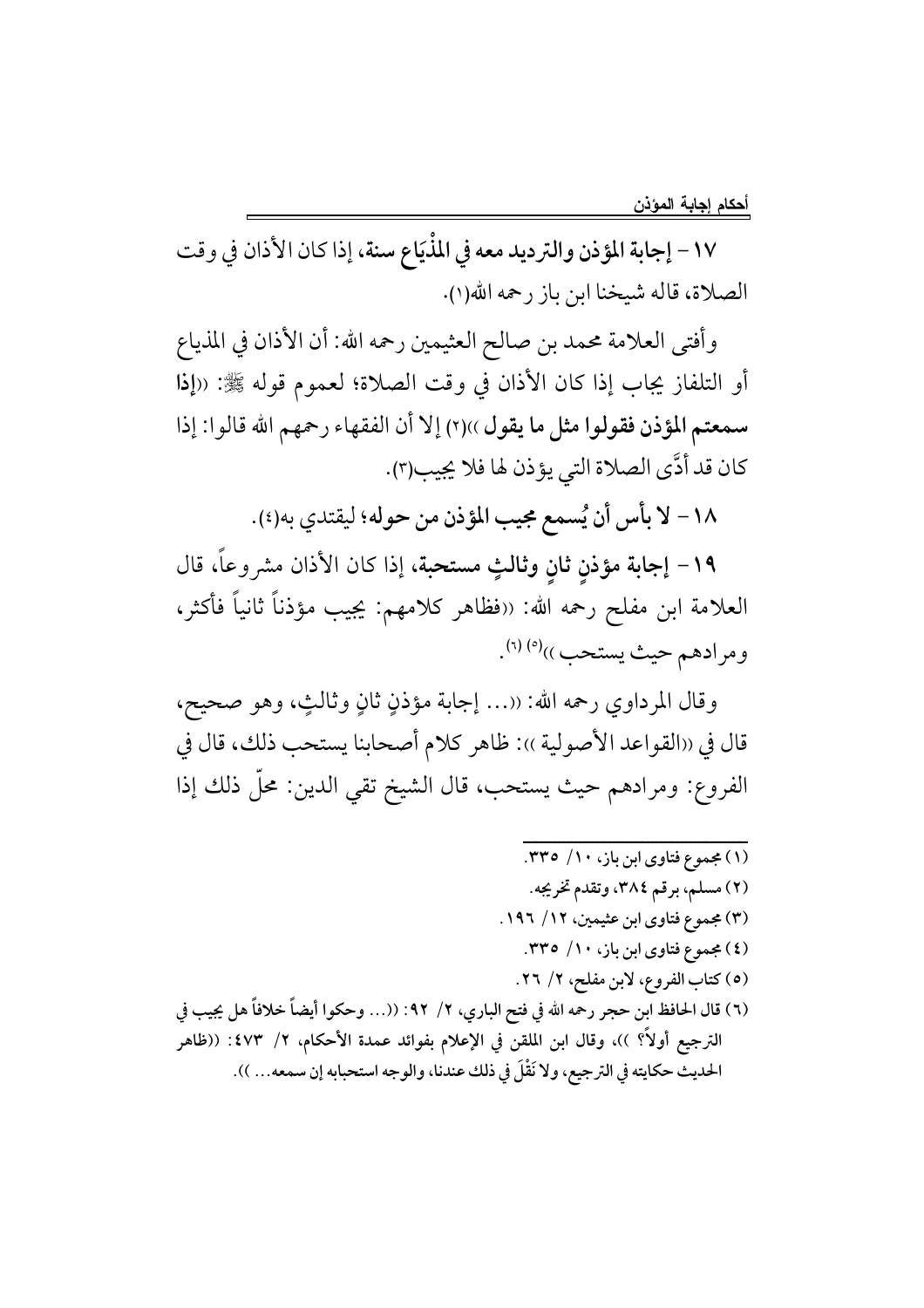١٧ – إجابة المؤذن والترديد معه في المذْيَاع سنة، إذا كان الأذان في وقت الصلاة، قاله شيخنا ابن باز رحمه الله(١).

وأفتى العلامة محمد بن صالح العثيمين رحمه الله: أن الأذان في المذياع أو التلفاز يجاب إذا كان الأذان في وقت الصلاة؛ لعموم قوله ﷺ: «إذا سمعتم المؤذن فقولوا مثل ما يقول ))(٢) إلا أن الفقهاء رحمهم الله قالوا: إذا كان قد أدَّى الصلاة التي يؤذن لها فلا يجيب(٣).

١٨ – لا بأس أن يُسمع مجيب المؤذن من حوله؛ ليقتدي به(٤).

١٩- إجابة مؤذن ثان وثالثٍ مستحبة، إذا كان الأذان مشروعاً، قال العلامة ابن مفلح رحمه الله: «فظاهر كلامهم: يجيب مؤذناً ثانياً فأكثر، ومرادهم حيث يستحب ))<sup>(٥)</sup> (٦).

وقال المرداوي رحمه الله: ((… إجابة مؤذنٍ ثانٍ وثالثٍ، وهو صحيح، قال في ((القواعد الأصولية )): ظاهر كلام أصحابنا يستحب ذلك، قال في الفروع: ومرادهم حيث يستحب، قال الشيخ تقى الدين: محلٌّ ذلك إذا

- (۱) مجموع فتاوی ابن باز، ۱۰/ ٣٣٥. (٢) مسلم، برقم ٣٨٤، وتقدم تخريجه. (۳) مجموع فتاوي ابن عثيمين، ۱۲/ ۱۹۶. (٤) مجموع فتاوى ابن باز، ١٠/ ٣٣٥.
	- (٥) كتاب الفروع، لابن مفلح، ٢/ ٢٦.
- (٦) قال الحافظ ابن حجر رحمه الله في فتح الباري، ٢/ ٩٢: ((… وحكوا أيضاً خلافاً هل يجيب في الترجيع أولاً؟ ))، وقال ابن الملقن في الإعلام بفوائد عمدة الأحكام، ٢/ ٤٧٣: ((ظاهر الحديث حكايته في الترجيع، ولا نَقْلَ في ذلك عندنا، والوجه استحبابه إن سمعه... )).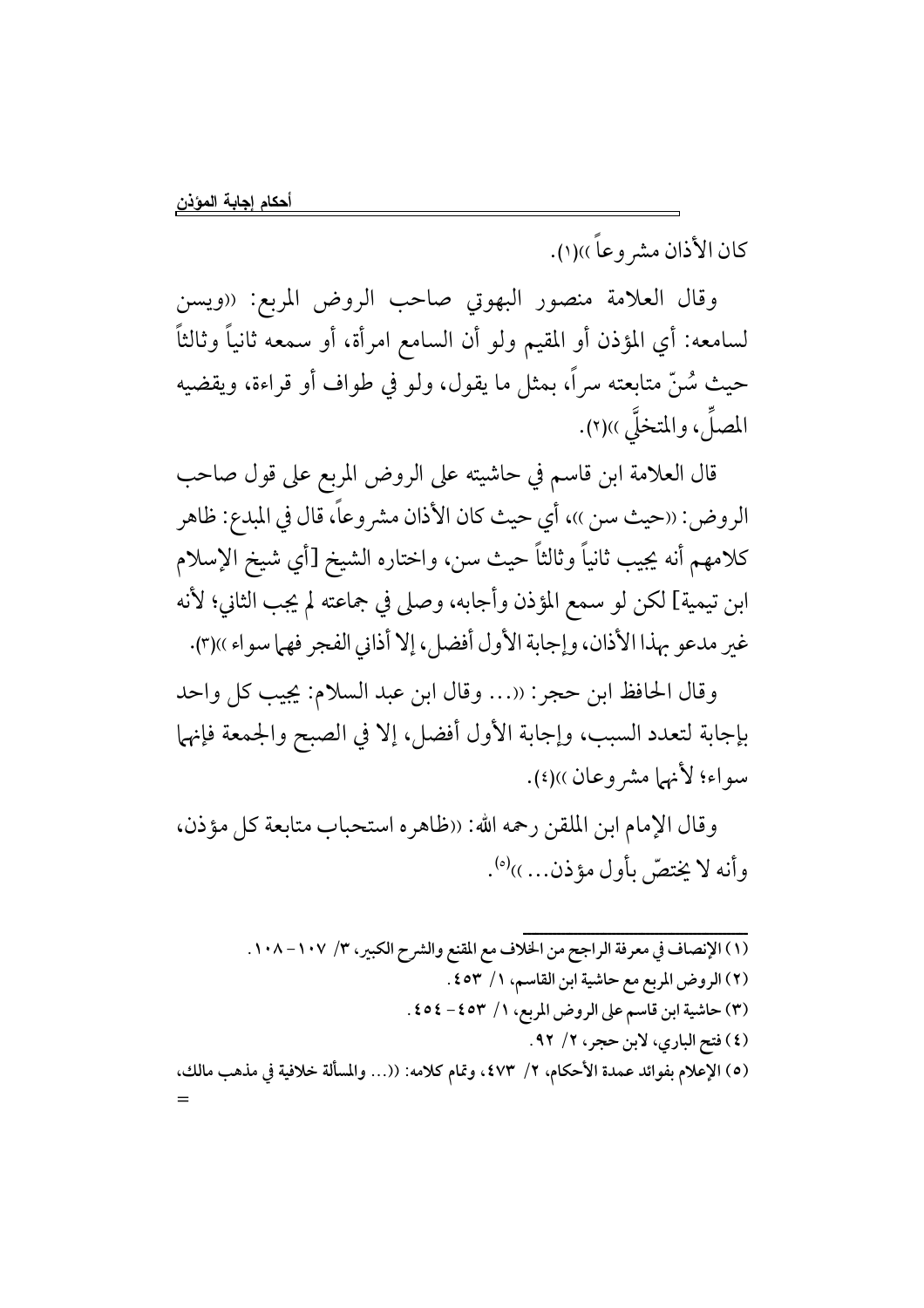كان الأذان مشر وعاً ))(١).

وقال العلامة منصور البهوتي صاحب الروض المربع: «ويسن لسامعه: أي المؤذن أو المقيم ولو أن السامع امرأة، أو سمعه ثانياً وثالثاً حيث سُنِّ متابعته سراً، بمثل ما يقول، ولو في طواف أو قراءة، ويقضيه المصلِّ، والمتخلَّى ))(٢).

قال العلامة ابن قاسم في حاشيته على الروض المربع على قول صاحب الروض: «حيث سن ))، أي حيث كان الأذان مشروعاً، قال في المبدع: ظاهر كلامهم أنه يجيب ثانياً وثالثاً حيث سن، واختاره الشيخ [أي شيخ الإسلام ابن تيمية] لكن لو سمع المؤذن وأجابه، وصلى في جماعته لم يجب الثاني؛ لأنه غير مدعو بهذا الأذان، وإجابة الأول أفضل، إلا أذاني الفجر فهما سواء ))(٣).

وقال الحافظ ابن حجر: ((... وقال ابن عبد السلام: يجيب كل واحد بإجابة لتعدد السبب، وإجابة الأول أفضل، إلا في الصبح والجمعة فإنهما سواء؛ لأنهما مشر وعان))(٤).

وقال الإمام ابن الملقن رحمه الله: «ظاهره استحباب متابعة كل مؤذن، وأنه لا يختصُّ بأول مؤذن... ))<sup>(ه)</sup>.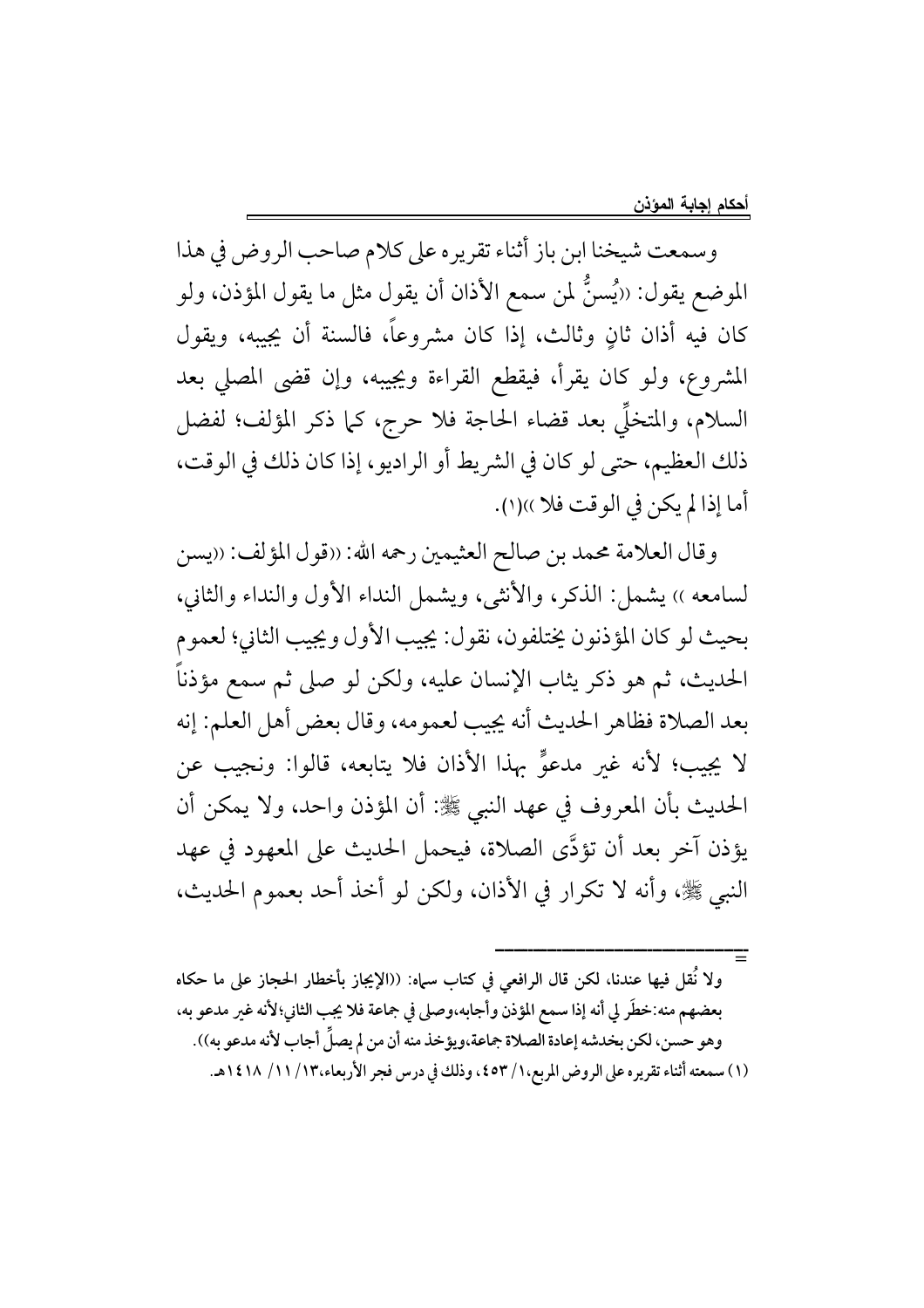وسمعت شيخنا ابن باز أثناء تقريره على كلام صاحب الروض في هذا الموضع يقول: ‹‹يُسنُّ لمن سمع الأذان أن يقول مثل ما يقول المؤذن، ولو كان فيه أذان ثانٍ وثالث، إذا كان مشروعاً، فالسنة أن يجيبه، ويقول المشروع، ولو كان يقرأ، فيقطع القراءة ويجيبه، وإن قضى المصلى بعد السلام، والمتخلَّى بعد قضاء الحاجة فلا حرج، كما ذكر المؤلف؛ لفضل ذلك العظيم، حتى لو كان في الشريط أو الراديو، إذا كان ذلك في الوقت، أما إذا لم يكن في الوقت فلا ))(١).

وقال العلامة محمد بن صالح العثيمين رحمه الله: «قول المؤلف: «يسن لسامعه ›› يشمل: الذكر، والأنثى، ويشمل النداء الأول والنداء والثاني، بحيث لو كان المؤذنون يختلفون، نقول: يجيب الأول ويجيب الثاني؛ لعموم الحديث، ثم هو ذكر يثاب الإنسان عليه، ولكن لو صلى ثم سمع مؤذناً بعد الصلاة فظاهر الحديث أنه يجيب لعمومه، وقال بعض أهل العلم: إنه لا يجيب؛ لأنه غير مدعوٍّ بهذا الأذان فلا يتابعه، قالوا: ونجيب عن الحديث بأن المعروف في عهد النبي ﷺ: أن المؤذن واحد، ولا يمكن أن يؤذن آخر بعد أن تؤدَّى الصلاة، فيحمل الحديث على المعهود في عهد النبي ﷺ، وأنه لا تكرار في الأذان، ولكن لو أخذ أحد بعموم الحديث،

ولا نُقل فيها عندنا، لكن قال الرافعي في كتاب سباه: ((الإيجاز بأخطار الحجاز على ما حكاه بعضهم منه:خطَر لي أنه إذا سمع المؤذن وأجابه،وصلى في جماعة فلا يجب الثاني؛لأنه غير مدعو به، وهو حسن، لكن بخدشه إعادة الصلاة جماعة،ويؤخذ منه أن من لم يصلِّ أجاب لأنه مدعو به)). (١) سمعته أثناء تقريره على الروض المربع،١/ ٤٥٣، وذلك في درس فجر الأربعاء،١٢/ ١١/ ١٤١٨هـ.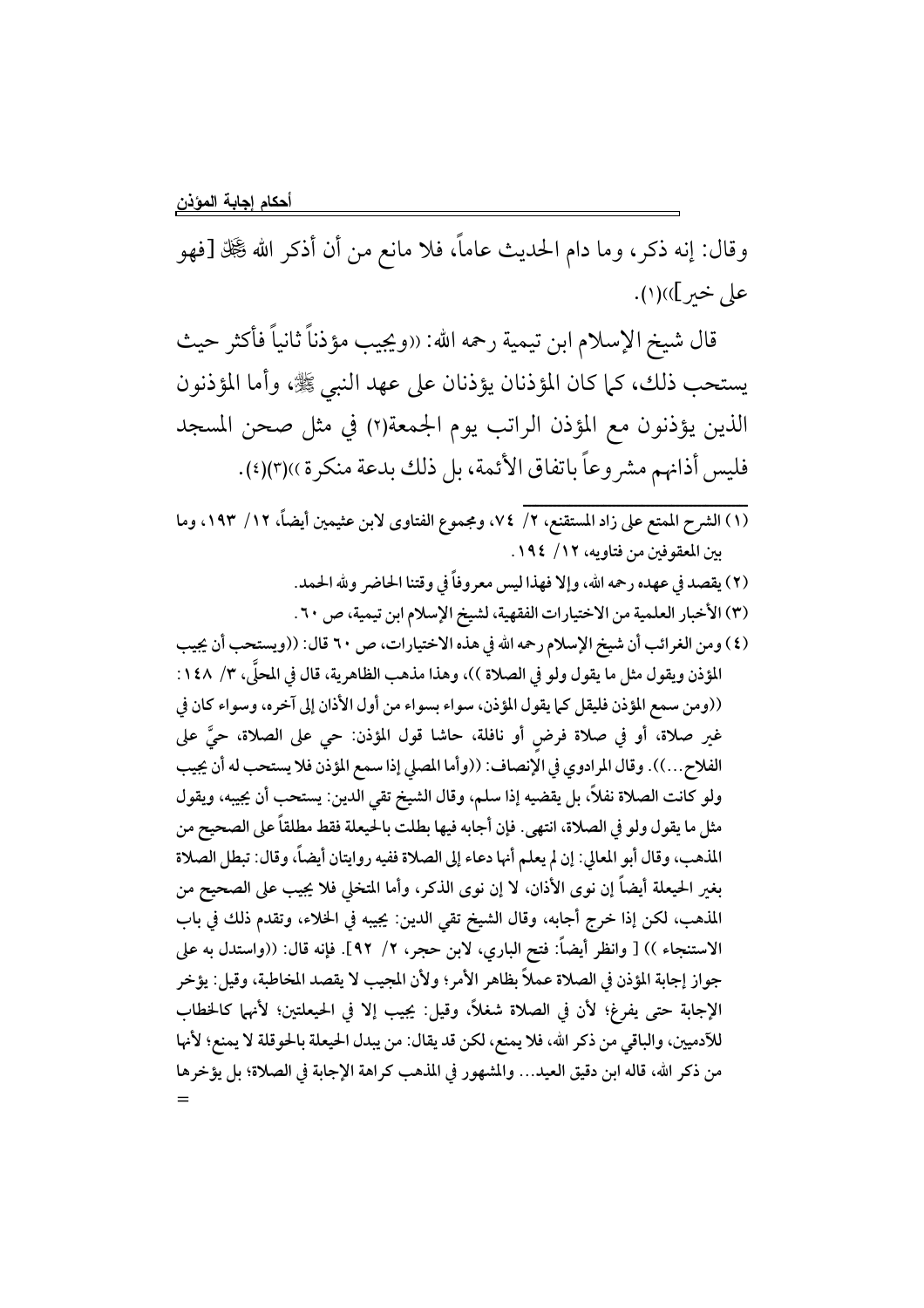وقال: إنه ذكر، وما دام الحديث عاماً، فلا مانع من أن أذكر الله گَچَل اقْهُو على خير]))(١).

قال شيخ الإسلام ابن تيمية رحمه الله: «ويجيب مؤذناً ثانياً فأكثر حيث يستحب ذلك، كما كان المؤذنان يؤذنان على عهد النبي ﷺ، وأما المؤذنون الذين يؤذنون مع المؤذن الراتب يوم الجمعة(٢) في مثل صحن المسجد فليس أذانهم مشروعاً باتفاق الأئمة، بل ذلك بدعة منكرة ))(٣)(٤).

- (١) الشرح الممتع على زاد المستقنع، ٢/ ٧٤، ومجموع الفتاوى لابن عثيمين أيضاً، ١٢/ ١٩٣، وما بين المعقوفين من فتاويه، ١٢/ ١٩٤.
	- (٢) يقصد في عهده رحمه الله، وإلا فهذا ليس معروفاً في وقتنا الحاضر ولله الحمد.
		- (٣) الأخبار العلمية من الاختيارات الفقهية، لشيخ الإسلام ابن تيمية، ص ٢٠.
- (٤) ومن الغرائب أن شيخ الإسلام رحمه الله في هذه الاختيارات، ص ٢٠ قال: ((ويستحب أن يجيب المؤذن ويقول مثل ما يقول ولو في الصلاة ))، وهذا مذهب الظاهرية، قال في المحلَّى، ٣/ ١٤٨: ((ومن سمع المؤذن فليقل كما يقول المؤذن، سواء بسواء من أول الأذان إلى آخره، وسواء كان في غير صلاة، أو في صلاة فرضٍ أو نافلة، حاشا قول المؤذن: حي على الصلاة، حيَّ على الفلاح...)). وقال المرادوي في الإنصاف: ((وأما المصلى إذا سمع المؤذن فلا يستحب له أن يجيب ولو كانت الصلاة نفلاً، بل يقضيه إذا سلم، وقال الشيخ تقى الدين: يستحب أن يجيبه، ويقول مثل ما يقول ولو في الصلاة، انتهى. فإن أجابه فيها بطلت بالحيعلة فقط مطلقاً على الصحيح من المذهب، وقال أبو المعالى: إن لم يعلم أنها دعاء إلى الصلاة ففيه روايتان أيضاً، وقال: تبطل الصلاة بغير الحيعلة أيضاً إن نوى الأذان، لا إن نوى الذكر، وأما المتخلي فلا يجيب على الصحيح من المذهب، لكن إذا خرج أجابه، وقال الشيخ تقى الدين: يجيبه في الخلاء، وتقدم ذلك في باب الاستنجاء )) [ وانظر أيضاً: فتح الباري، لابن حجر، ٢/ ٩٢]. فإنه قال: ((واستدل به على جواز إجابة المؤذن في الصلاة عملاً بظاهر الأمر؛ ولأن المجيب لا يقصد المخاطبة، وقيل: يؤخر الإجابة حتى يفرغ؛ لأن في الصلاة شغلاً، وقيل: يجيب إلا في الحيعلتين؛ لأنهما كالخطاب للآدميين، والباقي من ذكر الله، فلا يمنع، لكن قد يقال: من يبدل الحيعلة بالحوقلة لا يمنع؛ لأنها من ذكر الله، قاله ابن دقيق العيد... والمشهور في المذهب كراهة الإجابة في الصلاة؛ بل يؤخرها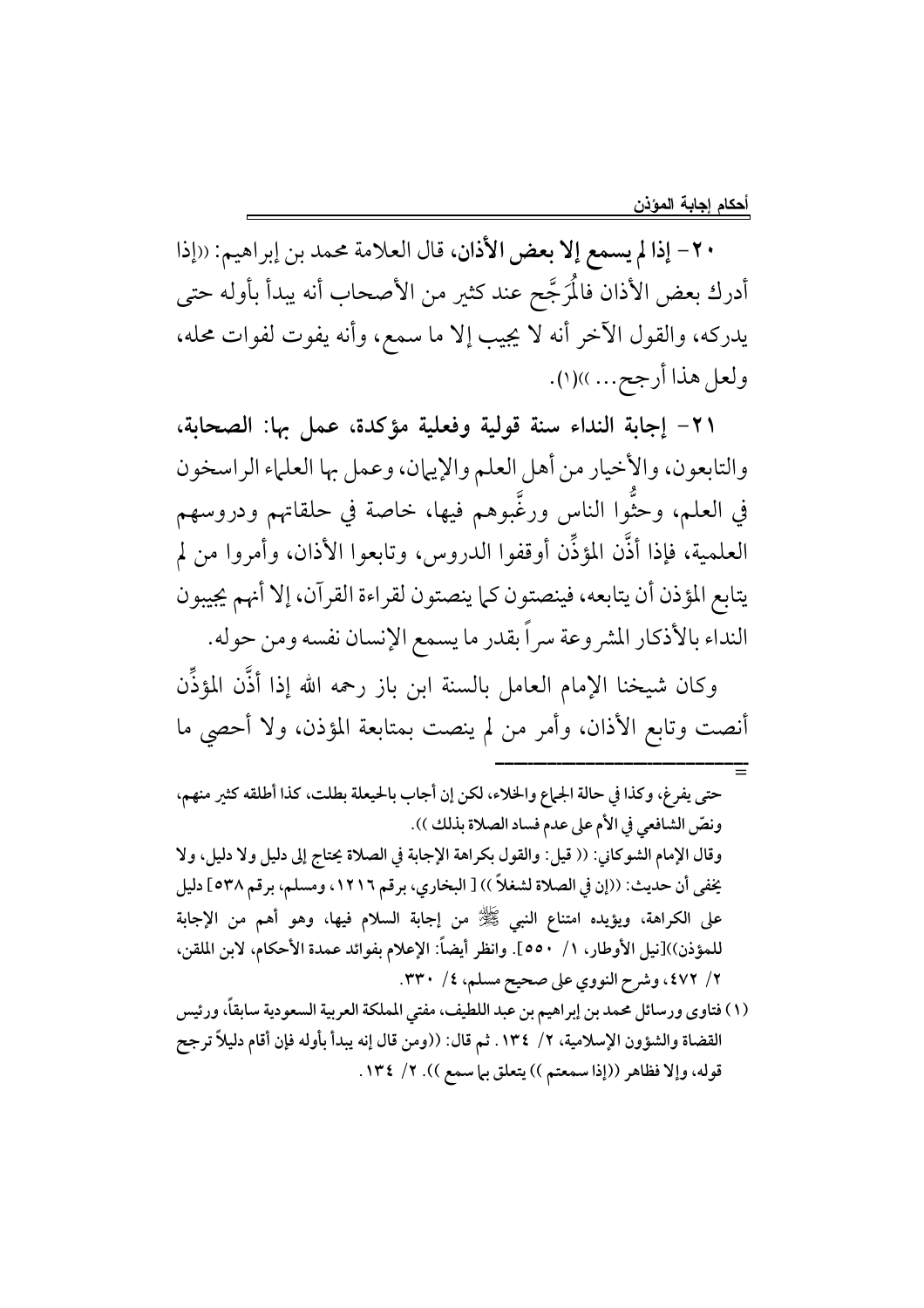٢٠- إذا لم يسمع إلا بعض الأذان، قال العلامة محمد بن إبراهيم: ((إذا أدرك بعض الأذان فالْمَرجَّح عند كثير من الأصحاب أنه يبدأ بأوله حتى يدركه، والقول الآخر أنه لا يجيب إلا ما سمع، وأنه يفوت لفوات محله، ولعل هذا أرجح... .))(١).

٢١- إجابة النداء سنة قولية وفعلية مؤكدة، عمل بها: الصحابة، والتابعون، والأخيار من أهل العلم والإيهان، وعمل بها العلماء الراسخون في العلم، وحثَّوا الناس ورغَّبوهم فيها، خاصة في حلقاتهم ودروسهم العلمية، فإذا أذَّن المؤذِّن أوقفوا الدروس، وتابعوا الأذان، وأمروا من لم يتابع المؤذن أن يتابعه، فينصتون كما ينصتون لقراءة القرآن، إلا أنهم يجيبون النداء بالأذكار المشروعة سراً بقدر ما يسمع الإنسان نفسه ومن حوله.

وكان شيخنا الإمام العامل بالسنة ابن باز رحمه الله إذا أذَّن المؤذِّن أنصت وتابع الأذان، وأمر من لم ينصت بمتابعة المؤذن، ولا أحصى ما

حتى يفرِغ، وكذا في حالة الجماع والخلاء، لكن إن أجاب بالحيعلة بطلت، كذا أطلقه كثير منهم، ونصّ الشافعي في الأم على عدم فساد الصلاة بذلك )). وقال الإمام الشوكاني: (( قيل: والقول بكراهة الإجابة في الصلاة يحتاج إلى دليل ولا دليل، ولا يخفي أن حديث: ((إن في الصلاة لشغلاً )) [ البخاري، برقم ١٢١٦، ومسلم، برقم ٥٣٨] دليل على الكراهة، ويؤيده امتناع النبي ﷺ من إجابة السلام فيها، وهو أهم من الإجابة للمؤذن))[نيل الأوطار، ١/ ٥٥٠]. وانظر أيضاً: الإعلام بفوائد عمدة الأحكام، لابن الملقن، ٢/ ٤٧٢، وشرح النووي على صحيح مسلم، ٤/ ٣٣٠.

(١) فتاوي ورسائل محمد بن إبراهيم بن عبد اللطيف، مفتى المملكة العربية السعودية سابقاً، ورئيس القضاة والشؤون الإسلامية، ٢/ ١٣٤. ثم قال: ((ومن قال إنه يبدأ بأوله فإن أقام دليلاً ترجح قوله، وإلا فظاهر ((إذا سمعتم )) يتعلق بيا سمع )). ٢/ ١٣٤.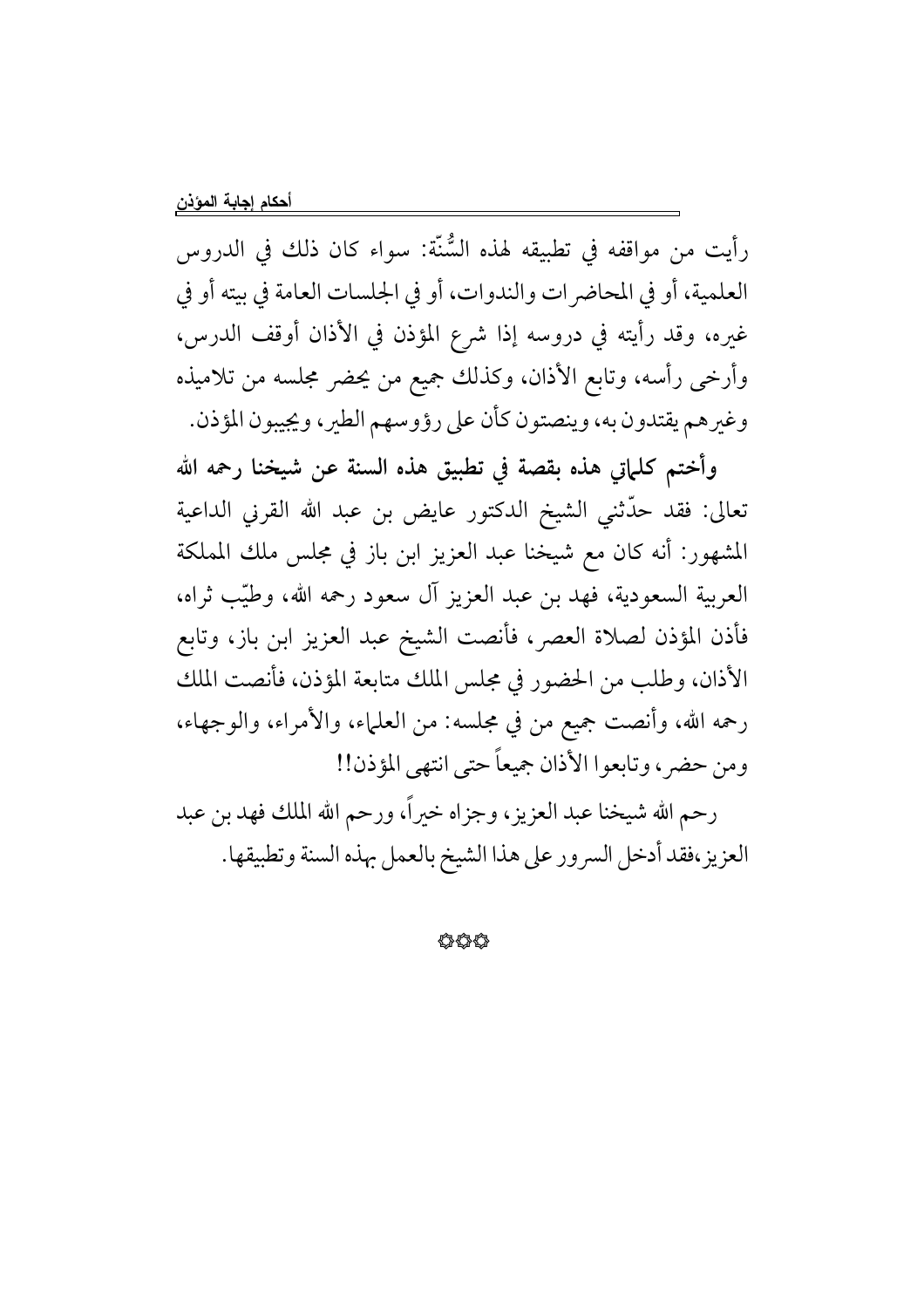رأيت من مواقفه في تطبيقه لهذه السُّنَّة: سواء كان ذلك في الدروس العلمية، أو في المحاضرات والندوات، أو في الجلسات العامة في بيته أو في غيره، وقد رأيته في دروسه إذا شرع المؤذن في الأذان أوقف الدرس، وأرخى رأسه، وتابع الأذان، وكذلك جميع من يحضر مجلسه من تلاميذه وغيرهم يقتدون به، وينصتون كأن على رؤوسهم الطير، ويجيبون المؤذن.

وأختم كلماتي هذه بقصة في تطبيق هذه السنة عن شيخنا رحمه الله تعالى: فقد حدَّثنى الشيخ الدكتور عايض بن عبد الله القرني الداعية المشهور: أنه كان مع شيخنا عبد العزيز ابن باز في مجلس ملك المملكة العربية السعودية، فهد بن عبد العزيز آل سعود رحمه الله، وطيّب ثراه، فأذن المؤذن لصلاة العصر، فأنصت الشيخ عبد العزيز ابن باز، وتابع الأذان، وطلب من الحضور في مجلس الملك متابعة المؤذن، فأنصت الملك رحمه الله، وأنصت جميع من في مجلسه: من العلماء، والأمراء، والوجهاء، ومن حضر ، وتابعوا الأذان جميعاً حتى انتهى المؤذن!!

رحم الله شيخنا عبد العزيز، وجزاه خيراً، ورحم الله الملك فهد بن عبد العزيز،فقد أدخل السرور على هذا الشيخ بالعمل بهذه السنة وتطبيقها.

44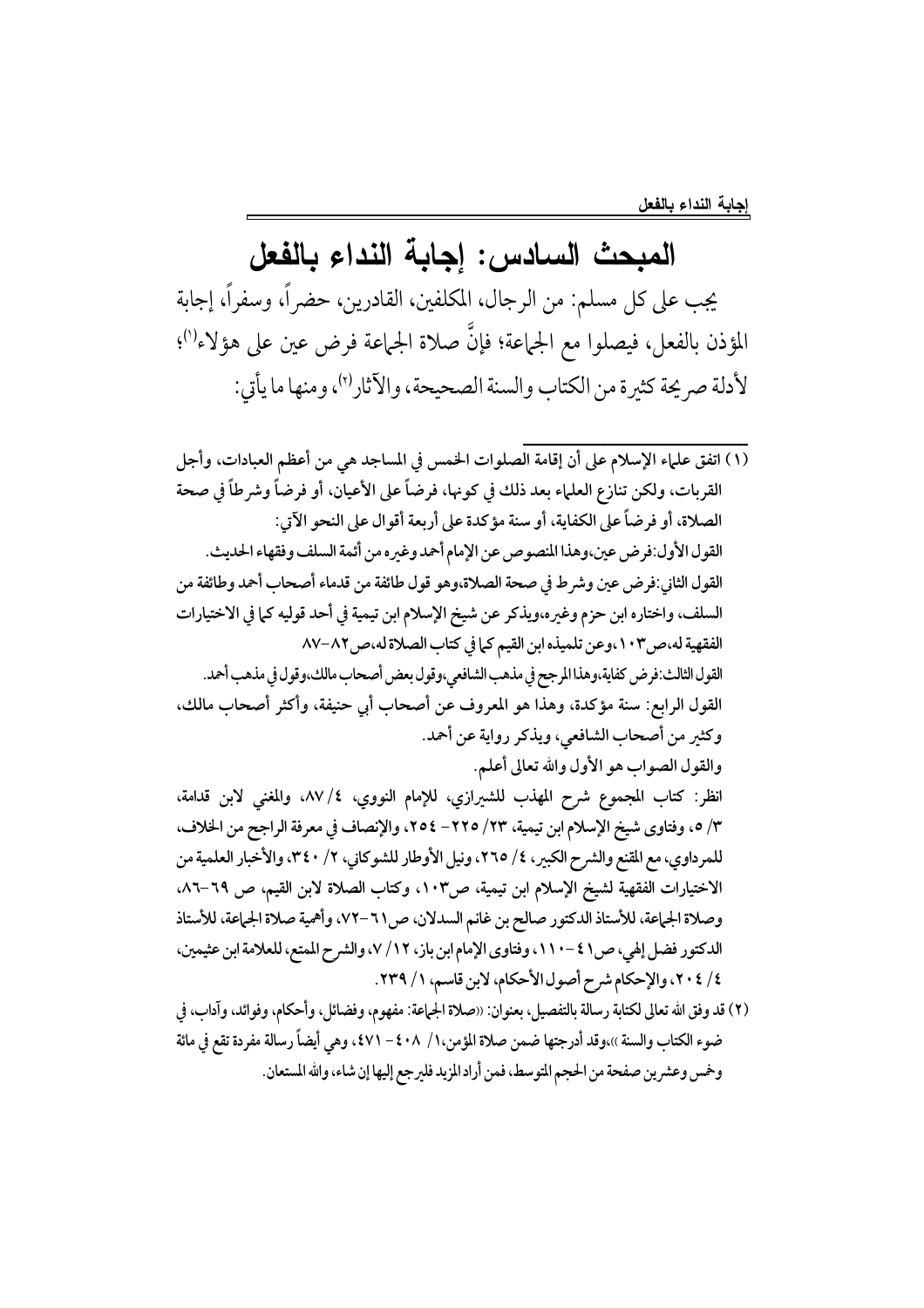## المبحث السادس: إجابة النداء بالفعل

يجب على كل مسلم: من الرجال، المكلفين، القادرين، حضر اً، وسفراً، إجابة المؤذن بالفعل، فيصلوا مع الجماعة؛ فإنَّ صلاة الجماعة فرض عين على هؤلاء<sup>(١)</sup>؛ لأدلة صر يحة كثيرة من الكتاب والسنة الصحيحة، والآثار<sup>(٢)</sup>، ومنها ما يأتي:

- (١) اتفق علماء الإسلام على أن إقامة الصلوات الخمس في المساجد هي من أعظم العبادات، وأجل القربات، ولكن تنازع العلماء بعد ذلك في كونها، فرضاً على الأعيان، أو فرضاً وشرطاً في صحة الصلاة، أو فرضاً على الكفاية، أو سنة مؤكدة على أربعة أقوال على النحو الآتي: القول الأول:فرض عين،وهذا المنصوص عن الإمام أحمد وغيره من أئمة السلف وفقهاء الحديث. القول الثاني:فرض عين وشرط في صحة الصلاة،وهو قول طائفة من قدماء أصحاب أحمد وطائفة من السلف، واختاره ابن حزم وغيره،ويذكر عن شيخ الإسلام ابن تيمية في أحد قوليه كما في الاختيارات الفقهية له،ص١٠٣،وعن تلميذه ابن القيم كما في كتاب الصلاة له،ص٨٧-٨٧ القول الثالث:فرض كفاية،وهذا المرجح في مذهب الشافعي،وقول بعض أصحاب مالك،وقول في مذهب أحمد. القول الرابع: سنة مؤكدة، وهذا هو المعروف عن أصحاب أبي حنيفة، وأكثر أصحاب مالك، وكثير من أصحاب الشافعي، ويذكر رواية عن أحمد. والقول الصواب هو الأول والله تعالى أعلم. انظر: كتاب المجموع شرح المهذب للشيرازي، للإمام النووي، ٤/ ٨٧، والمغنى لابن قدامة، ٣/ ٥، وفتاوى شيخ الإسلام ابن تيمية، ٢٣/ ٢٢٥- ٢٥٤، والإنصاف في معرفة الراجح من الخلاف، للمرداوي، مع المقنع والشرح الكبير، ٤/ ٢٦٥، ونيل الأوطار للشوكاني، ٢/ ٣٤٠، والأخبار العلمية من الاختيارات الفقهية لشيخ الإسلام ابن تيمية، ص١٠٣، وكتاب الصلاة لابن القيم، ص ٦٩–٨٦. وصلاة الجماعة، للأستاذ الدكتور صالح بن غانم السدلان، ص11 –٧٢، وأهمية صلاة الجماعة، للأستاذ الدكتور فضل إلهي، ص٤١ -١١٠٠، وفتاوى الإمام ابن باز، ١٢/ ٧، والشرح الممتع، للعلامة ابن عثيمين، ٤/ ٢٠٤، والإحكام شرح أصول الأحكام، لابن قاسم، ١/ ٢٣٩.
- (٢) قد وفق الله تعالى لكتابة رسالة بالتفصيل، بعنوان: «صلاة الجماعة: مفهوم، وفضائل، وأحكام، وفوائد، وآداب، في ضوء الكتاب والسنة ››،وقد أدرجتها ضمن صلاة المؤمن،١/ ٤٠٨ - ٤٧١، وهي أيضاً رسالة مفردة تقع في مائة وخمس وعشرين صفحة من الحجم المتوسط، فمن أراد المزيد فليرجع إليها إن شاء، والله المستعان.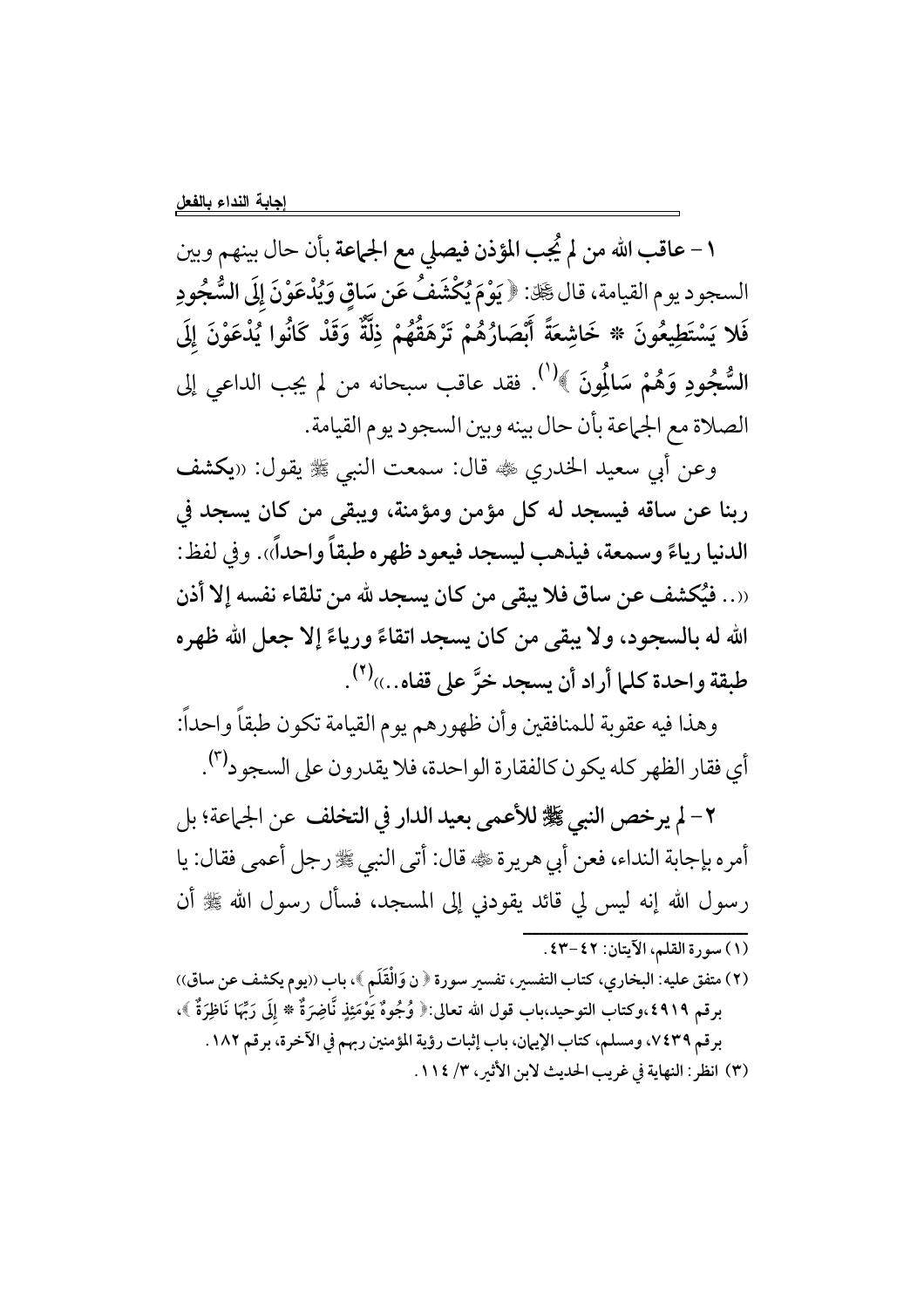١ – عاقب الله من لم يُجب المؤذن فيصلي مع الجماعة بأن حال بينهم وبين السجود يوم القيامة، قال رَّةِ. ﴿ يَوْمَ يُكْشَفُ عَن سَاقِ وَيُدْعَوْنَ إِلَى السُّجُودِ فَلا يَسْتَطِيعُونَ \* خَاشِعَةً أَبْصَارُهُمْ تَرْهَقُهُمْ ذِلَّةٌ وَقَدْ كَانُوا يُدْعَوْنَ إِلَى السُّجُودِ وَهُمْ سَالُمُونَ ﴾ ٰ ٰ فقد عاقب سبحانه من لم يجب الداعي إلى الصلاة مع الجماعة بأن حال بينه وبين السجود يوم القيامة.

وعن أبي سعيد الخدري ﷺ قال: سمعت النبي ﷺ يقول: «يكشف ربنا عن ساقه فيسجد له كل مؤمن ومؤمنة، ويبقى من كان يسجد في الدنيا رياءً وسمعة، فيذهب ليسجد فيعود ظهره طبقاً واحداً». وفي لفظ: ((. . فيُكشف عن ساق فلا يبقى من كان يسجد لله من تلقاء نفسه إلا أذن الله له بالسجود، ولا يبقى من كان يسجد اتقاءً ورياءً إلا جعل الله ظهره طبقة واحدة كلما أراد أن يسجد خرَّ على قفاه...»(").

وهذا فيه عقوبة للمنافقين وأن ظهورهم يوم القيامة تكون طبقاً واحداً: أي فقار الظهر كله يكون كالفقارة الواحدة، فلا يقدرون على السجود<sup>(٣)</sup>.

٢- لم يرخص النبي صلى الأعمى بعيد الدار في التخلف عن الجماعة؛ بل أمره بإجابة النداء، فعن أبي هريرة ڜ قال: أتى النبي ﷺ رجل أعمى فقال: يا رسول الله إنه ليس لي قائد يقودني إلى المسجد، فسأل رسول الله ﷺ أن 

(٢) متفق عليه: البخاري، كتاب التفسير، تفسير سورة ﴿ ن وَالْقَلَمِ ﴾، باب ((يوم يكشف عن ساق)) برقم ٤٩١٩،وكتاب التوحيد،باب قول الله تعالى:﴿ وُجُوهٌ يَوْمَئِذٍ نَّاضِرَةٌ ۞ إِلَى رَبِّهَا نَاظِرَةٌ ﴾، برقم ٧٤٣٩، ومسلم، كتاب الإيهان، باب إثبات رؤية المؤمنين ربهم في الآخرة، برقم ١٨٢ . (٣) انظر: النهاية في غريب الحديث لابن الأثير ، ٣/ ١١٤.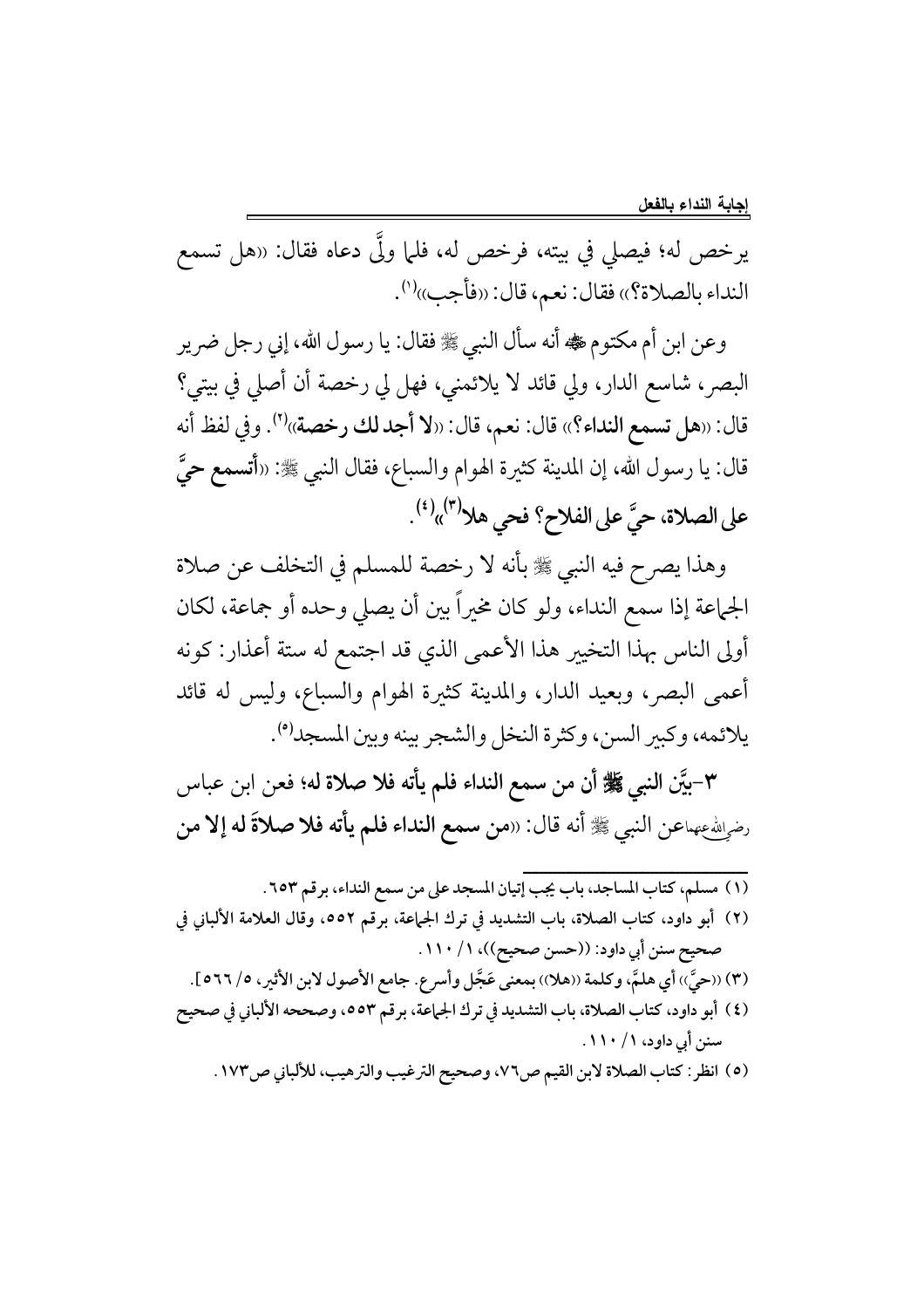يرخص له؛ فيصلي في بيته، فرخص له، فلما ولَّى دعاه فقال: «هل تسمع النداء بالصلاة؟)، فقال: نعم، قال: ((فأجب))<sup>(١</sup>).

وعن ابن أم مكتوم ضي أنه سأل النبي ﷺ فقال: يا رسول الله، إني رجل ضرير البصر، شاسع الدار، ولي قائد لا يلائمني، فهل لي رخصة أن أصلي في بيتي؟ قال: «هل تسمع النداء؟» قال: نعم، قال: «لا أجد لك رخصة»''). وفي لفظ أنه قال: يا رسول الله، إن المدينة كثيرة الهوام والسباع، فقال النبي ﷺ: «أ**تسمع ح**يَّ على الصلاة، حيَّ على الفلاح؟ فحى هلا<sup>(٣)</sup>»<sup>(٤)</sup>.

وهذا يصرح فيه النبي ﷺ بأنه لا رخصة للمسلم في التخلف عن صلاة الجماعة إذا سمع النداء، ولو كان مخيراً بين أن يصلى وحده أو جماعة، لكان أولى الناس بهذا التخيير هذا الأعمى الذي قد اجتمع له ستة أعذار: كونه أعمى البصر، وبعيد الدار، والمدينة كثيرة الهوام والسباع، وليس له قائد يلائمه، وكبير السن، وكثرة النخل والشجر بينه وبين المسجد(°).

٣-بيَّن النبي ﷺ أن من سمع النداء فلم يأته فلا صلاة له؛ فعن ابن عباس رضِيلله عنهماعن النبي ﷺ أنه قال: «من سمع النداء فلم يأته فلا صلاةَ له إلا من

- 
- (٢) أبو داود، كتاب الصلاة، باب التشديد في ترك الجماعة، برقم ٥٥٢، وقال العلامة الألباني في صحيح سنن أبي داود: ((حسن صحيح))، ١ / ١١٠.
- (٣) ((حيَّ)) أي هلمَّ، وكلمة ((هلا)) بمعنى عَجَّل وأسرع. جامع الأصول لابن الأثير، ٥/ ٢٦٦].
- (٤) أبو داود، كتاب الصلاة، باب التشديد في ترك الجماعة، برقم ٥٥٣، وصححه الألباني في صحيح سنن أي داود، ١ / ١١٠.
	- (٥) انظر: كتاب الصلاة لابن القيم ص٧٦، وصحيح الترغيب والترهيب، للألباني ص١٧٣.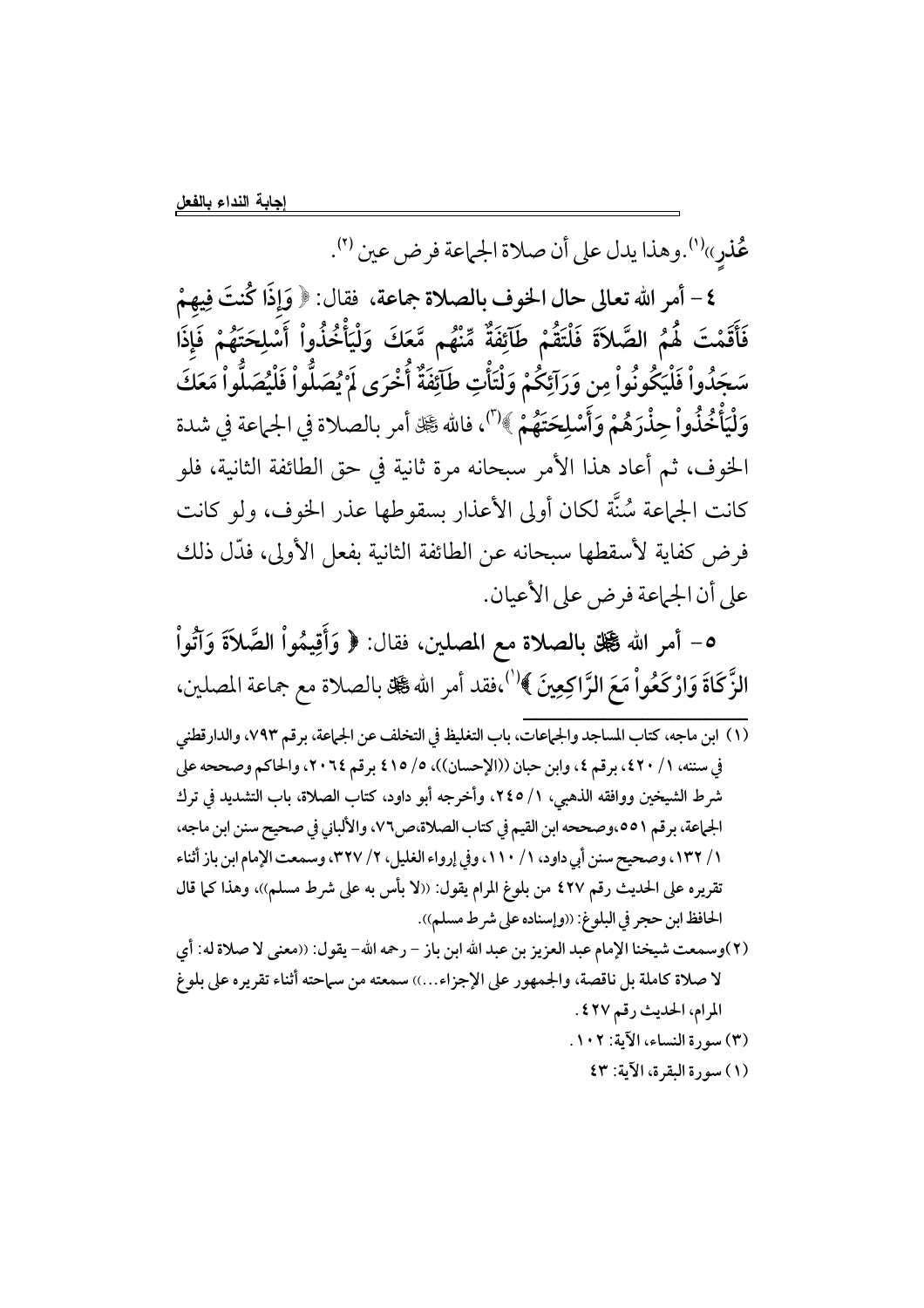عُذر»'').وهذا يدل على أن صلاة الجماعة فرض عين '').

٤ – أمر الله تعالى حال الخوف بالصلاة جماعة، فقال: ﴿ وَإِذَا كُنتَ فِيهِمْ فَأَقَمْتَ هُمُ الصَّلاَةَ فَلْتَقُمْ طَآئِفَةٌ مِّنْهُم مَّعَكَ وَلْيَأْخُذُواْ أَسْلِحَتَهُمْ فَإِذَا سَجَدُواْ فَلْيَكُونُواْ مِن وَرَآئِكُمْ وَلْتَأْتِ طَآئِفَةٌ أُخْرَى لَمْ يُصَلُّواْ فَلْيُصَلُّواْ مَعَكَ وَلْيَأْخُذُواْ حِذْرَهُمْ وَأَسْلِحَتَهُمْ ﴾ (")، فالله گِلّ أمر بالصلاة في الجماعة في شدة الخوف، ثم أعاد هذا الأمر سبحانه مرة ثانية في حق الطائفة الثانية، فلو كانت الجماعة سُنَّة لكان أولى الأعذار بسقوطها عذر الخوف، ولو كانت فرض كفاية لأسقطها سبحانه عن الطائفة الثانية بفعل الأولى، فدَّل ذلك على أن الجماعة فرض على الأعيان.

٥- أمر الله ﷺ بالصلاة مع المصلين، فقال: ﴿ وَأَقِيمُواْ الصَّلاَةَ وَآتُواْ الزَّكَاةَ وَارْكَعُواْ مَعَ الرَّاكِعِينَ ﴾'''،فقد أمر الله گَلِّ بالصلاة مع جماعة المصلين،

- (١) ابن ماجه، كتاب المساجد والجهاعات، باب التغليظ في التخلف عن الجهاعة، برقم ٧٩٣، والدارقطني في سننه، ١/ ٤٢٠، برقم ٤، وابن حبان ((الإحسان))، ٥/ ٤١٥ برقم ٢٠٦٤، والحاكم وصححه على شرط الشيخين ووافقه الذهبي، ١/ ٢٤٥، وأخرجه أبو داود، كتاب الصلاة، باب التشديد في ترك الجهاعة، برقم ٥٥١،وصححه ابن القيم في كتاب الصلاة،ص٢٧، والألباني في صحيح سنن ابن ماجه، ١/ ١٣٢، وصحيح سنن أبي داود، ١/ ١١٠، وفي إرواء الغليل، ٢/ ٣٢٧، وسمعت الإمام ابن باز أثناء تقريره على الحديث رقم ٤٢٧ من بلوغ المرام يقول: ((لا بأس به على شرط مسلم))، وهذا كما قال الحافظ ابن حجر في البلوغ: ((وإسناده على شرط مسلم)).
- (٢)وسمعت شيخنا الإمام عبد العزيز بن عبد الله ابن باز رحمه الله- يقول: ((معنى لا صلاة له: أي لا صلاة كاملة بل ناقصة، والجمهور على الإجزاء...)) سمعته من سماحته أثناء تقريره على بلوغ المرام، الحديث رقم ٤٢٧. (٣) سورة النساء، الآية: ١٠٢.
	- (١) سورة البقرة، الآية: ٤٣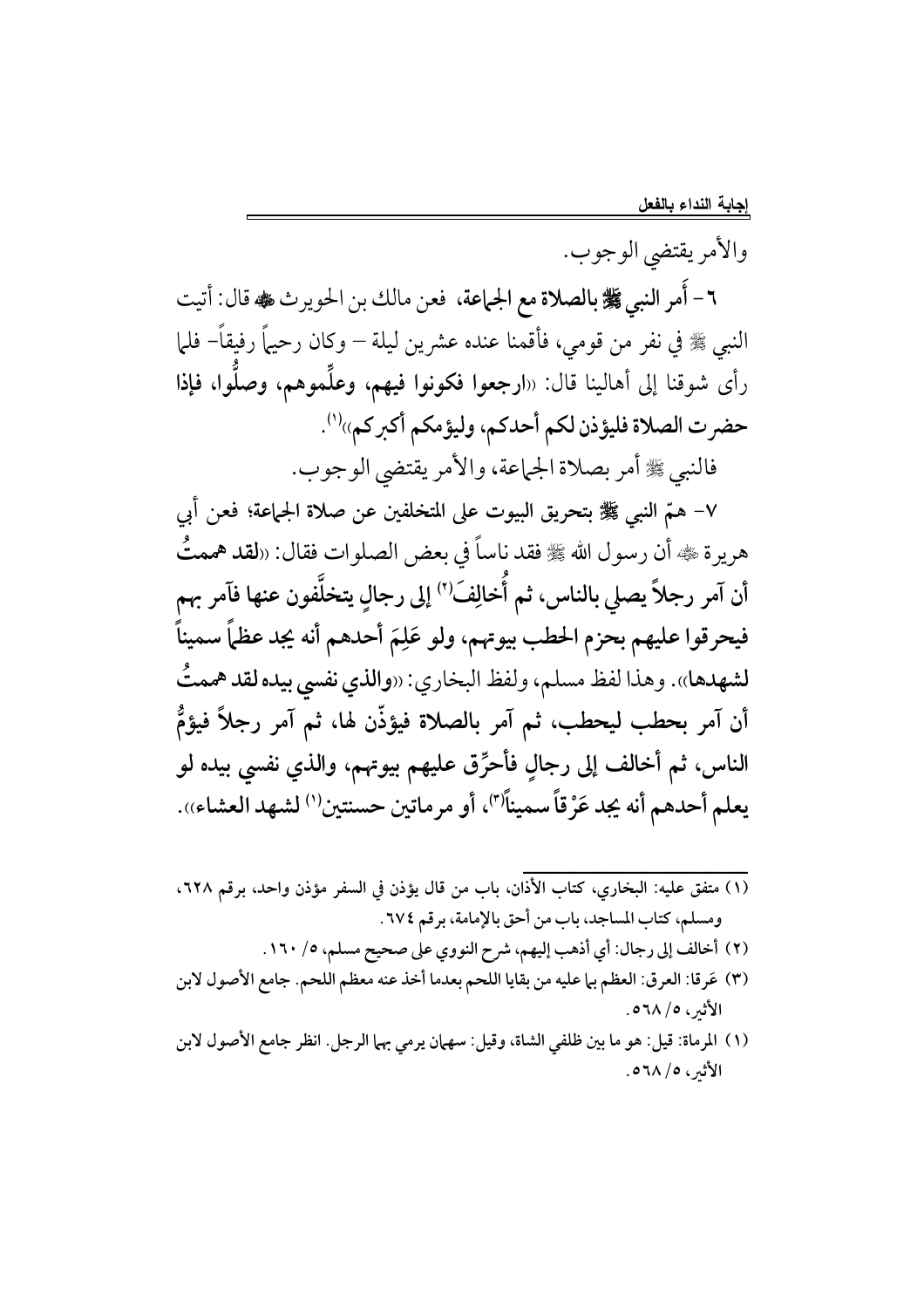والأمر يقتضي الوجوب.

٦- أُمرِ النبي ﷺ بالصلاة مع الجماعة، فعن مالك بن الحويرث ﷺ قال: أتيت النبي ﷺ في نفرٍ من قومي، فأقمنا عنده عشرين ليلة – وكان رحيهاً رفيقاً– فلما رأى شوقنا إلى أهالينا قال: «ا**رجعوا فكونوا فيهم، وعلَّموهم، وصلُّوا، فإذا** حضرت الصلاة فليؤذن لكم أحدكم، وليؤمكم أكبركم))''.

فالنبي ﷺ أمر بصلاة الجماعة، والأمر يقتضي الوجوب.

٧- همّ النبي ﷺ بتحريق البيوت على المتخلفين عن صلاة الجماعة؛ فعن أبي هريرة ﷺ أن رسول الله ﷺ فقد ناساً في بعض الصلوات فقال: «لقد هممتُ أن آمر رجلاً يصلي بالناس، ثم أُخالِفَ'') إلى رجالٍ يتخلَّفون عنها فآمر بهم فيحرقوا عليهم بحزم الحطب بيوتهم، ولو عَلِمَ أحدهم أنه يجد عظماً سميناً لشهدها». وهذا لفظ مسلم، ولفظ البخاري: «والذي نفسي بيده لقد هممتُ أن آمر بحطب ليحطب، ثم آمر بالصلاة فيؤذّن لها، ثم آمر رجلاً فيؤمُّ الناس، ثم أخالف إلى رجالٍ فأحرِّق عليهم بيوتهم، والذي نفسي بيده لو يعلم أحدهم أنه يجد عَرْقاً سميناًًا"، أو مرماتين حسنتين'' لشهد العشاء)).

- ومسلم، كتاب المساجد، باب من أحق بالإمامة، برقم ٢٧٤.
	- (٢) أخالف إلى رجال: أي أذهب إليهم، شرح النووي على صحيح مسلم، ٥/ ١٦٠.
- (٣) عَرقا: العرق: العظم بيا عليه من بقايا اللحم بعدما أخذ عنه معظم اللحم. جامع الأصول لابن الأثير ، ٥٦٨/٥.
- (١) المرماة: قيل: هو ما بين ظلفي الشاة، وقيل: سهمان يرمي بهما الرجل. انظر جامع الأصول لابن الأثير ، ٥٦٨/٥.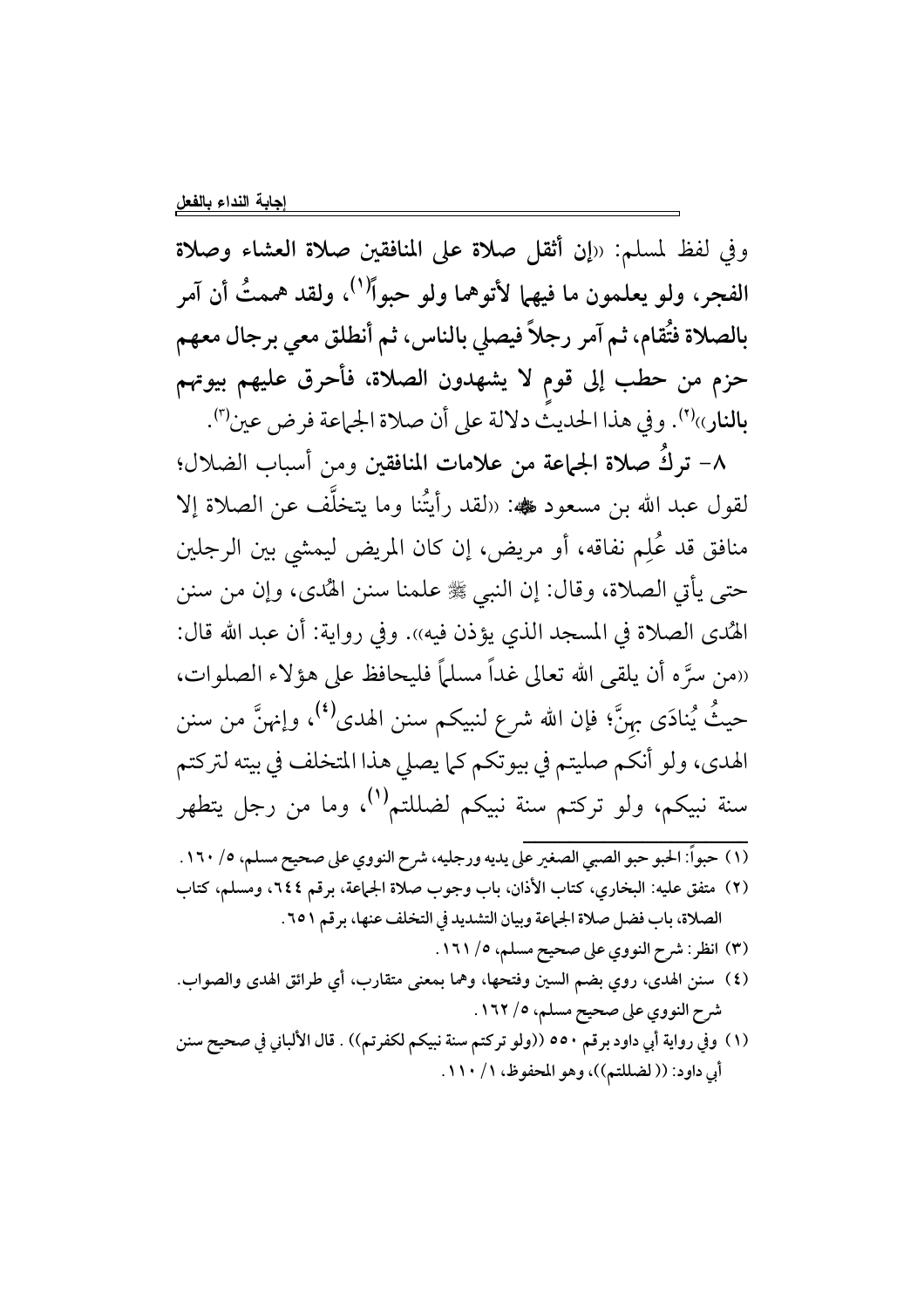وفي لفظ لمسلم: «إن أثقل صلاة على المنافقين صلاة العشاء وصلاة الفجر، ولو يعلمون ما فيهما لأتوهما ولو حبواً<sup>(١)</sup>، ولقد هممتُ أن آمر بالصلاة فتُقام، ثم آمر رجلاً فيصلى بالناس، ثم أنطلق معي برجال معهم حزم من حطب إلى قوم لا يشهدون الصلاة، فأحرق عليهم بيوتهم بالنار»'". وفي هذا الحديثُ دلالة على أن صلاة الجماعة فرض عين'".

٨– تركَ صلاة الجماعة من علامات المنافقين ومن أسباب الضلال؛ لقول عبد الله بن مسعود ﷺ: «لقد رأيتُنا وما يتخلَّف عن الصلاة إلا منافق قد عُلِم نفاقه، أو مريض، إن كان المريض ليمشى بين الرجلين حتى يأتي الصلاة، وقال: إن النبي ﷺ علمنا سنن الهُدى، وإن من سنن الهُدى الصلاة في المسجد الذي يؤذن فيه)). وفي رواية: أن عبد الله قال: ((من سرَّ ه أن يلقى الله تعالى غداً مسلماً فليحافظ على هؤلاء الصلوات، حيثُ يُنادَى بِهِنَّ؛ فإن الله شرع لنبيكم سنن الهدى<sup>(٤)</sup>، وإنهنَّ من سنن الهدي، ولو أنكم صليتم في بيوتكم كما يصلي هذا المتخلف في بيته لتركتم سنة نبيكم، ولو تركتم سنة نبيكم لضللتم<sup>(١)</sup>، وما من رجل يتطهر

- (١) حبواً: الحبو حبو الصبي الصغير على يديه ورجليه، شرح النووي على صحيح مسلم، ٥/ ١٦٠ .
- (٢) متفق عليه: البخاري، كتاب الأذان، باب وجوب صلاة الجماعة، برقم ٢٤٤، ومسلم، كتاب الصلاة، باب فضل صلاة الجماعة وبيان التشديد في التخلف عنها، برقم ٢٥١.
	- (٣) انظر: شرح النووي على صحيح مسلم، ٥/ ١٦١.
- (٤) سنن الهدى، روي بضم السين وفتحها، وهما بمعنى متقارب، أي طرائق الهدى والصواب. شرح النووي على صحيح مسلم، ٥/ ١٦٢.
- (١) وفي رواية أبي داود برقم ٥٥٠ ((ولو تركتم سنة نبيكم لكفرتم)) . قال الألباني في صحيح سنن أبي داود: (( لضللتم))، وهو المحفوظ، ١ / ١١٠.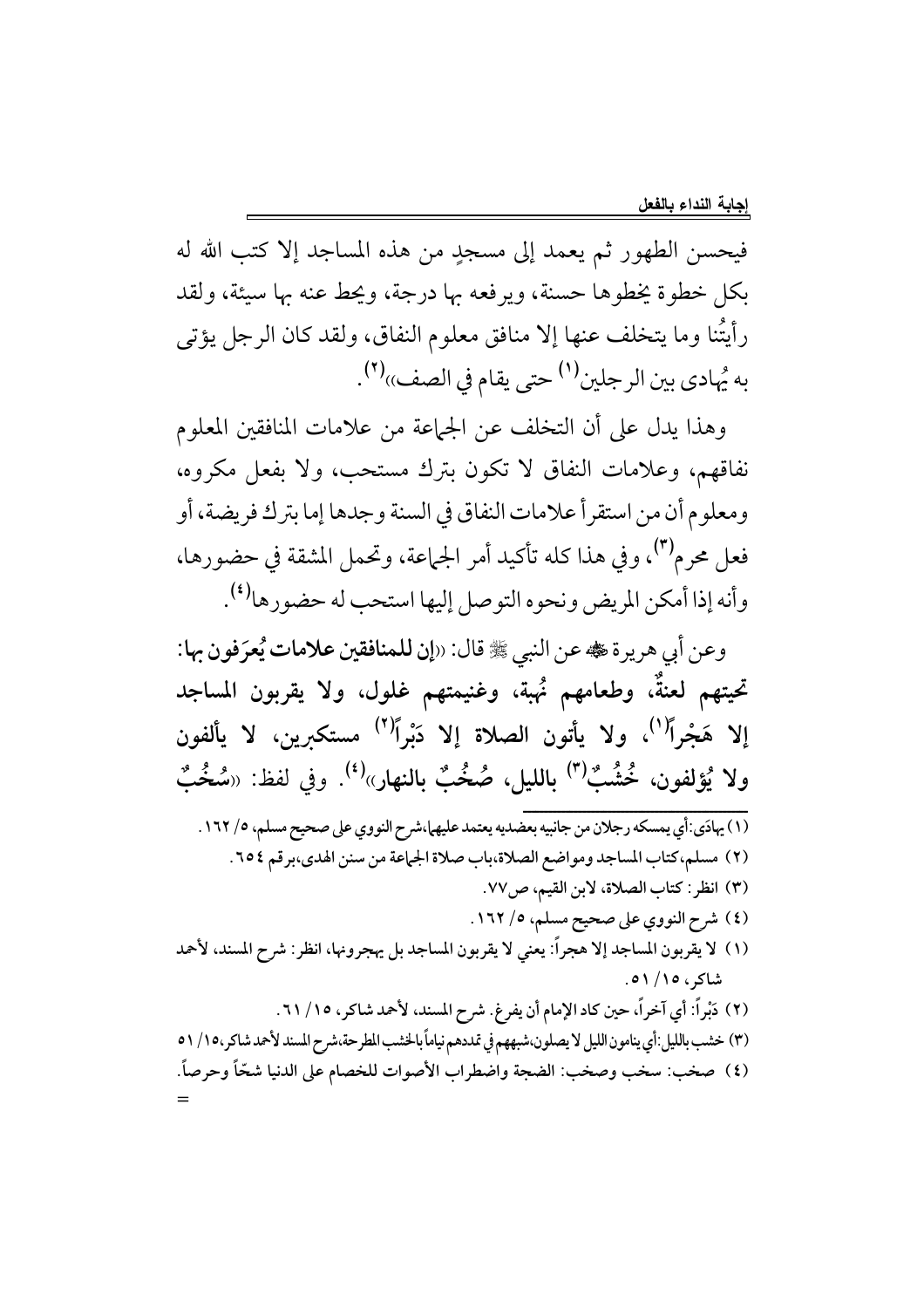فيحسن الطهور ثم يعمد إلى مسجدٍ من هذه المساجد إلا كتب الله له بكل خطوة يخطوها حسنة، ويرفعه بها درجة، ويحط عنه بها سيئة، ولقد رأيتُنا وما يتخلف عنها إلا منافق معلوم النفاق، ولقد كان الرجل يؤتى به يُهادى بين الرجلين<sup>(١)</sup> حتى يقام في الصف))<sup>(٢)</sup>.

وهذا يدل على أن التخلف عن الجماعة من علامات المنافقين المعلوم نفاقهم، وعلامات النفاق لا تكون بترك مستحب، ولا بفعل مكروه، ومعلوم أن من استقرأ علامات النفاق في السنة وجدها إما بترك فريضة، أو فعل محرم<sup>(٣)</sup>، وفي هذا كله تأكيد أمر الجماعة، وتحمل المشقة في حضورها، وأنه إذا أمكن المريض ونحوه التوصل إليها استحب له حضورها<sup>(٤)</sup>.

وعن أبي هريرة عله عن النبي ﷺ قال: «إن للمنافقين علامات يُعرَفون بها: تحيتهم لعنةٌ، وطعامهم نُهبة، وغنيمتهم غلول، ولا يقربون المساجد إلا هَجْراً<sup>(י)</sup>، ولا يأتون الصلاة إلا دَبْراً<sup>(٢)</sup> مستكبرين، لا يألفون ولا يُؤلفون، خُشُبٌ<sup>(٣)</sup> بِالليلِ، صُخُبٌ بِالنهارِ»<sup>(٤)</sup>. وفي لفظ: «سُخُبٌ (١) يهادَى:أي يمسكه رجلان من جانبيه بعضديه يعتمد عليهما،شرح النووي على صحيح مسلم، ٥/ ١٦٢. (٢) مسلم،كتاب المساجد ومواضع الصلاة،باب صلاة الجاعة من سنن الهدى،برقم ٢٥٤. (٣) انظر: كتاب الصلاة، لابن القيم، ص٧٧. (٤) شرح النووي على صحيح مسلم، ٥/ ١٦٢. (١) لا يقربون المساجد إلا هجراً: يعني لا يقربون المساجد بل يهجرونها، انظر: شرح المسند، لأحمد شاكر، ۱۵/ ۵۱. (٢) دَبْراً: أي آخراً، حين كاد الإمام أن يفرغ. شرح المسند، لأحمد شاكر، ١٥/ ٦١. (٣) خشب بالليل:أي ينامون الليل لا يصلون،شبههم في تمددهم نياماً بالخشب المطرحة،شرح المسند لأحمد شاكر،١٥/ ٥١ (٤) صخب: سخب وصخب: الضجة واضطراب الأصوات للخصام على الدنيا شحًّا وحرصاً.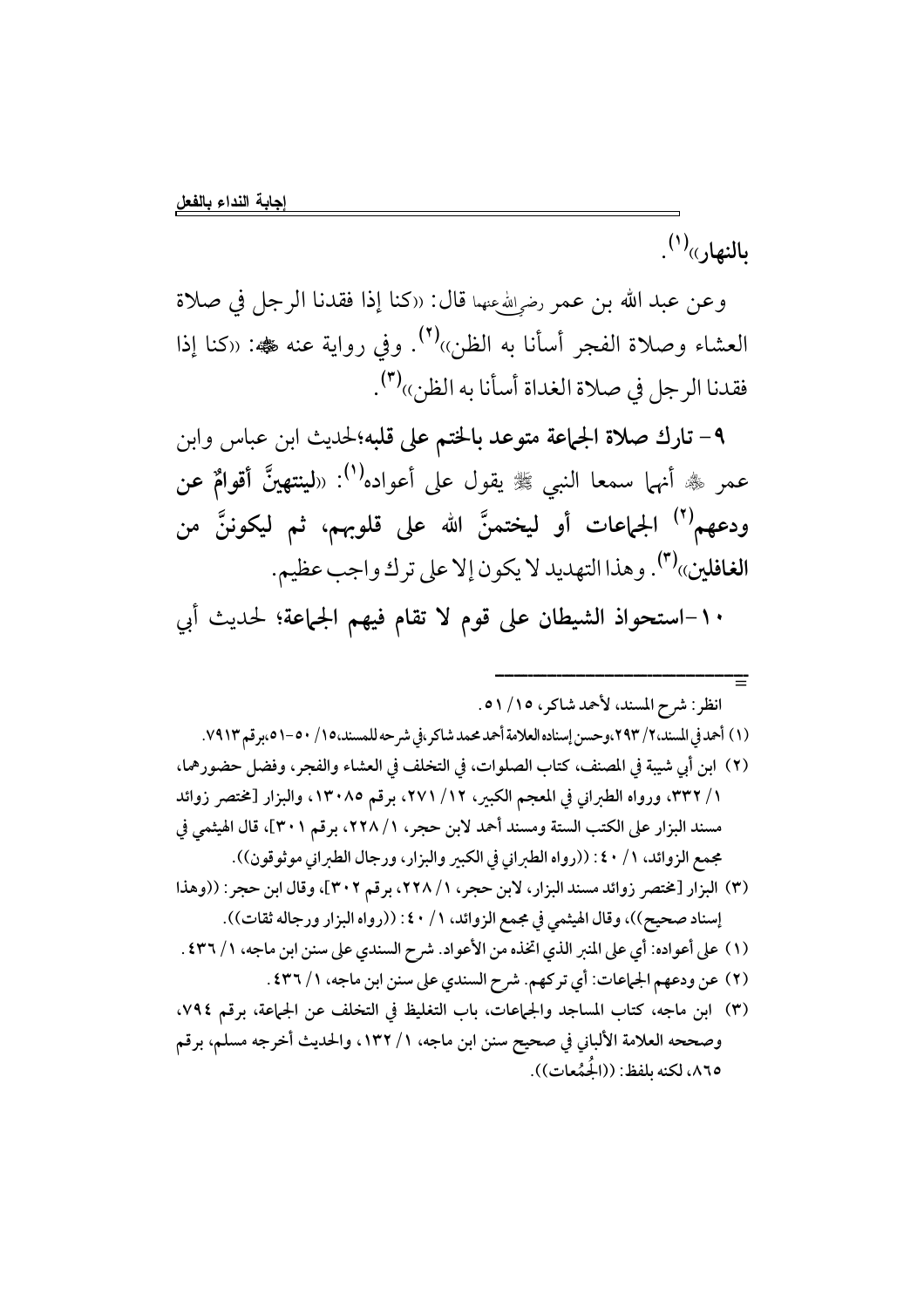بالنهار»<sup>(۱)</sup>.

وعن عبد الله بن عمر رض<sub>ي</sub>لله عنهما قال: «كنا إذا فقدنا الرجل في صلاة العشاء وصلاة الفجر أسأنا به الظن»<sup>(٢)</sup>. وفي رواية عنه ﷺ: «كنا إذا فقدنا الرجل في صلاة الغداة أسأنا به الظن»(٣).

٩- تارك صلاة الجماعة متوعد بالختم على قلبه؛لحديث ابن عباس وابن عمر ﷺ أنهما سمعا النبي ﷺ يقول على أعواده<sup>(١)</sup>: «ل**ينتهينَّ أقوامٌ عن** ودعهم<sup>(٢)</sup> الجماعات أو ليختمنَّ الله على قلوبهم، ثم ليكوننَّ من الغافلين»<sup>(٣)</sup>. وهذا التهديد لا يكون إلا على ترك واجب عظيم.

١٠-استحواذ الشيطان على قوم لا تقام فيهم الجماعة؛ لحديث أبي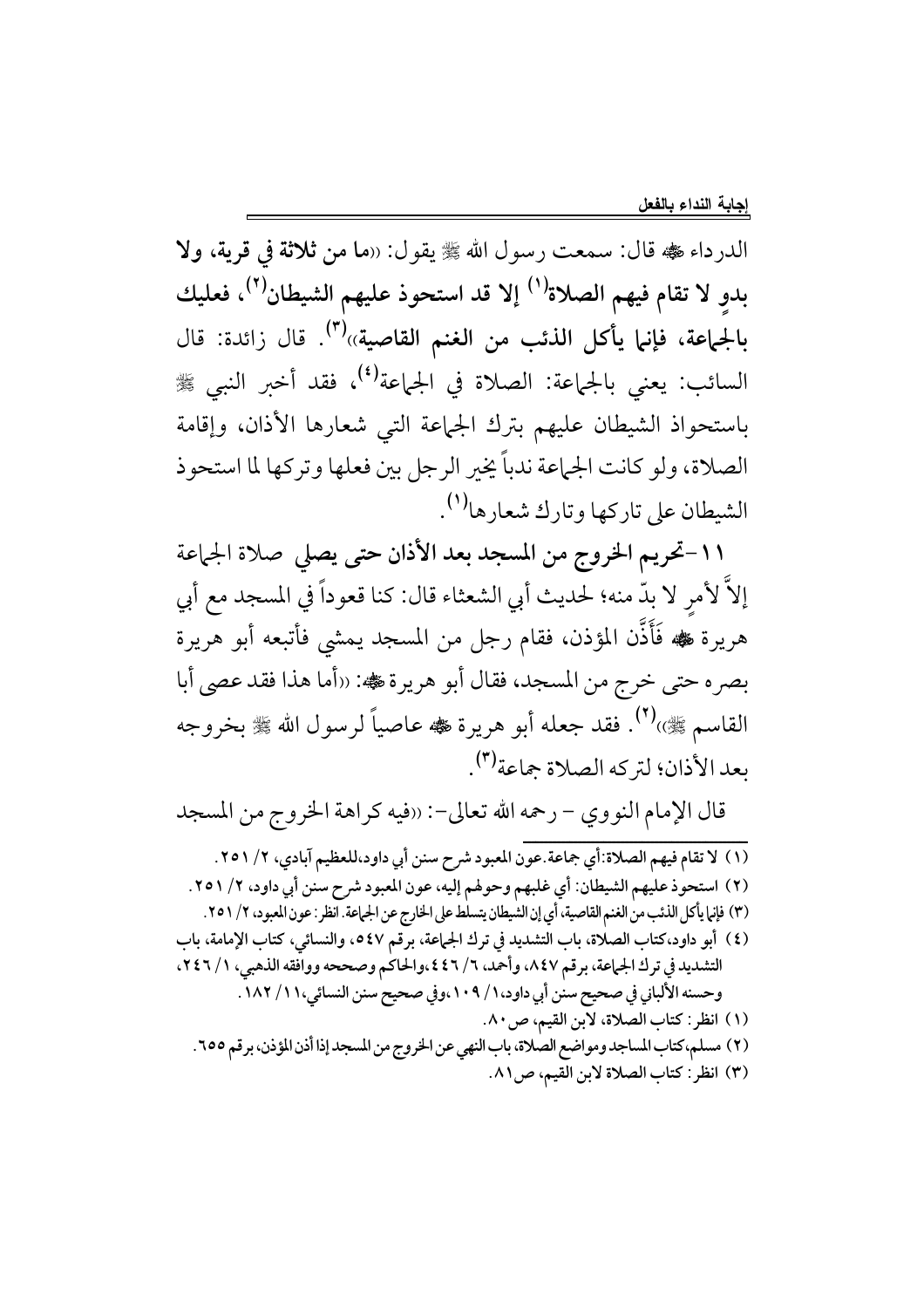الدرداء ، الله عليه قال: سمعت رسول الله ، عليه يقول: «ما من ثلاثة في قرية، ولا بدوِ لا تقام فيهم الصلاة<sup>(١)</sup> إلا قد استحوذ عليهم الشيطان<sup>(٢)</sup>، فعليك بالجماعة، فإنما يأكل الذئب من الغنم القاصية))<sup>(٣)</sup>. قال زائدة: قال السائب: يعني بالجماعة: الصلاة في الجماعة<sup>(٤)</sup>، فقد أخبر النبي ﷺ باستحواذ الشيطان عليهم بترك الجماعة التي شعارها الأذان، وإقامة الصلاة، ولو كانت الجماعة ندباً يخير الرجل بين فعلها وتركها لما استحوذ الشيطان على تاركها وتارك شعارها<sup>(١)</sup>.

١١-تحريم الخروج من المسجد بعد الأذان حتى يصلى صلاة الجماعة إلاَّ لأمرِ لا بدَّ منه؛ لحديث أبي الشعثاء قال: كنا قعوداً في المسجد مع أبي هريرة ڜه فَأَذَّن المؤذن، فقام رجل من المسجد يمشى فأتبعه أبو هريرة بصره حتى خرج من المسجد، فقال أبو هريرة کُه: «أما هذا فقد عصي أبا القاسم ﷺ).(٢) فقد جعله أبو هريرة ﷺ عاصياً لرسول الله ﷺ بخروجه بعد الأذان؛ لتركه الصلاة جماعة<sup>(٣)</sup>.

قال الإمام النووي – رحمه الله تعالى–: «فيه كراهة الخروج من المسجد

(١) لا تقام فيهم الصلاة:أي جماعة.عون المعبود شرح سنن أبي داود،للعظيم آبادي، ٢/ ٢٥١. (٢) استحوذ عليهم الشيطان: أي غلبهم وحولهم إليه، عون المعبود شرح سنن أبي داود، ٢/ ٢٥١. (٣) فإنها يأكل الذئب من الغنم القاصية، أي إن الشيطان يتسلط على الخارج عن الجهاعة. انظر : عون المعبود، ٢/ ٢٥١. (٤) أبو داود،كتاب الصلاة، باب التشديد في ترك الجماعة، برقم ٥٤٧، والنسائي، كتاب الإمامة، باب التشديد في ترك الجماعة، برقم ٨٤٧، وأحمد، ٦/ ٤٤٦،والحاكم وصححه ووافقه الذهبي، ١/ ٢٤٦، وحسنه الألباني في صحيح سنن أبي داود، ١ / ١٠٩،وفي صحيح سنن النسائي، ١ ١ / ١٨٢ . (١) انظر: كتاب الصلاة، لأبن القيم، ص ٨٠. (٢) مسلم، كتاب المساجد ومواضع الصلاة، باب النهي عن الخروج من المسجد إذا أذن المؤذن، برقم ٢٥٥. (٣) انظر: كتاب الصلاة لابن القيم، ص١٨١.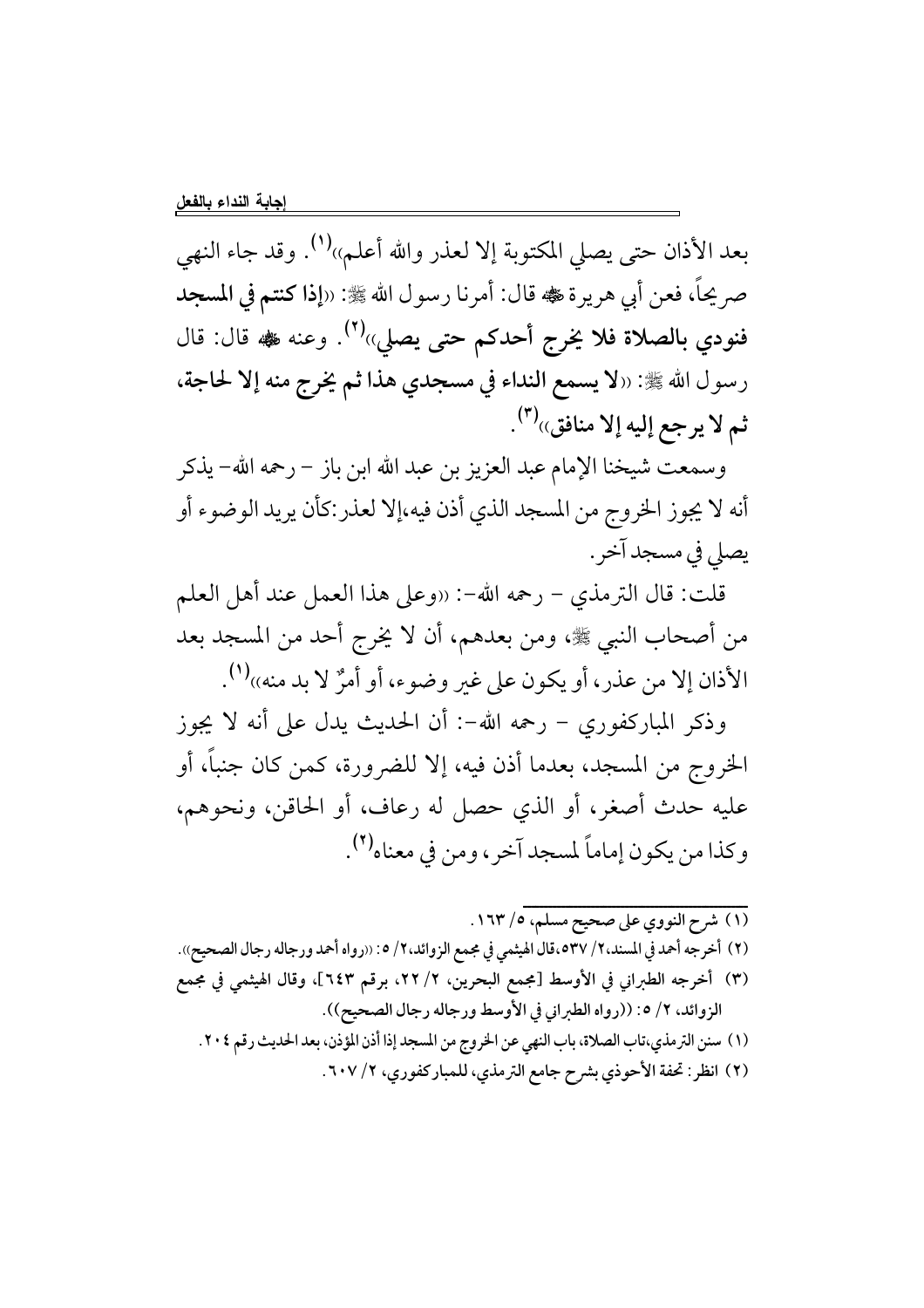بعد الأذان حتى يصلى المكتوبة إلا لعذر والله أعلم»<sup>(١)</sup>. وقد جاء النهي صر يحاً، فعن أبي هريرة ﷺ، قال: أمرنا رسول الله ﷺ: «إذا كنتم في المسجد فنودي بالصلاة فلا يخرج أحدكم حتى يصلي»<sup>(٢)</sup>. وعنه ‱ قال: قال رسول الله ﷺ: «لا يسمع النداء في مسجدي هذا ثم يخرج منه إلا لحاجة، ثم لا يرجع إليه إلا منافق»<sup>(٣)</sup>.

وسمعت شيخنا الإمام عبد العزيز بن عبد الله ابن باز – رحمه الله– يذكر أنه لا يجوز الخروج من المسجد الذي أذن فيه،إلا لعذر:كأن يريد الوضوء أو يصلي في مسجد آخر .

قلت: قال الترمذي – رحمه الله–: «وعلى هذا العمل عند أهل العلم من أصحاب النبي ﷺ، ومن بعدهم، أن لا يخرج أحد من المسجد بعد الأذان إلا من عذر، أو يكون على غير وضوء، أو أمرٌ لا بد منه»(').

وذكر المباركفوري – رحمه الله-: أن الحديث يدل على أنه لا يجوز الخروج من المسجد، بعدما أذن فيه، إلا للضرورة، كمن كان جنباً، أو عليه حدث أصغر، أو الذي حصل له رعاف، أو الحاقن، ونحوهم، وكذا من يكون إماماً لمسجد آخر ، ومن في معناه<sup>(٢)</sup>.

(١) شرح النووي على صحيح مسلم، ١٦٣/٥. (٢) أخرجه أحمد في المسند،٢/ ٥٣٧ه،قال الهيثمي في مجمع الزوائد،٢/ ٥: «رواه أحمد ورجاله رجال الصحيح». (٣) أخرجه الطبراني في الأوسط [مجمع البحرين، ٢/ ٢٢، برقم ٦٤٣]، وقال الهيثمي في مجمع الزوائد، ٢/ ٥: ((رواه الطبراني في الأوسط ورجاله رجال الصحيح)). (١) سنن الترمذي،تاب الصلاة، باب النهي عن الخروج من المسجد إذا أذن المؤذن، بعد الحديث رقم ٢٠٤. (٢) انظر: تحفة الأحوذي بشرح جامع الترمذي، للمباركفوري، ٢/ ٦٠٧.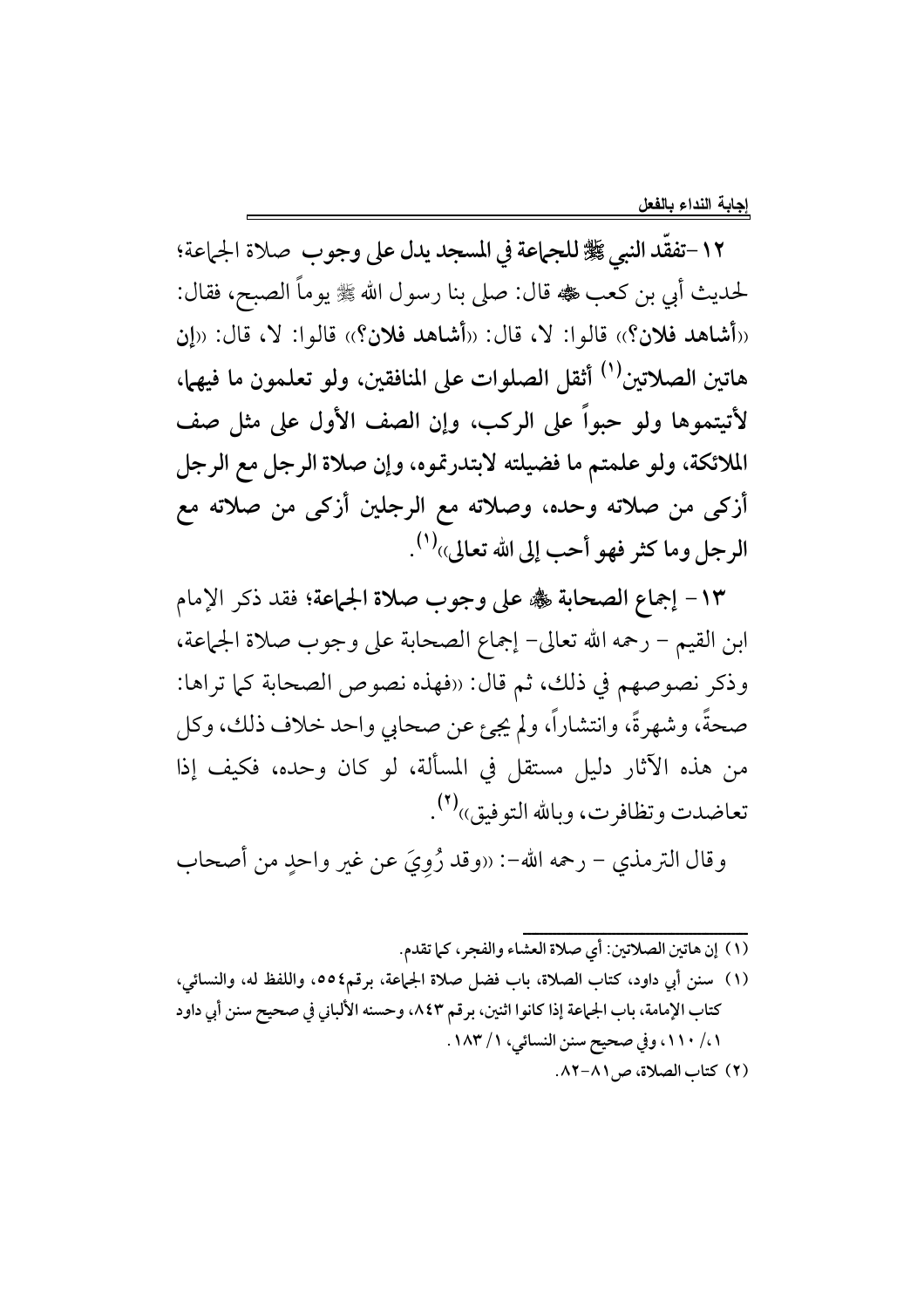١٢-تفقَّد النبي ﷺ للجماعة في المسجد يدل على وجوب صلاة الجماعة؛ لحديث أبي بن كعب ١٠ قال: صلى بنا رسول الله ﷺ يوماً الصبح، فقال: «أشاهد فلان؟» قالوا: لا، قال: «أشاهد فلان؟» قالوا: لا، قال: «إن هاتين الصلاتين<sup>(١)</sup> أثقل الصلوات على المنافقين، ولو تعلمون ما فيهما، لأتيتموها ولو حبواً على الركب، وإن الصف الأول على مثل صف الملائكة، ولو علمتم ما فضيلته لابتدرتموه، وإن صلاة الرجل مع الرجل أزكي من صلاته وحده، وصلاته مع الرجلين أزكي من صلاته مع الرجل وما كثر فهو أحب إلى الله تعالى»<sup>(١)</sup>.

١٣ - إجماع الصحابة ﷺ على وجوب صلاة الجماعة؛ فقد ذكر الإمام ابن القيم – رحمه الله تعالى– إجماع الصحابة على وجوب صلاة الجماعة، وذكر نصوصهم في ذلك، ثم قال: «فهذه نصوص الصحابة كما تراها: صحةً، وشهرةً، وانتشاراً، ولم يجئ عن صحابي واحد خلاف ذلك، وكل من هذه الآثار دليل مستقل في المسألة، لو كان وحده، فكيف إذا تعاضدت وتظافرت، وبالله التوفيق»(٢).

وقال الترمذي – رحمه الله–: «وقد رُوِيَ عن غير واحدٍ من أصحاب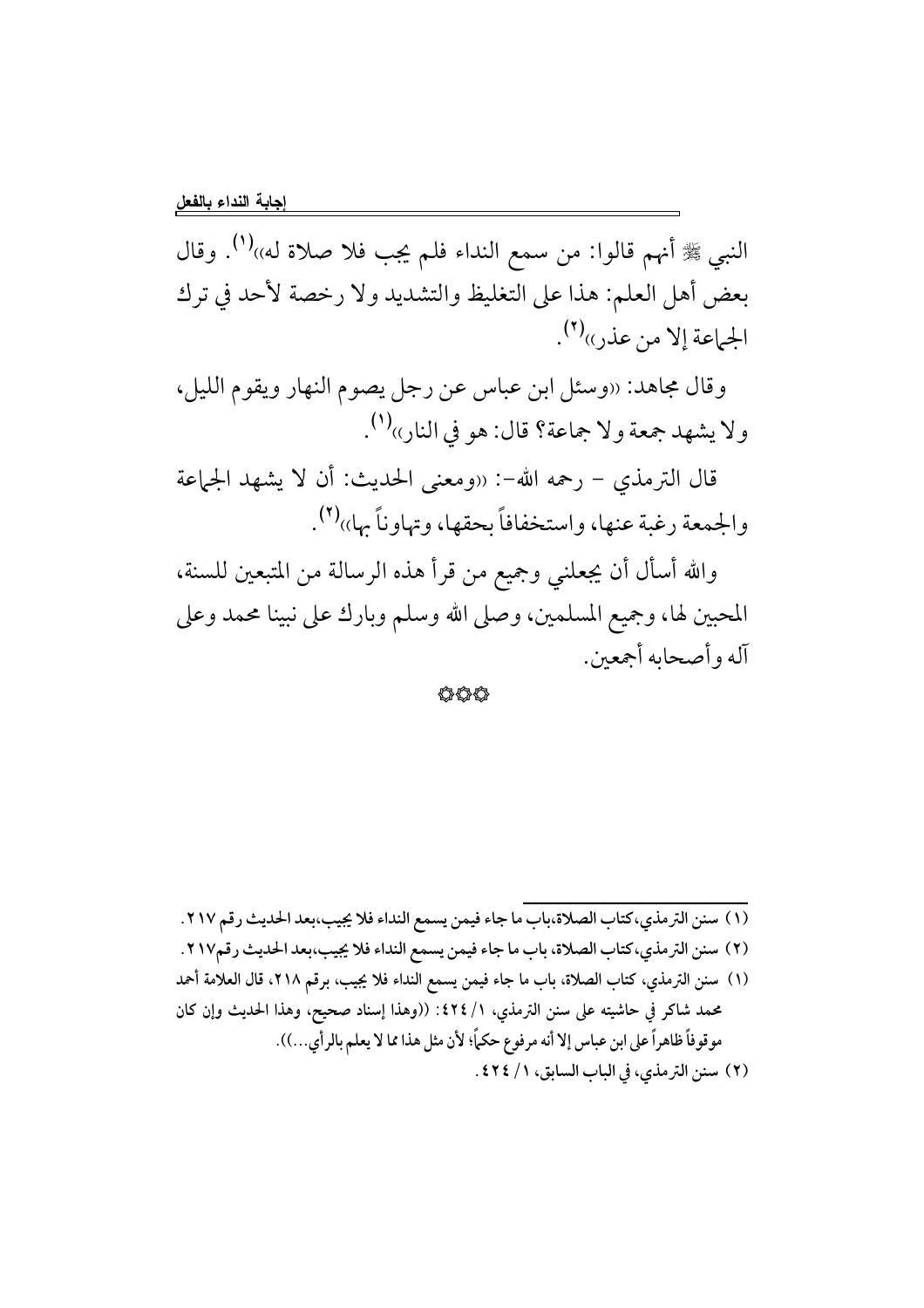النبي ﷺ أنهم قالوا: من سمع النداء فلم يجب فلا صلاة له»ا $^{(1)}$ . وقال بعض أهل العلم: هذا على التغليظ والتشديد ولا رخصة لأحد في ترك الجماعة إلا من عذر)ا<sup>(٢)</sup>.

وقال مجاهد: «وسئل ابن عباس عن رجل يصوم النهار ويقوم الليل، ولا يشهد جمعة ولا جماعة؟ قال: هو في النارِ››(').

قال الترمذي – رحمه الله–: «ومعنى الحديث: أن لا يشهد الجماعة والجمعة رغبة عنها، واستخفافاً بحقها، وتهاوناً بها»(٢).

والله أسأل أن يجعلني وجميع من قرأ هذه الرسالة من المتبعين للسنة، المحبين لها، وجميع المسلمين، وصلى الله وسلم وبارك على نبينا محمد وعلى آله وأصحابه أجمعين.

444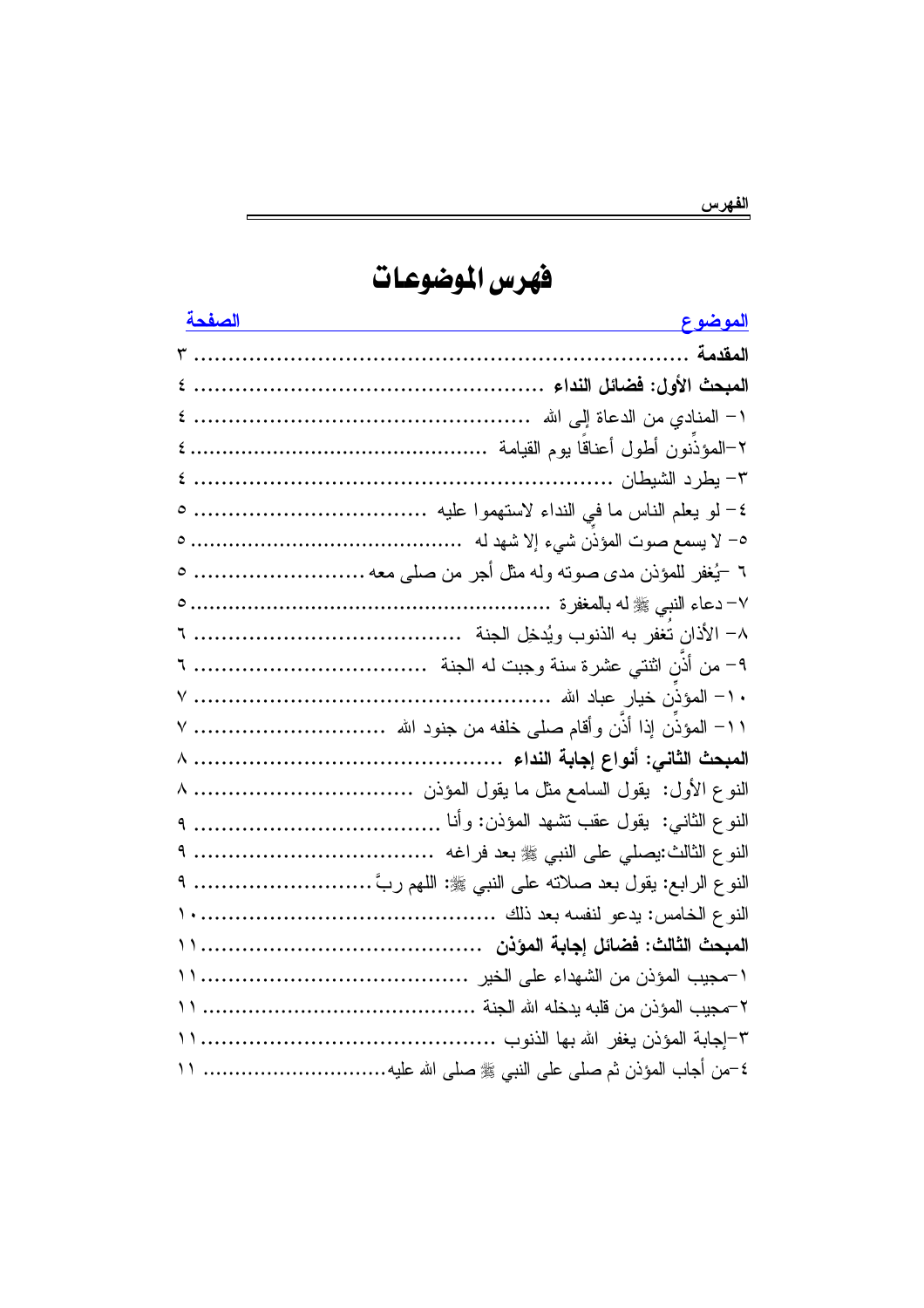للفهرس

فهرس الموضوعات

| <u>الصفحة الصفحة الصفحة</u> | <u>الموضوع __</u>                                                |
|-----------------------------|------------------------------------------------------------------|
|                             |                                                                  |
|                             |                                                                  |
|                             |                                                                  |
|                             |                                                                  |
|                             |                                                                  |
|                             |                                                                  |
|                             |                                                                  |
|                             | ٦ –يُغفر للمؤذن مدى صوته وله مثل أجر من صلى معه  ٥               |
|                             |                                                                  |
|                             | ٨– الأذان تغفر به الذنوب ويُدخِل الجنة                           |
|                             |                                                                  |
|                             |                                                                  |
|                             | ١١− المؤذن إذا أذن وأقام صلى خلفه من جنود الله   ٧               |
|                             |                                                                  |
|                             | النوع الأول:  يقول السامع مثل ما يقول المؤذن   ٨                 |
|                             |                                                                  |
|                             | النوع الثالث:يصلَّى علَّى النبي ﷺ بعد فراغه   ٩                  |
|                             | النوع الرابع: يقول بعد صلاته على النبي ﷺ: اللهم ربَّ ……………………… ٩ |
|                             |                                                                  |
|                             |                                                                  |
|                             |                                                                  |
|                             |                                                                  |
|                             |                                                                  |
|                             | ٤–من أجاب المؤذن ثم صلى على النبي ﷺ صلى الله عليه ١١             |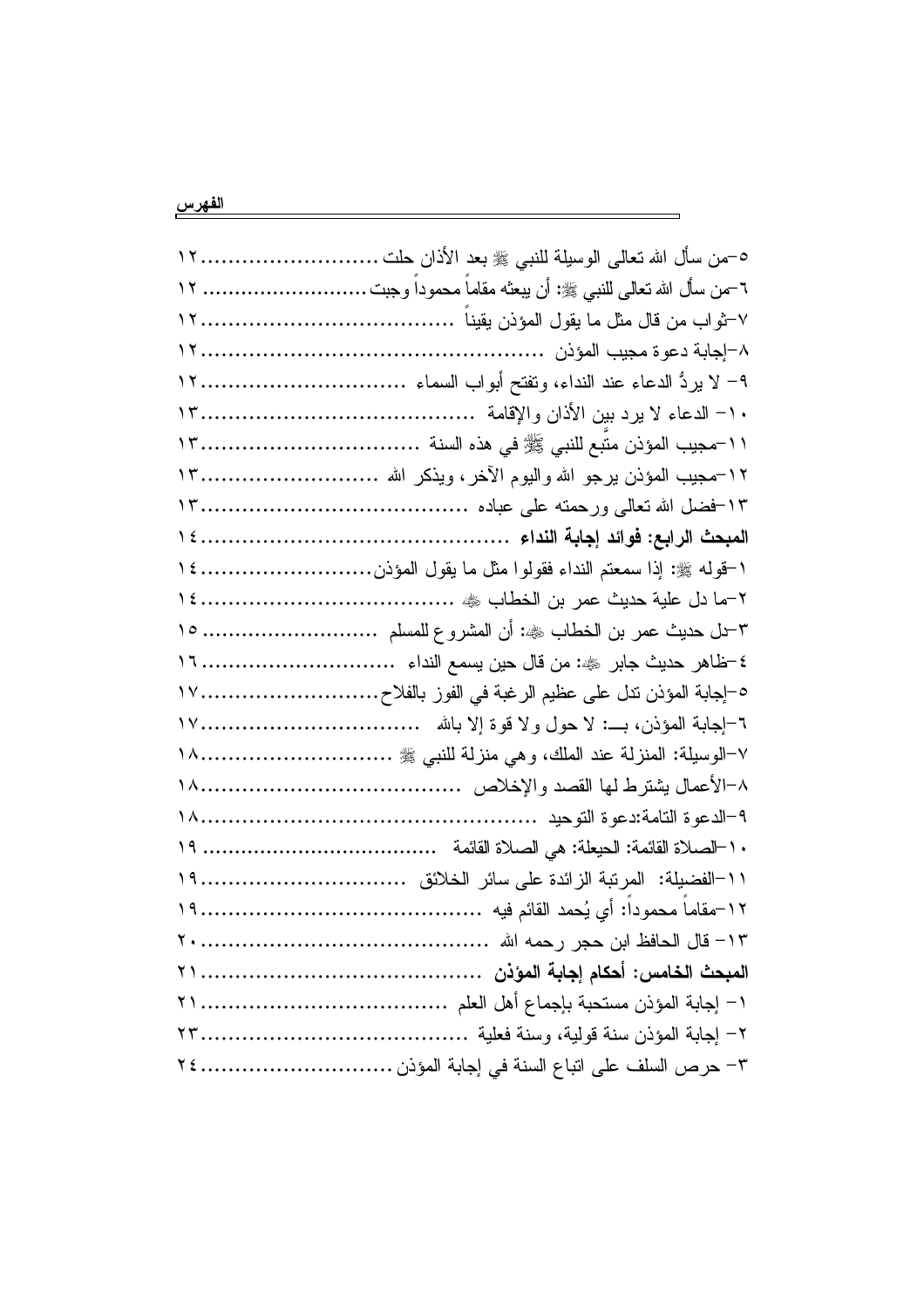| ٦-من سأل الله نعالـي للنبـي ﷺ: أن يبعثـه مقامـا محمودا وجبت  ١٢ |  |
|-----------------------------------------------------------------|--|
|                                                                 |  |
|                                                                 |  |
|                                                                 |  |
|                                                                 |  |
|                                                                 |  |
|                                                                 |  |
|                                                                 |  |
|                                                                 |  |
| ١-قوله ﷺ: إذا سمعتم النداء فقولوا مثل ما يقول المؤذن ١٤         |  |
|                                                                 |  |
| ٣-ل حديث عمر بن الخطاب ﷺ: أن المشروع للمسلم  ١٥                 |  |
|                                                                 |  |
| ٥–إجابة المؤذن ننل على عظيم الرغبة في الفوز بالفلاح١٧           |  |
| ٦–اجابة المؤذن، بـــ: لا حول ولا قوة إلا بالله   ١٧٠            |  |
| ٧–الوسيلة: المنزلة عند الملك، و هي منزلة للنبي ﷺ ١٨             |  |
|                                                                 |  |
|                                                                 |  |
|                                                                 |  |
|                                                                 |  |
|                                                                 |  |
|                                                                 |  |
|                                                                 |  |
|                                                                 |  |
|                                                                 |  |
|                                                                 |  |

 $\overline{\phantom{0}}$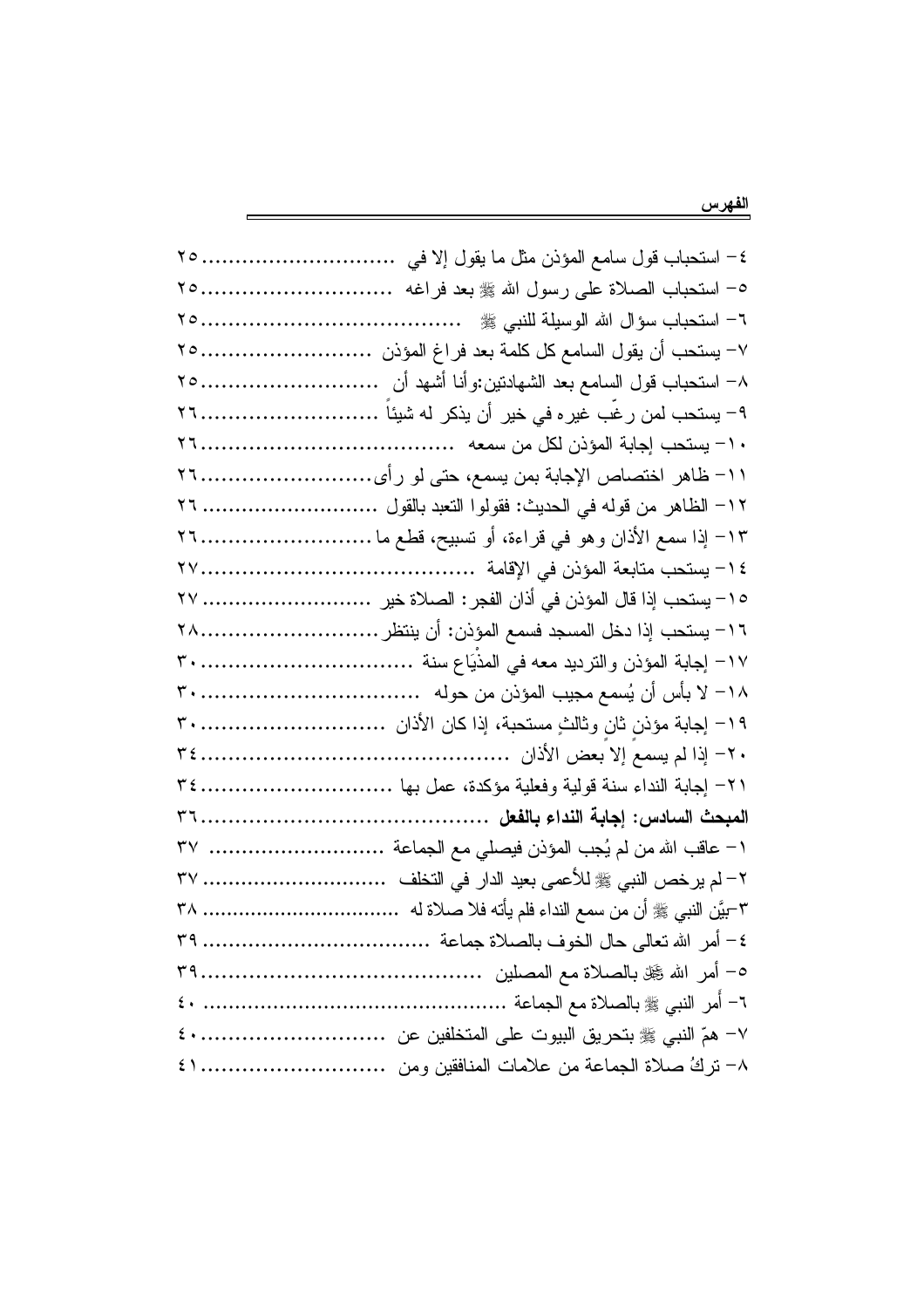| ٤– استحباب قول سامع المؤذن مثل ما يقول إلا في    ٢٥        |  |
|------------------------------------------------------------|--|
| ٥– استحباب الصلاة على رسول الله ﷺ بعد فراغه  ٢٥            |  |
|                                                            |  |
| ٧– يستحب أن يقول السامع كل كلمة بعد فراغ المؤذن ٢٥         |  |
|                                                            |  |
| ۹– يستحب لمن رغب غيره في خير أن يذكر له شيئا ٢٦            |  |
|                                                            |  |
| 1۱– ظاهر اختصاص الإجابة بمن يسمع، حتى لو رأى……………………٢٦     |  |
|                                                            |  |
| ١٣– إذا سمع الأذان وهو في قراءة، أو تسبيح، قطع ما ٢٦       |  |
|                                                            |  |
| ١٥– يستحب إذا قال المؤذن في أذان الفجر : الصلاة خير   ٢٧   |  |
|                                                            |  |
|                                                            |  |
|                                                            |  |
|                                                            |  |
|                                                            |  |
|                                                            |  |
|                                                            |  |
| ١– عاقب الله من لم يُجب المؤذن فيصلي مع الجماعة   ٣٧       |  |
| ٢– لم يرخص النبي ﷺ للأعمى بعيد الدار في التخلف    ٣٧       |  |
| ٣-بَيّن النبي ﷺ أن من سمع النداء فلم يأته فلا صلاة له   ٣٨ |  |
|                                                            |  |
|                                                            |  |
|                                                            |  |
|                                                            |  |
|                                                            |  |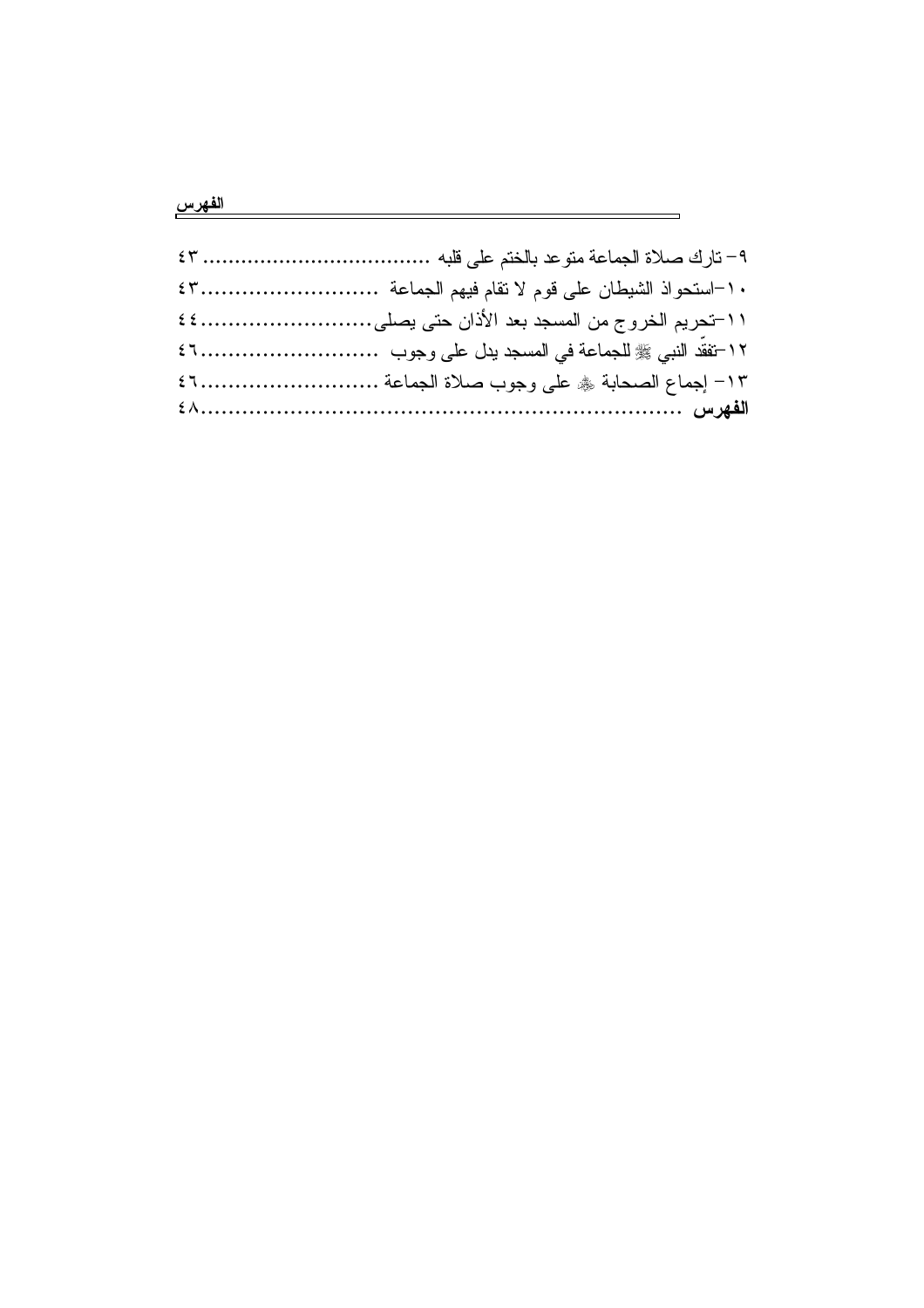## الفهرس المستخدمة المستخدمة المستخدمة المقارر المستخدمة المستخدمة المستخدمة المستخدمة المستخدمة المستخدمة

| 11-تحريم الخروج من المسجد بعد الأذان حتى يصلي ٤٤ |
|--------------------------------------------------|
|                                                  |
| ١٣- إجماع الصحابة ﴾ على وجوب صلاة الجماعة  ٤٦    |
|                                                  |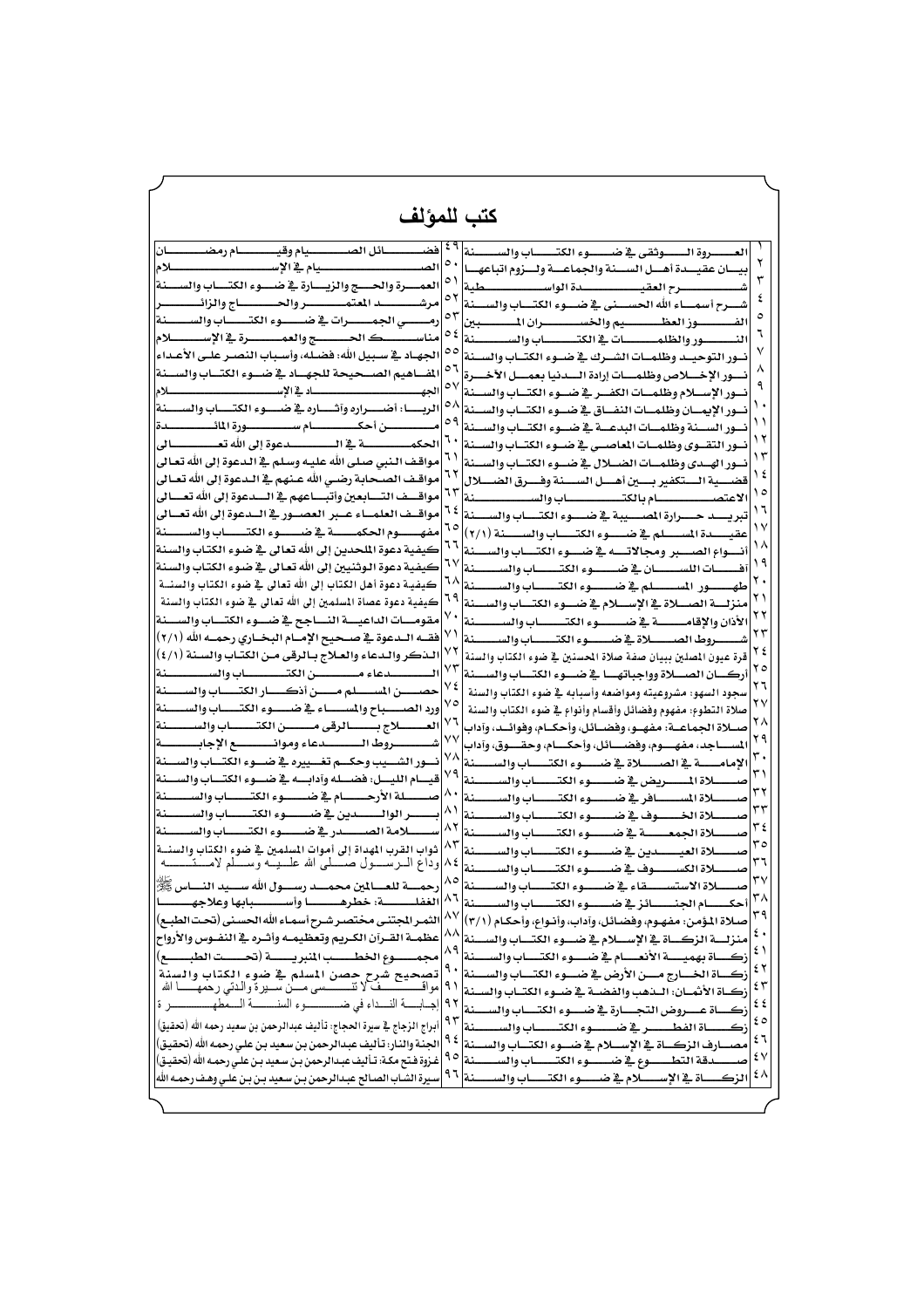| كتب للمؤلف                                                                        |               |                                                                           |           |
|-----------------------------------------------------------------------------------|---------------|---------------------------------------------------------------------------|-----------|
|                                                                                   |               |                                                                           |           |
| فضــــــــائل الصــــــــــيام وقيـــــــــام رمضـــــــــان                      |               | ___روة الــــوثقى في ضــــوء الكتـــــاب والســـــنة                      |           |
| الص<br>سلام<br>عام في الإســـــ                                                   | ٥.            | ـان عقيـــدة آهـــل الســـنة والجماعـــة ولـــزوم اتباعهـــا              |           |
| العمــــرة والحــــج والزيــــارة في ضــــوء الكتــــاب والســــنة                | ٥١            | سرح العقيسسسس                                                             |           |
| مر شــ                                                                            | ٥٢            | ـرح أسمـــــاء الله الحســـــنى _2 ضـــــوء الكتـــــاب والســــنة        | ٤         |
| رمــــــــــى الجمــــــــــرات في ضــــــــــوءِ الكتـــــــــاب والســـــــــنة | ٥٣            |                                                                           |           |
| ـلام                                                                              | ع ہ           | ـــنة<br>ـــور والظلمـــــــــات في الكتــــــــــاب والسـ<br>النسب       |           |
| الحهـاد في سـبيل الله: فضـله، وأسـباب النصـر علـي الأعـداء                        | $\circ \circ$ | نسور التوحيسه وظلميات الشيرك فجرضيوء الكتياب والسينة                      |           |
| المفاهيم الصسحيحة للجهساد في ضسوء الكتساب والسسنة                                 | ٥٦            | نسور الإخسلاص وظلمسات إرادة السدنيا بعمسل الأخسرة                         |           |
| ــلام                                                                             | ٥٧            | سات الكفسر فج ضسوء الكتساب والسسنة<br>نسور الإسسلام وظلم                  |           |
| ـــا: أضـــــراره وآشــــاره ــِة ضـــــوء الكتـــــاب والســـــنة  <br>الرب      | ٥٨            | نسور الإيمسان وظلمسات النفساق فج ضسوء الكتساب والسسنة                     |           |
|                                                                                   | ٥٩            |                                                                           |           |
|                                                                                   | ٦.            | نسور السسنة وظلمسات البدعسة فج ضسوء الكتساب والسسنة                       |           |
|                                                                                   | ٦١            | نسور التقسوي وظلمسات المعاصسي فج ضسوء الكتساب والسسنة                     |           |
| مواقف النبي صلى الله عليه وسلم في الدعوة إلى الله تعالى                           | ٦٢            | نسور الهسدي وظلمسات الضسلال ية ضسوء الكتساب والسسنة                       |           |
| مواقـف الصـحابـة رضـي الله عـنهم _ الـدعوة إلى الله تعـالى                        | ٦٣            | قضسية الستكفير بسين أهسل السسنة وفسرق الضسلال                             | ه ۱       |
| مواقسف التسابعين وأتبساعهم في السدعوة إلى الله تعسالي                             |               | الاعتصي يستسلم بالكتيسية سيساب والسيستسينة                                |           |
| مواقسف العلمساء عسبر العصسور فج السدعوة إلى الله تعسالي                           | ٦2            | تبريسيد حسيرارة المسسيبة فج ضيسوء الكتسياب والسسينة                       |           |
| مفهـــــــــــوم الحكمــــــــــة _⊈ ضـــــــــــوءِ الكتــــــــــاب والسـ       | ٦٥            | عقيــــدة المســــلم في ضــــــوءِ الكتـــــاب والســـــنة (٢/١)          |           |
| كيفية دعوة الملحدين إلى الله تعالى في ضوء الكتاب والسنة                           | ٦٦            | أنسواع الصسبر ومجالاتسه ية ضسوء الكتساب والسسنة                           |           |
| كيفية دعوة الـوثنيين إلى الله تعـالى _ ضوء الكتـاب والسـنـة                       | ٦٧            | أفــــــات اللســــــــان في ضــــــــوءِ الكتــــــــاب والس             |           |
| كيفيـة دعوة أهل الكتاب إلى الله تعالى في ضوء الكتاب والسنسة                       | ٦٨            | طهـــور المســــلم في ضـــوء الكتـــــاب والســــــنة                     | ۲.        |
| كيفية دعوة عصاة المسلمين إلى الله تعالى في ضوء الكتاب والسنة                      |               | منزلسة الصللاة في الإسللام في ضلوء الكتساب والسنة                         |           |
| مقومسات الداعيسة النساجح فج ضسوء الكتساب والسسنة                                  |               | لمستة<br>ساب والس                                                         |           |
| فقـــه الــدعوة _2 صـــحـيح الإمـــام البـخــاري رحمـــه الله (٢/١)               | ٧١            | ــاب والسـ                                                                |           |
| لـذكر والـدعاء والعـلاج بـالرقي مـن الكتـاب والسـنة (٤/١)                         |               | قرة عبون المصلين ببيان صفة صلاة الحسنين في ضوء الكتاب والسنة              | ع ۲       |
| لمنة                                                                              | ۷۳            | ہا ہے ضد                                                                  |           |
| سن المس                                                                           | ٧٤            | والسنة<br>سجود السهو: مشروعيته ومواضعه وأسبابه في ضوء الكتاب              | ۲٦        |
| ورد الصـــــباح والمســـــاء في ضـــــــوء الكتــــــاب والســــــنة              | ٧٥            | صلاة التطوع: مفهوم وفضائل وأقسام وأنواع في ضوء الكتاب والسنة              | ۲۷        |
| العسسلاج بسسالرقى مسسن الكتسساب والسسسنة                                          | ٧٦            | صــلاة الحماع                                                             | ۲۸        |
| ش                                                                                 | ٧٧            | ـو، وفضــائل، وأحكــام، وفوائــد، وآداب                                   | ۲۹        |
|                                                                                   | ٧٨            | ـوم، وفضــــائل، وأحكــــام، وحقــــوق، وآداب<br>احد، مفھ                 |           |
| نسور الشسيب وحكسم تغسييره فج ضسوء الكتساب والسسنة                                 | ۷۹            | الإمامــــة في الصـــــــلاة في ضــــــوءِ الكتــــــاب والســـــنة       |           |
| قيسام الليسل: فضسله وآدابسه في ضسوء الكتساب والسـ<br>سنة                          | Λ,            | ـــنة                                                                     | ۳۲        |
| صيــــلة الأرجــــــام في ضـــــوء الكتــــــاب والســـ<br>سنة                    | $\wedge$      | _لاة المســـــــافر في ضـــــــــوءِ الكتـــــــــاب والس<br>لمنة         | ٣٣        |
| سنة                                                                               |               | سوف فج ضيسسوءِ الكتيسساتِ والس                                            | ۲٤        |
| للامة الصيــــــدرية ضيــــــــوء الكتــــــــاب والســ                           | ۸۲ اس         | منة<br>ــلاة الحمعــــــــــــة _2 ضـــــــــــــوء الكتــــــــــاب والس | $r \circ$ |
| ثواب القرب المهداة إلى أموات المسلمين في ضوء الكتاب والسنسة                       | ۸٢            | للاة العيــــــدين في ضــــــــوءِ الكتـــــــاب والس<br>ــنة             |           |
| وداع السرســــول صــــــلى الله علــــيـــه وســـــلم لأمــ                       |               | ــــنة<br>ــاب والسـ                                                      | ٣٦        |
| ول الله س                                                                         |               |                                                                           |           |
|                                                                                   |               |                                                                           |           |
| اء الله الحسني                                                                    |               |                                                                           |           |
| لوس والأرواح                                                                      | ۸۸            |                                                                           | ٤٠        |
|                                                                                   | ۸۹            |                                                                           | ٤١        |
| حصن المسلم في ضوء الكتاب والسنة<br>تصحيح شر                                       | ٩.            |                                                                           | ٤٢        |
| ـن ســـير ة و الــدتــ ر حمـهـ<br>مواق                                            | ۹۱            |                                                                           | ٤٣        |
| ـة النــ<br>ـداء في ضد                                                            | ۹۲            | ارة فح ض                                                                  | ٤٤        |
| الزجاج في سيرة الحجاج: تأليف عبدالرحمن بن سعيد رحمه الله (تحقيق)<br>أبراج         | ۹۳            | ۔ 2 ض                                                                     | ه ٤       |
| الحنة والنار : تأليف عبدالرجمن بن سعيد بن على رجمه الله (تحقيق)                   | ۹٤            | ارف الزكساة في الإسسلام في ضيوءِ الكتب                                    | ٤٦        |
| غـزوة فـتح مكـة: تـأليف عبـدالرحمن بـن سـعيد بـن علـى رحمـه الله (تحقيـق)         | ۹٥            | ــوء الكتـــ<br>۔وء ہے ضد                                                 | ٤٧        |
| يرة الشـاب الصـالح عبـدالرحمن بـن سـعيد بـن بـن علـي وهـف رحمـه الله              | ۹٦            | ـلام _2 ض<br>ساة فے الاسـ<br>غة                                           | ٤٨        |
|                                                                                   |               |                                                                           |           |
|                                                                                   |               |                                                                           |           |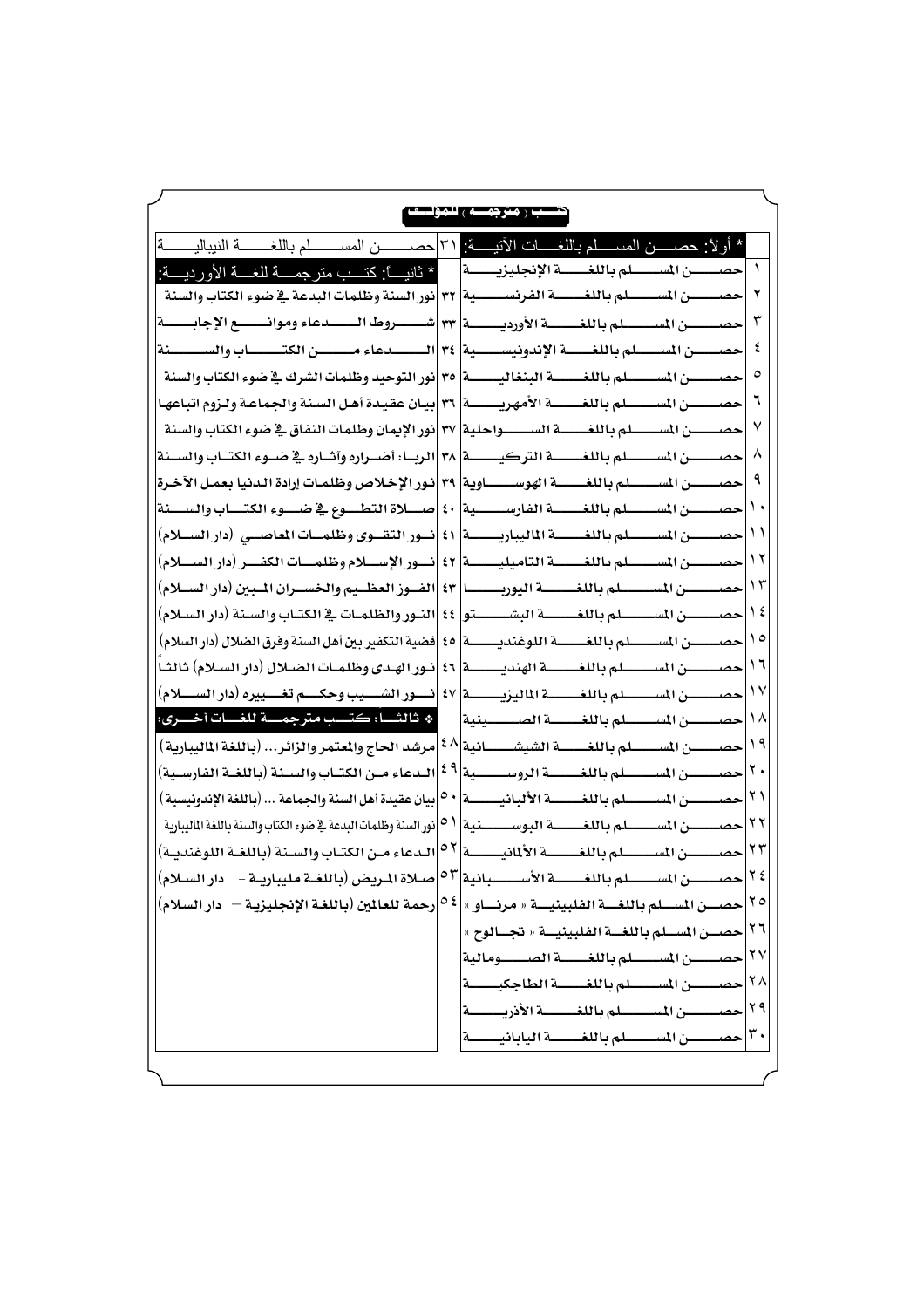|                                                                                                                                                  | سب ( مترجمسه ) للمؤا                                    |
|--------------------------------------------------------------------------------------------------------------------------------------------------|---------------------------------------------------------|
| * أولًا: حصــــــن المســــــلّم باللغـــــات الأنيـــــة: ٣١ حصــــــــــن المســــــــلم باللغــــــــــة النيباليــــــــة                    |                                                         |
| حصــــــن المســـــــــلم باللغــــــــة الإنجليزيــــــــة     * ثانيــــا كتـــب متر جمــــة للغـــة الأورديــــة :                            |                                                         |
|                                                                                                                                                  |                                                         |
| حصيــــــن المســـــــــلم باللغـــــــــة الأورديــــــــة  ٣٣  شــــــــروط الــــــــدعاء وموانـــــــع الإجابـــــــة                        | ٣                                                       |
| حصب من المسلسلم باللغيسية الإندونيسيسية  ٣٤  المسلسلاعاء مسلسلن الكتيسياب والسيسسينة                                                             |                                                         |
|                                                                                                                                                  |                                                         |
| حصــــــــــن المســــــــــلم باللغــــــــة الأمهريــــــــة  ٣٦  بيـان عقيدة أهـل السنة والجماعـة ولـزوم اتباعهـا                             |                                                         |
| حصــــــــــن المــــــــــــلم بـاللغـــــــــة الـــــــــــواحلية  ٣٧  نور الإيمان وظلمات النفاق فج ضوء الكتاب والسنة                         | ٧                                                       |
|                                                                                                                                                  | ۸                                                       |
|                                                                                                                                                  |                                                         |
| حصــــــــن المســـــــــلم باللغـــــــــة الفارســــــــية  ٤٠  صـــــلاة التطــــوع فج ضــــوء الكتــــاب والســــنة                          |                                                         |
| حصــــــــن المســـــــــلم باللغــــــــة الماليباريــــــــــة  ٤١  نـــور التقـــوي وظلمـــات المعاصـــي (دار الســـلام)                      | $\left  \cdot \right $                                  |
| حصــــــــن المســـــــــلم باللغــــــــة التاميليــــــــة  ٤٢  نـــور الإســــلام وظلمــــات الكفـــر (دار الســــلام)                        | ۲ (                                                     |
| حصــــــــــن المســــــــــــلم باللغــــــــــة اليوربـــــــــــا [2] [الضــوز العظـــلم والخســـران المبـراح (دار الســـلام)                 | ۱۳                                                      |
| حصـــــــــن المســــــــــلم باللغـــــــــــة البشــــــــــتو  ٤٤  النــور والظلمـات في الكتـاب والمسنة (دار المسلام)                         | ع ۱                                                     |
|                                                                                                                                                  | $\sqrt{2}$                                              |
|                                                                                                                                                  | ۱٦                                                      |
| حصـــــــــــن المســـــــــــلم باللغـــــــــــة [1] المنازل المسلم المسلم المسلم المسلم المسلم ال                                             | $\gamma$                                                |
| * ثالثــــا: كتـــب مترجمــــة للغــــات أخـــــرى:                                                                                              | ヽヘ<br>حصيصن المسلسلم باللغيسة الصيبينية                 |
| حصـــــــن المســــــــلم باللغــــــــة الشيشــــــــانية $ \mathfrak{b} $ مرشد الحاج والمتمر والزائر (باللغة الماليبارية )                     | $\lambda$                                               |
| حصــــــن المســـــــلم باللغـــــــة الروســـــــية $ \mathfrak{e} $ الـدعاء مــن الكتــاب والسـنة (باللغــة الفارسـية)                         | ۲.                                                      |
|                                                                                                                                                  | ۲۱                                                      |
| حصــــــــن المســـــــــلم بـاللغــــــــــة البوســـــــــنية $ \circ \circ  $ نور السنة وظلمان البدعة في ضوء الكتاب والسنة باللغة الماليبارية | ۲۲                                                      |
| الدعاء من الكتاب والسنة (باللغة اللوغندية)                                                                                                       | ۲۳<br>۲٤                                                |
| حصــــــــن المســـــــــلم بـاللغــــــــة الأســــــــبانية $ \circ \mathrm{v} $ صــلاة الــريض (باللغــة مليباريــة -    دار الســلام)        | ۲٥                                                      |
| حصــــن المســـلم باللغــــة الفلبينيــــة « مرنــــاو »  <sup>6-6</sup>  رحمة للعالمين (باللغـة الإنجليزيـة —   دار السلام)                     | ۲٦                                                      |
|                                                                                                                                                  | حصــن المســلم باللغــة الفلبينيــة « تجــالوج » <br>۲۷ |
|                                                                                                                                                  | ۲۸                                                      |
|                                                                                                                                                  | ۲۹                                                      |
|                                                                                                                                                  |                                                         |
|                                                                                                                                                  |                                                         |
|                                                                                                                                                  |                                                         |